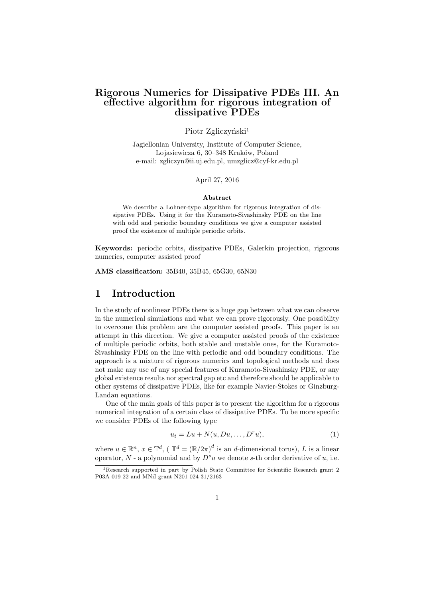# **Rigorous Numerics for Dissipative PDEs III. An effective algorithm for rigorous integration of dissipative PDEs**

### Piotr Zgliczyński<sup>1</sup>

Jagiellonian University, Institute of Computer Science, Lojasiewicza 6, 30–348 Kraków, Poland e-mail: zgliczyn@ii.uj.edu.pl, umzglicz@cyf-kr.edu.pl

#### April 27, 2016

#### **Abstract**

We describe a Lohner-type algorithm for rigorous integration of dissipative PDEs. Using it for the Kuramoto-Sivashinsky PDE on the line with odd and periodic boundary conditions we give a computer assisted proof the existence of multiple periodic orbits.

**Keywords:** periodic orbits, dissipative PDEs, Galerkin projection, rigorous numerics, computer assisted proof

**AMS classification:** 35B40, 35B45, 65G30, 65N30

# **1 Introduction**

In the study of nonlinear PDEs there is a huge gap between what we can observe in the numerical simulations and what we can prove rigorously. One possibility to overcome this problem are the computer assisted proofs. This paper is an attempt in this direction. We give a computer assisted proofs of the existence of multiple periodic orbits, both stable and unstable ones, for the Kuramoto-Sivashinsky PDE on the line with periodic and odd boundary conditions. The approach is a mixture of rigorous numerics and topological methods and does not make any use of any special features of Kuramoto-Sivashinsky PDE, or any global existence results nor spectral gap etc and therefore should be applicable to other systems of dissipative PDEs, like for example Navier-Stokes or Ginzburg-Landau equations.

One of the main goals of this paper is to present the algorithm for a rigorous numerical integration of a certain class of dissipative PDEs. To be more specific we consider PDEs of the following type

$$
u_t = Lu + N(u, Du, \dots, D^r u), \tag{1}
$$

where  $u \in \mathbb{R}^n$ ,  $x \in \mathbb{T}^d$ ,  $(\mathbb{T}^d = (\mathbb{R}/2\pi)^d$  is an *d*-dimensional torus), *L* is a linear operator,  $N$  - a polynomial and by  $D^s u$  we denote *s*-th order derivative of *u*, i.e.

<sup>&</sup>lt;sup>1</sup>Research supported in part by Polish State Committee for Scientific Research grant 2 P03A 019 22 and MNiI grant N201 024 31/2163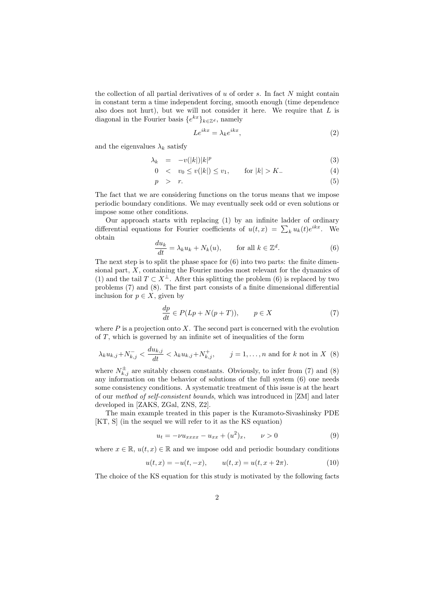the collection of all partial derivatives of *u* of order *s*. In fact *N* might contain in constant term a time independent forcing, smooth enough (time dependence also does not hurt), but we will not consider it here. We require that *L* is diagonal in the Fourier basis  ${e^{kx}}_{k \in \mathbb{Z}^d}$ , namely

$$
Le^{ikx} = \lambda_k e^{ikx},\tag{2}
$$

and the eigenvalues  $\lambda_k$  satisfy

$$
\lambda_k = -v(|k|)|k|^p \tag{3}
$$

$$
0 < v_0 \le v(|k|) \le v_1, \qquad \text{for } |k| > K. \tag{4}
$$

$$
p > r. \tag{5}
$$

The fact that we are considering functions on the torus means that we impose periodic boundary conditions. We may eventually seek odd or even solutions or impose some other conditions.

Our approach starts with replacing (1) by an infinite ladder of ordinary differential equations for Fourier coefficients of  $u(t,x) = \sum_k u_k(t)e^{ikx}$ . We obtain

$$
\frac{du_k}{dt} = \lambda_k u_k + N_k(u), \qquad \text{for all } k \in \mathbb{Z}^d. \tag{6}
$$

The next step is to split the phase space for  $(6)$  into two parts: the finite dimensional part, *X*, containing the Fourier modes most relevant for the dynamics of (1) and the tail  $T \subset X^{\perp}$ . After this splitting the problem (6) is replaced by two problems (7) and (8). The first part consists of a finite dimensional differential inclusion for  $p \in X$ , given by

$$
\frac{dp}{dt} \in P(Lp + N(p+T)), \qquad p \in X \tag{7}
$$

where  $P$  is a projection onto  $X$ . The second part is concerned with the evolution of *T*, which is governed by an infinite set of inequalities of the form

$$
\lambda_k u_{k,j} + N_{k,j}^- < \frac{du_{k,j}}{dt} < \lambda_k u_{k,j} + N_{k,j}^+, \qquad j = 1, \dots, n \text{ and for } k \text{ not in } X \tag{8}
$$

where  $N^{\pm}_{k,j}$  are suitably chosen constants. Obviously, to infer from (7) and (8) any information on the behavior of solutions of the full system (6) one needs some consistency conditions. A systematic treatment of this issue is at the heart of our *method of self-consistent bounds*, which was introduced in [ZM] and later developed in [ZAKS, ZGal, ZNS, Z2].

The main example treated in this paper is the Kuramoto-Sivashinsky PDE [KT, S] (in the sequel we will refer to it as the KS equation)

$$
u_t = -\nu u_{xxxx} - u_{xx} + (u^2)_x, \qquad \nu > 0 \tag{9}
$$

where  $x \in \mathbb{R}$ ,  $u(t, x) \in \mathbb{R}$  and we impose odd and periodic boundary conditions

$$
u(t,x) = -u(t,-x), \qquad u(t,x) = u(t,x+2\pi). \tag{10}
$$

The choice of the KS equation for this study is motivated by the following facts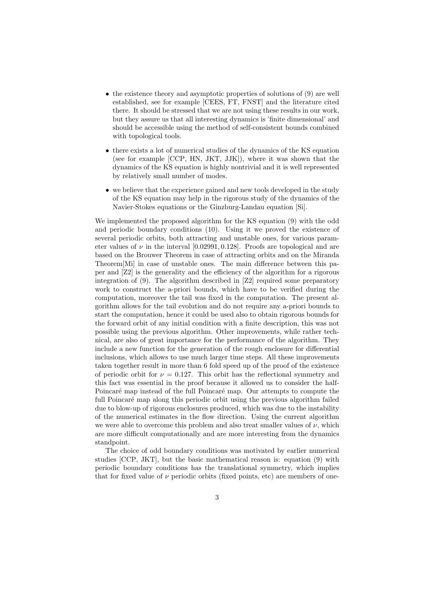- the existence theory and asymptotic properties of solutions of (9) are well established, see for example [CEES, FT, FNST] and the literature cited there. It should be stressed that we are not using these results in our work, but they assure us that all interesting dynamics is 'finite dimensional' and should be accessible using the method of self-consistent bounds combined with topological tools.
- there exists a lot of numerical studies of the dynamics of the KS equation (see for example [CCP, HN, JKT, JJK]), where it was shown that the dynamics of the KS equation is highly nontrivial and it is well represented by relatively small number of modes.
- *•* we believe that the experience gained and new tools developed in the study of the KS equation may help in the rigorous study of the dynamics of the Navier-Stokes equations or the Ginzburg-Landau equation [Si].

We implemented the proposed algorithm for the KS equation (9) with the odd and periodic boundary conditions (10). Using it we proved the existence of several periodic orbits, both attracting and unstable ones, for various parameter values of  $\nu$  in the interval [0.02991, 0.128]. Proofs are topological and are based on the Brouwer Theorem in case of attracting orbits and on the Miranda Theorem[Mi] in case of unstable ones. The main difference between this paper and [Z2] is the generality and the efficiency of the algorithm for a rigorous integration of (9). The algorithm described in [Z2] required some preparatory work to construct the a-priori bounds, which have to be verified during the computation, moreover the tail was fixed in the computation. The present algorithm allows for the tail evolution and do not require any a-priori bounds to start the computation, hence it could be used also to obtain rigorous bounds for the forward orbit of any initial condition with a finite description, this was not possible using the previous algorithm. Other improvements, while rather technical, are also of great importance for the performance of the algorithm. They include a new function for the generation of the rough enclosure for differential inclusions, which allows to use much larger time steps. All these improvements taken together result in more than 6 fold speed up of the proof of the existence of periodic orbit for  $\nu = 0.127$ . This orbit has the reflectional symmetry and this fact was essential in the proof because it allowed us to consider the half-Poincaré map instead of the full Poincaré map. Our attempts to compute the full Poincaré map along this periodic orbit using the previous algorithm failed due to blow-up of rigorous enclosures produced, which was due to the instability of the numerical estimates in the flow direction. Using the current algorithm we were able to overcome this problem and also treat smaller values of  $\nu$ , which are more difficult computationally and are more interesting from the dynamics standpoint.

The choice of odd boundary conditions was motivated by earlier numerical studies [CCP, JKT], but the basic mathematical reason is: equation (9) with periodic boundary conditions has the translational symmetry, which implies that for fixed value of  $\nu$  periodic orbits (fixed points, etc) are members of one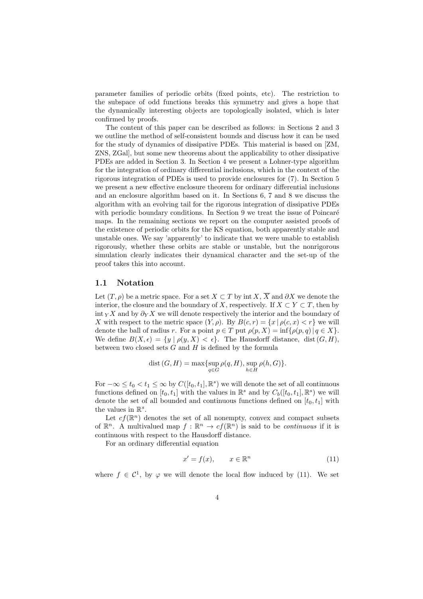parameter families of periodic orbits (fixed points, etc). The restriction to the subspace of odd functions breaks this symmetry and gives a hope that the dynamically interesting objects are topologically isolated, which is later confirmed by proofs.

The content of this paper can be described as follows: in Sections 2 and 3 we outline the method of self-consistent bounds and discuss how it can be used for the study of dynamics of dissipative PDEs. This material is based on [ZM, ZNS, ZGal], but some new theorems about the applicability to other dissipative PDEs are added in Section 3. In Section 4 we present a Lohner-type algorithm for the integration of ordinary differential inclusions, which in the context of the rigorous integration of PDEs is used to provide enclosures for (7). In Section 5 we present a new effective enclosure theorem for ordinary differential inclusions and an enclosure algorithm based on it. In Sections 6, 7 and 8 we discuss the algorithm with an evolving tail for the rigorous integration of dissipative PDEs with periodic boundary conditions. In Section 9 we treat the issue of Poincaré maps. In the remaining sections we report on the computer assisted proofs of the existence of periodic orbits for the KS equation, both apparently stable and unstable ones. We say 'apparently' to indicate that we were unable to establish rigorously, whether these orbits are stable or unstable, but the nonrigorous simulation clearly indicates their dynamical character and the set-up of the proof takes this into account.

#### **1.1 Notation**

Let  $(T, \rho)$  be a metric space. For a set  $X \subset T$  by int  $X, \overline{X}$  and  $\partial X$  we denote the interior, the closure and the boundary of *X*, respectively. If  $X \subset Y \subset T$ , then by int  $_Y X$  and by  $\partial_Y X$  we will denote respectively the interior and the boundary of *X* with respect to the metric space  $(Y, \rho)$ . By  $B(c, r) = \{x \mid \rho(c, x) < r\}$  we will denote the ball of radius *r*. For a point  $p \in T$  put  $\rho(p, X) = \inf \{ \rho(p, q) | q \in X \}.$ We define  $B(X, \epsilon) = \{y \mid \rho(y, X) < \epsilon\}$ . The Hausdorff distance, dist  $(G, H)$ , between two closed sets *G* and *H* is defined by the formula

$$
dist(G, H) = \max \{ \sup_{q \in G} \rho(q, H), \sup_{h \in H} \rho(h, G) \}.
$$

For  $-\infty \le t_0 < t_1 \le \infty$  by  $C([t_0, t_1], \mathbb{R}^s)$  we will denote the set of all continuous functions defined on  $[t_0, t_1]$  with the values in  $\mathbb{R}^s$  and by  $C_b([t_0, t_1], \mathbb{R}^s)$  we will denote the set of all bounded and continuous functions defined on  $[t_0, t_1]$  with the values in  $\mathbb{R}^s$ .

Let  $cf(\mathbb{R}^n)$  denotes the set of all nonempty, convex and compact subsets of  $\mathbb{R}^n$ . A multivalued map  $f : \mathbb{R}^n \to cf(\mathbb{R}^n)$  is said to be *continuous* if it is continuous with respect to the Hausdorff distance.

For an ordinary differential equation

$$
x' = f(x), \qquad x \in \mathbb{R}^n \tag{11}
$$

where  $f \in \mathcal{C}^1$ , by  $\varphi$  we will denote the local flow induced by (11). We set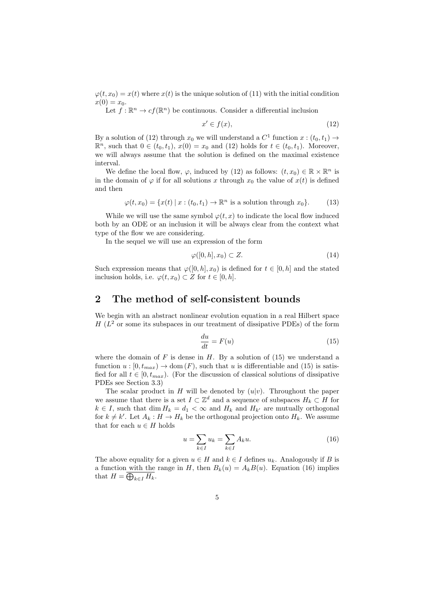$\varphi(t, x_0) = x(t)$  where  $x(t)$  is the unique solution of (11) with the initial condition  $x(0) = x_0.$ 

Let  $f: \mathbb{R}^n \to cf(\mathbb{R}^n)$  be continuous. Consider a differential inclusion

$$
x' \in f(x),\tag{12}
$$

By a solution of (12) through  $x_0$  we will understand a  $C^1$  function  $x:(t_0,t_1) \rightarrow$  $\mathbb{R}^n$ , such that 0 ∈ ( $t_0, t_1$ ),  $x(0) = x_0$  and (12) holds for  $t \in (t_0, t_1)$ . Moreover, we will always assume that the solution is defined on the maximal existence interval.

We define the local flow,  $\varphi$ , induced by (12) as follows:  $(t, x_0) \in \mathbb{R} \times \mathbb{R}^n$  is in the domain of  $\varphi$  if for all solutions *x* through  $x_0$  the value of  $x(t)$  is defined and then

$$
\varphi(t, x_0) = \{x(t) \mid x : (t_0, t_1) \to \mathbb{R}^n \text{ is a solution through } x_0\}. \tag{13}
$$

While we will use the same symbol  $\varphi(t, x)$  to indicate the local flow induced both by an ODE or an inclusion it will be always clear from the context what type of the flow we are considering.

In the sequel we will use an expression of the form

$$
\varphi([0, h], x_0) \subset Z. \tag{14}
$$

Such expression means that  $\varphi([0, h], x_0)$  is defined for  $t \in [0, h]$  and the stated inclusion holds, i.e.  $\varphi(t, x_0) \subset Z$  for  $t \in [0, h]$ .

# **2 The method of self-consistent bounds**

We begin with an abstract nonlinear evolution equation in a real Hilbert space  $H(L<sup>2</sup>)$  or some its subspaces in our treatment of dissipative PDEs) of the form

$$
\frac{du}{dt} = F(u) \tag{15}
$$

where the domain of  $F$  is dense in  $H$ . By a solution of (15) we understand a function  $u : [0, t_{max}) \to \text{dom}(F)$ , such that *u* is differentiable and (15) is satisfied for all  $t \in [0, t_{max})$ . (For the discussion of classical solutions of dissipative PDEs see Section 3.3)

The scalar product in *H* will be denoted by  $(u|v)$ . Throughout the paper we assume that there is a set  $I \subset \mathbb{Z}^d$  and a sequence of subspaces  $H_k \subset H$  for *k* ∈ *I*, such that dim  $H_k = d_1 < \infty$  and  $H_k$  and  $H_{k'}$  are mutually orthogonal for  $k \neq k'$ . Let  $A_k : H \to H_k$  be the orthogonal projection onto  $H_k$ . We assume that for each  $u \in H$  holds

$$
u = \sum_{k \in I} u_k = \sum_{k \in I} A_k u.
$$
\n
$$
(16)
$$

The above equality for a given  $u \in H$  and  $k \in I$  defines  $u_k$ . Analogously if *B* is a function with the range in *H*, then  $B_k(u) = A_k B(u)$ . Equation (16) implies that  $H = \bigoplus_{k \in I} H_k$ .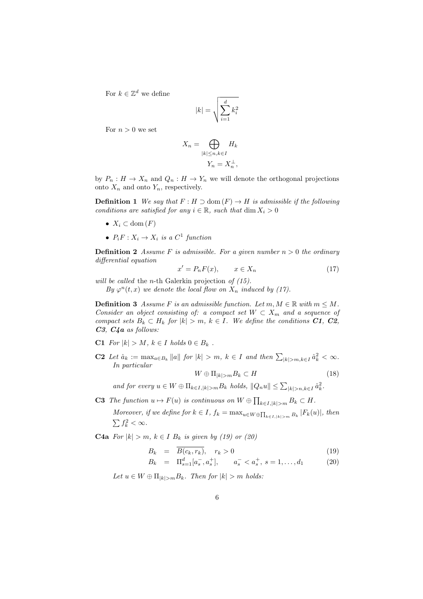For  $k \in \mathbb{Z}^d$  we define

$$
|k| = \sqrt{\sum_{i=1}^{d} k_i^2}
$$

For  $n > 0$  we set

$$
X_n = \bigoplus_{|k| \le n, k \in I} H_k
$$
  

$$
Y_n = X_n^{\perp},
$$

by  $P_n: H \to X_n$  and  $Q_n: H \to Y_n$  we will denote the orthogonal projections onto  $X_n$  and onto  $Y_n$ , respectively.

**Definition 1** We say that  $F: H \supset \text{dom}(F) \to H$  is admissible if the following *conditions are satisfied for any*  $i \in \mathbb{R}$ *, such that* dim  $X_i > 0$ 

- $X_i \subset \text{dom}(F)$
- $P_i F: X_i \to X_i$  *is a*  $C^1$  *function*

**Definition 2** *Assume F is admissible. For a given number*  $n > 0$  *the ordinary differential equation*

$$
x' = P_n F(x), \qquad x \in X_n \tag{17}
$$

*will be called* the *n*-th Galerkin projection *of (15).*

*By*  $\varphi^{n}(t, x)$  *we denote the local flow on*  $X_n$  *induced by (17).* 

**Definition 3** *Assume F is an admissible function. Let*  $m, M \in \mathbb{R}$  *with*  $m \leq M$ *. Consider an object consisting of: a compact set*  $W \subset X_m$  *and a sequence of compact sets*  $B_k \subset H_k$  *for*  $|k| > m$ ,  $k \in I$ *. We define the conditions*  $C1$ *,*  $C2$ *, C3, C4a as follows:*

- C1  $For |k| > M$ ,  $k \in I$   $holds \ 0 \in B_k$ .
- **C2** Let  $\hat{a}_k := \max_{a \in B_k} \|a\|$  for  $|k| > m$ ,  $k \in I$  and then  $\sum_{|k| > m, k \in I} \hat{a}_k^2 < \infty$ . *In particular*

$$
W \oplus \Pi_{|k|>m} B_k \subset H \tag{18}
$$

and for every  $u \in W \oplus \Pi_{k \in I, |k| > m} B_k$  holds,  $||Q_n u|| \leq \sum_{|k| > n, k \in I} \hat{a}_k^2$ .

**C3** *The function*  $u \mapsto F(u)$  *is continuous on*  $W \oplus \prod_{k \in I, |k| > m} B_k \subset H$ *.* 

Moreover, if we define for  $k \in I$ ,  $f_k = \max_{u \in W \oplus \prod_{k \in I, |k| > m} B_k} |F_k(u)|$ , then  $\sum f_k^2 < \infty$ .

**C4a** *For*  $|k| > m$ ,  $k \in I$  *B*<sub>*k*</sub> *is given by (19) or (20)* 

$$
B_k = \overline{B(c_k, r_k)}, \quad r_k > 0 \tag{19}
$$

$$
B_k = \Pi_{s=1}^d [a_s^-, a_s^+], \qquad a_s^- < a_s^+, \ s = 1, \dots, d_1 \tag{20}
$$

 $Let$   $u \in W \oplus \Pi_{|k| > m} B_k$ *. Then for*  $|k| > m$  *holds:*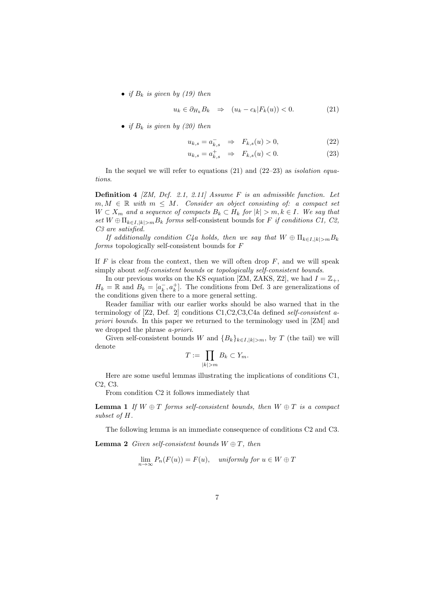• *if*  $B_k$  *is given by (19)* then

$$
u_k \in \partial_{H_k} B_k \quad \Rightarrow \quad (u_k - c_k | F_k(u)) < 0. \tag{21}
$$

• *if*  $B_k$  *is given by (20) then* 

$$
u_{k,s} = a_{k,s}^- \Rightarrow F_{k,s}(u) > 0,
$$
\n
$$
(22)
$$

$$
u_{k,s} = a_{k,s}^+ \quad \Rightarrow \quad F_{k,s}(u) < 0. \tag{23}
$$

In the sequel we will refer to equations (21) and (22–23) as *isolation equations*.

**Definition 4** *[ZM, Def. 2.1, 2.11] Assume F is an admissible function. Let*  $m, M \in \mathbb{R}$  *with*  $m \leq M$ *. Consider an object consisting of: a compact set W*  $\subset$  *X*<sup>*m*</sup> *and a sequence of compacts*  $B_k \subset H_k$  *for*  $|k| > m, k \in I$ *. We say that set*  $W \oplus \prod_{k \in I, |k| > m} B_k$  *forms* self-consistent bounds for *F if conditions C1, C2, C3 are satisfied.*

*If additionally condition C4a holds, then we say that*  $W \oplus \prod_{k \in I, |k| > m} B_k$ *forms* topologically self-consistent bounds for *F*

If  $F$  is clear from the context, then we will often drop  $F$ , and we will speak simply about *self-consistent bounds* or *topologically self-consistent bounds*.

In our previous works on the KS equation [ZM, ZAKS, Z2], we had  $I = \mathbb{Z}_+$ ,  $H_k = \mathbb{R}$  and  $B_k = [a_k^-, a_k^+]$ . The conditions from Def. 3 are generalizations of the conditions given there to a more general setting.

Reader familiar with our earlier works should be also warned that in the terminology of [Z2, Def. 2] conditions C1,C2,C3,C4a defined *self-consistent apriori bounds*. In this paper we returned to the terminology used in [ZM] and we dropped the phrase *a-priori*.

Given self-consistent bounds *W* and  ${B_k}_{k \in I, |k| > m}$ , by *T* (the tail) we will denote

$$
T := \prod_{|k|>m} B_k \subset Y_m.
$$

Here are some useful lemmas illustrating the implications of conditions C1, C2, C3.

From condition C2 it follows immediately that

**Lemma 1** If  $W \oplus T$  forms self-consistent bounds, then  $W \oplus T$  is a compact *subset of H.*

The following lemma is an immediate consequence of conditions C2 and C3.

**Lemma 2** *Given self-consistent bounds*  $W \oplus T$ *, then* 

$$
\lim_{n \to \infty} P_n(F(u)) = F(u), \quad \text{uniformly for } u \in W \oplus T
$$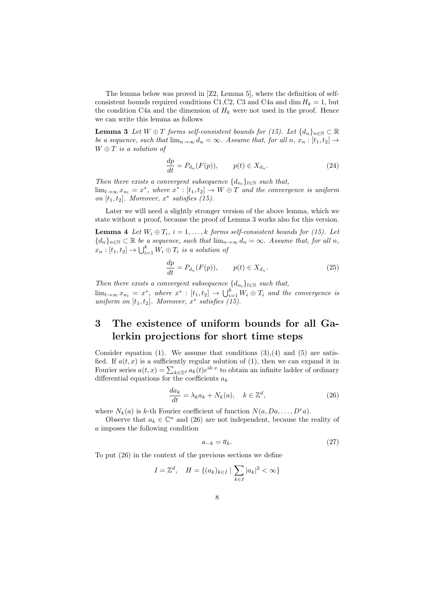The lemma below was proved in [Z2, Lemma 5], where the definition of selfconsistent bounds required conditions C1, C2, C3 and C4a and dim  $H_k = 1$ , but the condition C4a and the dimension of  $H_k$  were not used in the proof. Hence we can write this lemma as follows

**Lemma 3** *Let*  $W \oplus T$  *forms self-consistent bounds for (15). Let*  $\{d_n\}_{n\in\mathbb{N}} \subset \mathbb{R}$ *be a sequence, such that*  $\lim_{n\to\infty} d_n = \infty$ *. Assume that, for all n, x<sub>n</sub> : [t<sub>1</sub>, t<sub>2</sub>]*  $\to$ *W ⊕ T is a solution of*

$$
\frac{dp}{dt} = P_{d_n}(F(p)), \qquad p(t) \in X_{d_n}.\tag{24}
$$

*Then there exists a convergent subsequence*  $\{d_{n_l}\}_{l \in \mathbb{N}}$  *such that,*  $\lim_{l\to\infty} x_{n_l} = x^*$ , where  $x^* : [t_1, t_2] \to W \oplus T$  and the convergence is uniform *on*  $[t_1, t_2]$ *. Moreover,*  $x^*$  *satisfies* (15).

Later we will need a slightly stronger version of the above lemma, which we state without a proof, because the proof of Lemma 3 works also for this version.

**Lemma 4** *Let*  $W_i \oplus T_i$ ,  $i = 1, \ldots, k$  *forms self-consistent bounds for (15). Let*  ${d_n}_{n \in \mathbb{N}} \subset \mathbb{R}$  *be a sequence, such that*  $\lim_{n \to \infty} d_n = \infty$ *. Assume that, for all n,*  $x_n : [t_1, t_2] \to \bigcup_{i=1}^k W_i \oplus T_i$  *is a solution of* 

$$
\frac{dp}{dt} = P_{d_n}(F(p)), \qquad p(t) \in X_{d_n}.\tag{25}
$$

*Then there exists a convergent subsequence*  $\{d_{n_l}\}_{l \in \mathbb{N}}$  *such that,*  $\lim_{l\to\infty} x_{n_l} = x^*$ , where  $x^* : [t_1, t_2] \to \bigcup_{i=1}^k W_i \oplus T_i$  and the convergence is *uniform on*  $[t_1, t_2]$ *. Moreover,*  $x^*$  *satisfies* (15).

# **3 The existence of uniform bounds for all Galerkin projections for short time steps**

Consider equation (1). We assume that conditions  $(3),(4)$  and  $(5)$  are satisfied. If  $a(t, x)$  is a sufficiently regular solution of (1), then we can expand it in Fourier series  $a(t, x) = \sum_{k \in \mathbb{Z}^d} a_k(t) e^{ik \cdot x}$  to obtain an infinite ladder of ordinary differential equations for the coefficients *a<sup>k</sup>*

$$
\frac{da_k}{dt} = \lambda_k a_k + N_k(a), \quad k \in \mathbb{Z}^d,
$$
\n(26)

where  $N_k(a)$  is *k*-th Fourier coefficient of function  $N(a, Da, \ldots, D^r a)$ .

Observe that  $a_k \in \mathbb{C}^n$  and (26) are not independent, because the reality of *a* imposes the following condition

$$
a_{-k} = \overline{a}_k. \tag{27}
$$

To put (26) in the context of the previous sections we define

$$
I = \mathbb{Z}^d, \quad H = \{(a_k)_{k \in I} \mid \sum_{k \in I} |a_k|^2 < \infty\}
$$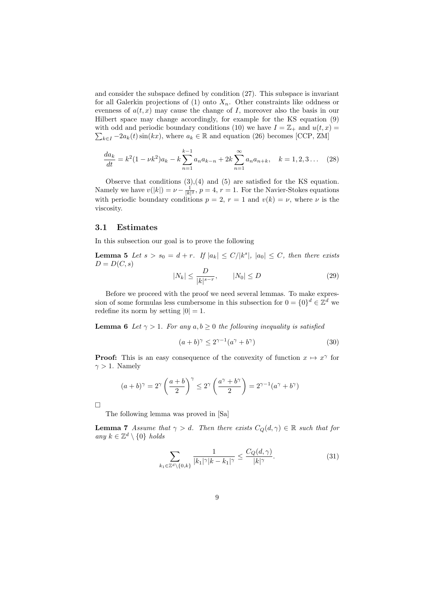and consider the subspace defined by condition (27). This subspace is invariant for all Galerkin projections of  $(1)$  onto  $X_n$ . Other constraints like oddness or evenness of  $a(t, x)$  may cause the change of *I*, moreover also the basis in our Hilbert space may change accordingly, for example for the KS equation (9)  $\sum_{k \in I} -2a_k(t) \sin(kx)$ , where  $a_k \in \mathbb{R}$  and equation (26) becomes [CCP, ZM] with odd and periodic boundary conditions (10) we have  $I = \mathbb{Z}_+$  and  $u(t, x) =$ 

$$
\frac{da_k}{dt} = k^2 (1 - \nu k^2) a_k - k \sum_{n=1}^{k-1} a_n a_{k-n} + 2k \sum_{n=1}^{\infty} a_n a_{n+k}, \quad k = 1, 2, 3 \dots \quad (28)
$$

Observe that conditions  $(3),(4)$  and  $(5)$  are satisfied for the KS equation. Namely we have  $v(|k|) = \nu - \frac{1}{|k|^2}$ ,  $p = 4$ ,  $r = 1$ . For the Navier-Stokes equations with periodic boundary conditions  $p = 2$ ,  $r = 1$  and  $v(k) = \nu$ , where  $\nu$  is the viscosity.

#### **3.1 Estimates**

In this subsection our goal is to prove the following

**Lemma 5** Let  $s > s_0 = d + r$ . If  $|a_k| \leq C/|k^s|$ ,  $|a_0| \leq C$ , then there exists  $D = D(C, s)$ 

$$
|N_k| \le \frac{D}{|k|^{s-r}}, \qquad |N_0| \le D \tag{29}
$$

Before we proceed with the proof we need several lemmas. To make expression of some formulas less cumbersome in this subsection for  $0 = \{0\}^d \in \mathbb{Z}^d$  we redefine its norm by setting  $|0| = 1$ .

**Lemma 6** *Let*  $\gamma > 1$ *. For any*  $a, b \geq 0$  *the following inequality is satisfied* 

$$
(a+b)^{\gamma} \le 2^{\gamma-1}(a^{\gamma} + b^{\gamma})
$$
\n(30)

**Proof:** This is an easy consequence of the convexity of function  $x \mapsto x^{\gamma}$  for  $\gamma > 1$ . Namely

$$
(a+b)^{\gamma} = 2^{\gamma} \left(\frac{a+b}{2}\right)^{\gamma} \le 2^{\gamma} \left(\frac{a^{\gamma}+b^{\gamma}}{2}\right) = 2^{\gamma-1}(a^{\gamma}+b^{\gamma})
$$

 $\Box$ 

The following lemma was proved in [Sa]

**Lemma 7** *Assume that*  $\gamma > d$ *. Then there exists*  $C_Q(d, \gamma) \in \mathbb{R}$  *such that for*  $any \ k \in \mathbb{Z}^d \setminus \{0\} \ holds$ 

$$
\sum_{k_1 \in \mathbb{Z}^d \setminus \{0,k\}} \frac{1}{|k_1|^\gamma |k - k_1|^\gamma} \le \frac{C_Q(d,\gamma)}{|k|^\gamma}.
$$
 (31)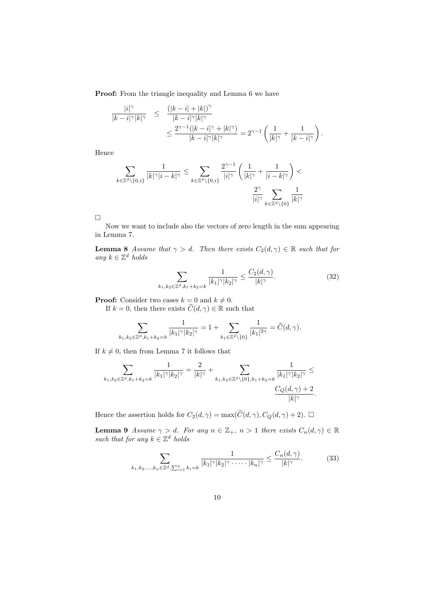**Proof:** From the triangle inequality and Lemma 6 we have

$$
\begin{array}{rcl} \frac{|i|^\gamma}{|k-i|^\gamma|k|^\gamma} & \leq & \displaystyle \frac{(|k-i|+|k|)^\gamma}{|k-i|^\gamma|k|^\gamma} \\ & \leq & \displaystyle \frac{2^{\gamma-1}(|k-i|^\gamma+|k|^\gamma)}{|k-i|^\gamma|k|^\gamma} = 2^{\gamma-1}\left(\frac{1}{|k|^\gamma}+\frac{1}{|k-i|^\gamma}\right). \end{array}
$$

Hence

$$
\sum_{k \in \mathbb{Z}^d \backslash \{0,i\}} \frac{1}{|k|^\gamma |i-k|^\gamma} \le \sum_{k \in \mathbb{Z}^d \backslash \{0,i\}} \frac{2^{\gamma-1}}{|i|^\gamma} \left(\frac{1}{|k|^\gamma} + \frac{1}{|i-k|^\gamma}\right) < \frac{2^{\gamma}}{|i|^\gamma} \sum_{k \in \mathbb{Z}^d \backslash \{0\}} \frac{1}{|k|^\gamma}
$$

 $\Box$ 

Now we want to include also the vectors of zero length in the sum appearing in Lemma 7.

**Lemma 8** *Assume that*  $\gamma > d$ *. Then there exists*  $C_2(d, \gamma) \in \mathbb{R}$  *such that for any k ∈* Z *<sup>d</sup> holds*

$$
\sum_{k_1, k_2 \in \mathbb{Z}^d, k_1 + k_2 = k} \frac{1}{|k_1|^\gamma |k_2|^\gamma} \le \frac{C_2(d, \gamma)}{|k|^\gamma}.
$$
 (32)

**Proof:** Consider two cases  $k = 0$  and  $k \neq 0$ .

If  $k = 0$ , then there exists  $\widetilde{C}(d, \gamma) \in \mathbb{R}$  such that

$$
\sum_{k_1,k_2\in\mathbb{Z}^d,k_1+k_2=k}\frac{1}{|k_1|^\gamma |k_2|^\gamma}=1+\sum_{k_1\in\mathbb{Z}^d\backslash\{0\}}\frac{1}{|k_1|^{2\gamma}}=\widetilde{C}(d,\gamma).
$$

If  $k \neq 0$ , then from Lemma 7 it follows that

$$
\sum_{k_1,k_2\in\mathbb{Z}^d,k_1+k_2=k}\frac{1}{|k_1|^\gamma |k_2|^\gamma}=\frac{2}{|k|^\gamma}+\sum_{k_1,k_2\in\mathbb{Z}^d\backslash\{0\},k_1+k_2=k}\frac{1}{|k_1|^\gamma |k_2|^\gamma}\leq \frac{C_Q(d,\gamma)+2}{|k|^\gamma}.
$$

Hence the assertion holds for  $C_2(d, \gamma) = \max(\widetilde{C}(d, \gamma), C_Q(d, \gamma) + 2)$ .

**Lemma 9** *Assume*  $\gamma > d$ *. For any*  $n \in \mathbb{Z}_+$ *,*  $n > 1$  *there exists*  $C_n(d, \gamma) \in \mathbb{R}$ *such that for any*  $k \in \mathbb{Z}^d$  *holds* 

$$
\sum_{k_1,k_2,\ldots,k_n\in\mathbb{Z}^d,\sum_{i=1}^nk_i=k} \frac{1}{|k_1|\gamma|k_2|\gamma\ldots\ldots|k_n|\gamma} \le \frac{C_n(d,\gamma)}{|k|\gamma}.
$$
 (33)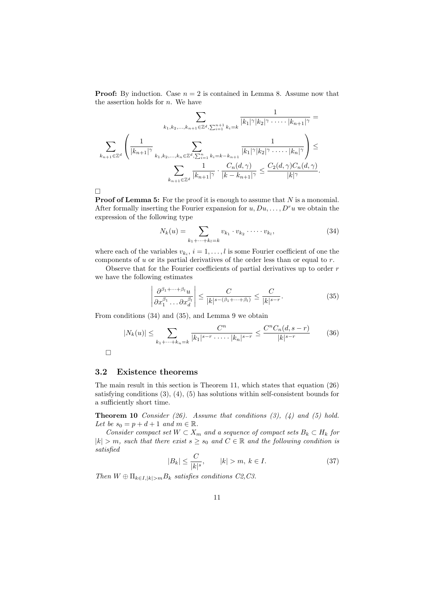**Proof:** By induction. Case  $n = 2$  is contained in Lemma 8. Assume now that the assertion holds for *n*. We have

$$
\sum_{k_1, k_2, \ldots, k_{n+1} \in \mathbb{Z}^d, \sum_{i=1}^{n+1} k_i = k} \frac{1}{|k_1|^\gamma |k_2|^\gamma \cdots |k_{n+1}|^\gamma} =
$$

$$
\sum_{k_{n+1} \in \mathbb{Z}^d} \left( \frac{1}{|k_{n+1}|^\gamma} \sum_{k_1, k_2, \ldots, k_n \in \mathbb{Z}^d, \sum_{i=1}^n k_i = k - k_{n+1}} \frac{1}{|k_1|^\gamma |k_2|^\gamma \cdots |k_n|^\gamma} \right) \le
$$

$$
\sum_{k_{n+1} \in \mathbb{Z}^d} \frac{1}{|k_{n+1}|^\gamma} \cdot \frac{C_n(d, \gamma)}{|k - k_{n+1}|^\gamma} \le \frac{C_2(d, \gamma)C_n(d, \gamma)}{|k|^\gamma}.
$$

 $\Box$ 

**Proof of Lemma 5:** For the proof it is enough to assume that *N* is a monomial. After formally inserting the Fourier expansion for  $u, Du, \ldots, D^r u$  we obtain the expression of the following type

$$
N_k(u) = \sum_{k_1 + \dots + k_l = k} v_{k_1} \cdot v_{k_2} \cdot \dots \cdot v_{k_l},
$$
\n(34)

where each of the variables  $v_{k_i}$ ,  $i = 1, \ldots, l$  is some Fourier coefficient of one the components of *u* or its partial derivatives of the order less than or equal to *r*.

Observe that for the Fourier coefficients of partial derivatives up to order *r* we have the following estimates

$$
\left| \frac{\partial^{\beta_1 + \dots + \beta_l} u}{\partial x_1^{\beta_1} \dots \partial x_d^{\beta_l}} \right| \le \frac{C}{|k|^{s - (\beta_1 + \dots + \beta_l)}} \le \frac{C}{|k|^{s - r}}.
$$
\n(35)

From conditions (34) and (35), and Lemma 9 we obtain

$$
|N_k(u)| \le \sum_{k_1 + \dots + k_n = k} \frac{C^n}{|k_1|^{s-r} \cdot \dots \cdot |k_n|^{s-r}} \le \frac{C^n C_n(d, s-r)}{|k|^{s-r}} \tag{36}
$$

 $\Box$ 

#### **3.2 Existence theorems**

The main result in this section is Theorem 11, which states that equation (26) satisfying conditions (3), (4), (5) has solutions within self-consistent bounds for a sufficiently short time.

**Theorem 10** *Consider (26). Assume that conditions (3), (4) and (5) hold.* Let be  $s_0 = p + d + 1$  and  $m \in \mathbb{R}$ .

*Consider compact set*  $W \subset X_m$  *and a sequence of compact sets*  $B_k \subset H_k$  *for*  $|k| > m$ *, such that there exist*  $s \geq s_0$  *and*  $C \in \mathbb{R}$  *and the following condition is satisfied*

$$
|B_k| \le \frac{C}{|k|^s}, \qquad |k| > m, \ k \in I.
$$
 (37)

*Then*  $W \oplus \prod_{k \in I, |k| > m} B_k$  *satisfies conditions C2,C3.*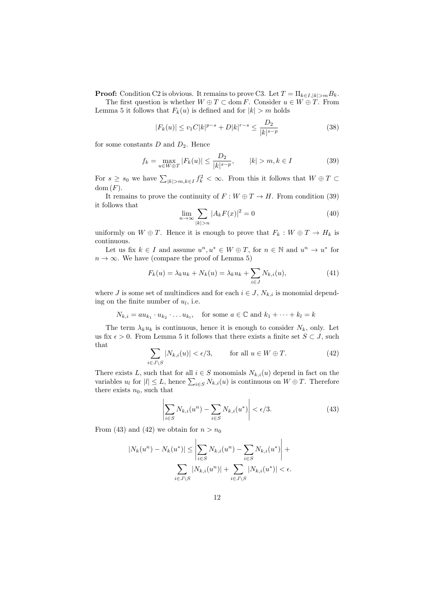**Proof:** Condition C2 is obvious. It remains to prove C3. Let  $T = \prod_{k \in I, |k| > m} B_k$ .

The first question is whether  $W \oplus T \subset \text{dom } F$ . Consider  $u \in W \oplus T$ . From Lemma 5 it follows that  $F_k(u)$  is defined and for  $|k| > m$  holds

$$
|F_k(u)| \le v_1 C |k|^{p-s} + D|k|^{r-s} \le \frac{D_2}{|k|^{s-p}}
$$
\n(38)

for some constants *D* and *D*2. Hence

$$
f_k = \max_{u \in W \oplus T} |F_k(u)| \le \frac{D_2}{|k|^{s-p}}, \qquad |k| > m, k \in I
$$
 (39)

For  $s \geq s_0$  we have  $\sum_{|k| > m, k \in I} f_k^2 < \infty$ . From this it follows that  $W \oplus T \subset$  $dom(F)$ .

It remains to prove the continuity of  $F : W \oplus T \to H$ . From condition (39) it follows that

$$
\lim_{n \to \infty} \sum_{|k| > n} |A_k F(x)|^2 = 0 \tag{40}
$$

uniformly on  $W \oplus T$ . Hence it is enough to prove that  $F_k : W \oplus T \to H_k$  is continuous.

Let us fix  $k \in I$  and assume  $u^n, u^* \in W \oplus T$ , for  $n \in \mathbb{N}$  and  $u^n \to u^*$  for  $n \to \infty$ . We have (compare the proof of Lemma 5)

$$
F_k(u) = \lambda_k u_k + N_k(u) = \lambda_k u_k + \sum_{i \in J} N_{k,i}(u), \qquad (41)
$$

where *J* is some set of multindices and for each  $i \in J$ ,  $N_{k,i}$  is monomial depending on the finite number of *u<sup>l</sup>* , i.e.

 $N_{k,i} = au_{k_1} \cdot u_{k_2} \cdot \ldots u_{k_l}$ , for some  $a \in \mathbb{C}$  and  $k_1 + \cdots + k_l = k$ 

The term  $\lambda_k u_k$  is continuous, hence it is enough to consider  $N_k$ , only. Let us fix  $\epsilon > 0$ . From Lemma 5 it follows that there exists a finite set  $S \subset J$ , such that

$$
\sum_{i \in J \setminus S} |N_{k,i}(u)| < \epsilon/3, \qquad \text{for all } u \in W \oplus T. \tag{42}
$$

There exists *L*, such that for all  $i \in S$  monomials  $N_{k,i}(u)$  depend in fact on the variables  $u_l$  for  $|l| \leq L$ , hence  $\sum_{i \in S} N_{k,i}(u)$  is continuous on  $W \oplus T$ . Therefore there exists  $n_0$ , such that

$$
\left| \sum_{i \in S} N_{k,i}(u^n) - \sum_{i \in S} N_{k,i}(u^*) \right| < \epsilon/3. \tag{43}
$$

From (43) and (42) we obtain for  $n > n_0$ 

$$
|N_k(u^n) - N_k(u^*)| \le \left| \sum_{i \in S} N_{k,i}(u^n) - \sum_{i \in S} N_{k,i}(u^*) \right| + \sum_{i \in J \setminus S} |N_{k,i}(u^n)| + \sum_{i \in J \setminus S} |N_{k,i}(u^*)| < \epsilon.
$$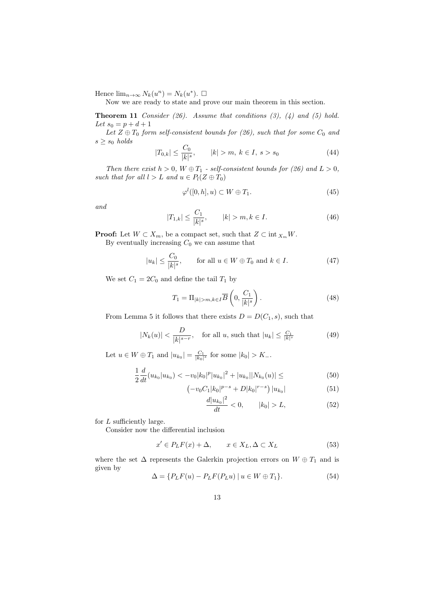Hence  $\lim_{n\to\infty} N_k(u^n) = N_k(u^*).$ 

Now we are ready to state and prove our main theorem in this section.

**Theorem 11** *Consider (26). Assume that conditions (3), (4) and (5) hold. Let*  $s_0 = p + d + 1$ 

Let  $Z \oplus T_0$  *form self-consistent bounds for* (26), such that for some  $C_0$  and  $s \geq s_0$  *holds* 

$$
|T_{0,k}| \le \frac{C_0}{|k|^s}, \qquad |k| > m, \ k \in I, \ s > s_0 \tag{44}
$$

*Then there exist*  $h > 0$ ,  $W \oplus T_1$  *- self-consistent bounds for (26) and*  $L > 0$ , *such that for all*  $l > L$  *and*  $u \in P_l(Z \oplus T_0)$ 

$$
\varphi^l([0, h], u) \subset W \oplus T_1. \tag{45}
$$

*and*

$$
|T_{1,k}| \le \frac{C_1}{|k|^s}, \qquad |k| > m, k \in I.
$$
 (46)

**Proof:** Let  $W \subset X_m$ , be a compact set, such that  $Z \subset \text{int } X_m W$ .

By eventually increasing  $C_0$  we can assume that

$$
|u_k| \le \frac{C_0}{|k|^s}, \qquad \text{for all } u \in W \oplus T_0 \text{ and } k \in I. \tag{47}
$$

We set  $C_1 = 2C_0$  and define the tail  $T_1$  by

$$
T_1 = \Pi_{|k|>m, k \in I} \overline{B}\left(0, \frac{C_1}{|k|^s}\right). \tag{48}
$$

From Lemma 5 it follows that there exists  $D = D(C_1, s)$ , such that

$$
|N_k(u)| < \frac{D}{|k|^{s-r}}, \quad \text{for all } u, \text{ such that } |u_k| \le \frac{C_1}{|k|^s} \tag{49}
$$

Let  $u \in W \oplus T_1$  and  $|u_{k_0}| = \frac{C_1}{|k_0|^s}$  for some  $|k_0| > K_-.$ 

$$
\frac{1}{2}\frac{d}{dt}(u_{k_0}|u_{k_0}) < -v_0|k_0|^p|u_{k_0}|^2 + |u_{k_0}||N_{k_0}(u)| \leq (50)
$$

$$
\left(-v_0 C_1 |k_0|^{p-s} + D |k_0|^{r-s}\right) |u_{k_0}| \tag{51}
$$

$$
\frac{d|u_{k_0}|^2}{dt} < 0, \qquad |k_0| > L,\tag{52}
$$

for *L* sufficiently large.

Consider now the differential inclusion

$$
x' \in P_L F(x) + \Delta, \qquad x \in X_L, \Delta \subset X_L \tag{53}
$$

where the set  $\Delta$  represents the Galerkin projection errors on  $W \oplus T_1$  and is given by

$$
\Delta = \{ P_L F(u) - P_L F(P_L u) \mid u \in W \oplus T_1 \}. \tag{54}
$$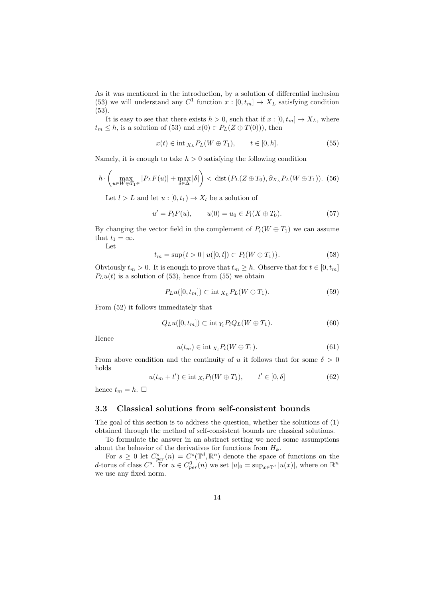As it was mentioned in the introduction, by a solution of differential inclusion (53) we will understand any  $C^1$  function  $x : [0, t_m] \to X_L$  satisfying condition (53).

It is easy to see that there exists  $h > 0$ , such that if  $x : [0, t_m] \to X_L$ , where  $t_m \leq h$ , is a solution of (53) and  $x(0) \in P_L(Z \oplus T(0))$ , then

$$
x(t) \in \text{int}_{X_L} P_L(W \oplus T_1), \qquad t \in [0, h]. \tag{55}
$$

Namely, it is enough to take  $h > 0$  satisfying the following condition

$$
h \cdot \left( \max_{u \in W \oplus T_1 \in} |P_L F(u)| + \max_{\delta \in \Delta} |\delta| \right) < \text{dist}\left(P_L(Z \oplus T_0), \partial_{X_L} P_L(W \oplus T_1)\right). \tag{56}
$$

Let  $l > L$  and let  $u : [0, t_1) \to X_l$  be a solution of

$$
u' = P_t F(u), \qquad u(0) = u_0 \in P_t(X \oplus T_0).
$$
 (57)

By changing the vector field in the complement of  $P_l(W \oplus T_1)$  we can assume that  $t_1 = \infty$ . Let

$$
t_m = \sup\{t > 0 \mid u([0, t]) \subset P_l(W \oplus T_1)\}.
$$
\n(58)

Obviously  $t_m > 0$ . It is enough to prove that  $t_m \geq h$ . Observe that for  $t \in [0, t_m]$  $P<sub>L</sub>u(t)$  is a solution of (53), hence from (55) we obtain

$$
P_L u([0, t_m]) \subset \text{int }_{X_L} P_L(W \oplus T_1). \tag{59}
$$

From (52) it follows immediately that

$$
Q_L u([0, t_m]) \subset \text{int}_{Y_l} P_l Q_L(W \oplus T_1). \tag{60}
$$

Hence

$$
u(t_m) \in \text{int}_{X_l} P_l(W \oplus T_1). \tag{61}
$$

From above condition and the continuity of *u* it follows that for some  $\delta > 0$ holds

$$
u(t_m + t') \in \text{int}_{X_l} P_l(W \oplus T_1), \qquad t' \in [0, \delta]
$$
\n
$$
(62)
$$

hence  $t_m = h$ .  $\Box$ 

#### **3.3 Classical solutions from self-consistent bounds**

The goal of this section is to address the question, whether the solutions of (1) obtained through the method of self-consistent bounds are classical solutions.

To formulate the answer in an abstract setting we need some assumptions about the behavior of the derivatives for functions from *Hk*.

For  $s \geq 0$  let  $C_{per}^s(n) = C^s(\mathbb{T}^d, \mathbb{R}^n)$  denote the space of functions on the d-torus of class  $C^s$ . For  $u \in C_{per}^0(n)$  we set  $|u|_0 = \sup_{x \in \mathbb{T}^d} |u(x)|$ , where on  $\mathbb{R}^n$ we use any fixed norm.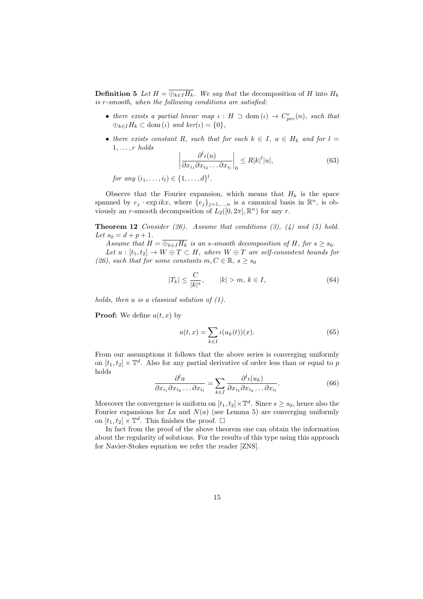**Definition 5** *Let*  $H = \overline{\bigoplus_{k \in I} H_k}$ *. We say that* the decomposition of *H* into  $H_k$ *is r-smooth, when the following conditions are satisfied:*

- *there exists a partial linear map*  $\iota$  :  $H \supset \text{dom}(\iota) \rightarrow C_{per}^r(n)$ *, such that*  $\bigoplus_{k \in I} H_k \subset \text{dom}(\iota) \text{ and } \ker(\iota) = \{0\},\$
- *there exists constant R, such that for each*  $k \in I$ *,*  $u \in H_k$  *and for*  $l =$ 1*, . . . , r holds*

$$
\left| \frac{\partial^l \iota(u)}{\partial x_{i_1} \partial x_{i_2} \dots \partial x_{i_l}} \right|_0 \le R |k|^l |u|,\tag{63}
$$

*for any*  $(i_1, ..., i_l) \in \{1, ..., d\}^l$ .

Observe that the Fourier expansion, which means that  $H_k$  is the space spanned by  $e_j \cdot \exp ikx$ , where  $\{e_j\}_{j=1,\dots,n}$  is a canonical basis in  $\mathbb{R}^n$ , is obviously an *r*-smooth decomposition of  $L_2([0, 2\pi], \mathbb{R}^n)$  for any *r*.

**Theorem 12** *Consider (26). Assume that conditions (3), (4) and (5) hold. Let*  $s_0 = d + p + 1$ .

*Assume that*  $H = \overline{\bigoplus_{k \in I} H_k}$  *is an s-smooth decomposition of*  $H$ *, for*  $s \geq s_0$ *.* 

*Let*  $u : [t_1, t_2] \to W \oplus T \subset H$ *, where*  $W \oplus T$  *are self-consistent bounds for (26), such that for some constants*  $m, C \in \mathbb{R}, s \geq s_0$ 

$$
|T_k| \le \frac{C}{|k|^s}, \qquad |k| > m, \ k \in I,
$$
\n
$$
(64)
$$

*holds, then u is a classical solution of (1).*

**Proof:** We define  $a(t, x)$  by

$$
a(t,x) = \sum_{k \in I} \iota(u_k(t))(x).
$$
 (65)

From our assumptions it follows that the above series is converging uniformly on  $[t_1, t_2] \times \mathbb{T}^d$ . Also for any partial derivative of order less than or equal to *p* holds

$$
\frac{\partial^l a}{\partial x_{i_1} \partial x_{i_2} \dots \partial x_{i_l}} = \sum_{k \in I} \frac{\partial^l \iota(u_k)}{\partial x_{i_1} \partial x_{i_2} \dots \partial x_{i_l}}.
$$
(66)

Moreover the convergence is uniform on  $[t_1, t_2] \times \mathbb{T}^d$ . Since  $s \ge s_0$ , hence also the Fourier expansions for *La* and  $N(a)$  (see Lemma 5) are converging uniformly on  $[t_1, t_2] \times \mathbb{T}^d$ . This finishes the proof.  $\Box$ 

In fact from the proof of the above theorem one can obtain the information about the regularity of solutions. For the results of this type using this approach for Navier-Stokes equation we refer the reader [ZNS].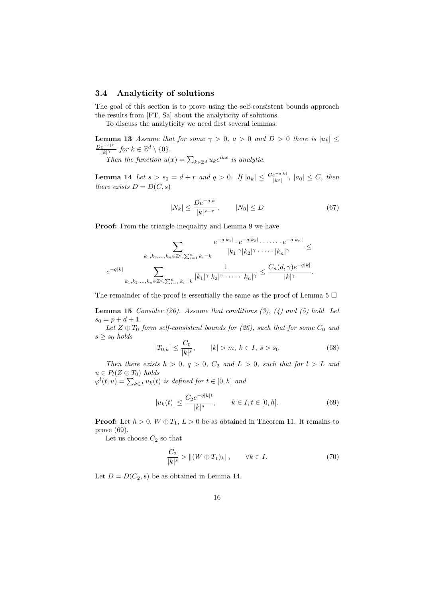#### **3.4 Analyticity of solutions**

The goal of this section is to prove using the self-consistent bounds approach the results from [FT, Sa] about the analyticity of solutions.

To discuss the analyticity we need first several lemmas.

**Lemma 13** *Assume that for some*  $\gamma > 0$ ,  $a > 0$  *and*  $D > 0$  *there is*  $|u_k| \leq$  $\frac{De^{-a|k|}}{|k|^\gamma}$  *for*  $k \in \mathbb{Z}^d \setminus \{0\}$ *.* 

*Then the function*  $u(x) = \sum_{k \in \mathbb{Z}^d} u_k e^{ikx}$  *is analytic.* 

**Lemma 14** Let  $s > s_0 = d + r$  and  $q > 0$ . If  $|a_k| \leq \frac{Ce^{-q|k|}}{|k^s|}$ ,  $|a_0| \leq C$ , then *there exists*  $D = D(C, s)$ 

$$
|N_k| \le \frac{De^{-q|k|}}{|k|^{s-r}}, \qquad |N_0| \le D \tag{67}
$$

**Proof:** From the triangle inequality and Lemma 9 we have

$$
\sum_{k_1, k_2, \dots, k_n \in \mathbb{Z}^d, \sum_{i=1}^n k_i = k} \frac{e^{-q|k_1|} \cdot e^{-q|k_2|} \cdot \dots \cdot e^{-q|k_n|}}{|k_1|^\gamma |k_2|^\gamma \cdot \dots \cdot |k_n|^\gamma} \le
$$

$$
e^{-q|k|} \sum_{k_1, k_2, \dots, k_n \in \mathbb{Z}^d, \sum_{i=1}^n k_i = k} \frac{1}{|k_1|^\gamma |k_2|^\gamma \cdot \dots \cdot |k_n|^\gamma} \le \frac{C_n(d, \gamma) e^{-q|k|}}{|k|^\gamma}.
$$

The remainder of the proof is essentially the same as the proof of Lemma 5  $\Box$ 

**Lemma 15** *Consider (26). Assume that conditions (3), (4) and (5) hold. Let*  $s_0 = p + d + 1.$ 

*Let*  $Z \oplus T_0$  *form self-consistent bounds for* (26), such that for some  $C_0$  and  $s \geq s_0$  *holds* 

$$
|T_{0,k}| \le \frac{C_0}{|k|^s}, \qquad |k| > m, \ k \in I, \ s > s_0 \tag{68}
$$

*Then there exists*  $h > 0$ ,  $q > 0$ ,  $C_2$  *and*  $L > 0$ , *such that for*  $l > L$  *and*  $u \in P_l(Z \oplus T_0)$  *holds* 

 $\varphi^{l}(t, u) = \sum_{k \in I} u_{k}(t)$  *is defined for*  $t \in [0, h]$  *and* 

$$
|u_k(t)| \le \frac{C_2 e^{-q|k|t}}{|k|^s}, \qquad k \in I, t \in [0, h].
$$
 (69)

**Proof:** Let  $h > 0$ ,  $W \oplus T_1$ ,  $L > 0$  be as obtained in Theorem 11. It remains to prove (69).

Let us choose  $C_2$  so that

$$
\frac{C_2}{|k|^s} > \|(W \oplus T_1)_k\|, \qquad \forall k \in I.
$$
\n(70)

Let  $D = D(C_2, s)$  be as obtained in Lemma 14.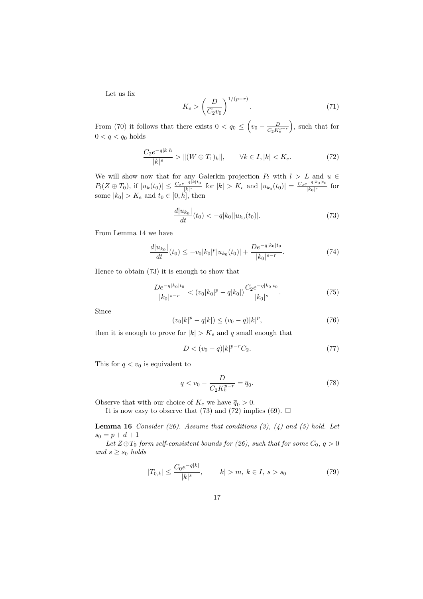Let us fix

$$
K_e > \left(\frac{D}{C_2 v_0}\right)^{1/(p-r)}.\t(71)
$$

From (70) it follows that there exists  $0 < q_0 \leq (v_0 - \frac{D}{C_0 K})$  $C_2K_e^{p-r}$ ) , such that for  $0 < q < q_0$  holds

$$
\frac{C_2 e^{-q|k|h}}{|k|^s} > \|(W \oplus T_1)_k\|, \qquad \forall k \in I, |k| < K_e. \tag{72}
$$

We will show now that for any Galerkin projection  $P_l$  with  $l > L$  and  $u \in$  $P_l(Z \oplus T_0)$ , if  $|u_k(t_0)| \leq \frac{C_2 e^{-q|k|t_0|}}{|k|^s}$  $\frac{1}{|k|^{s}}$  for  $|k| > K_e$  and  $|u_{k_0}(t_0)| = \frac{C_2e^{-q|k_0|t_0}}{|k_0|^{s}}$  $\frac{e^{2\pi i/60} \log n}{|k_0|^s}$  for some  $|k_0| > K_e$  and  $t_0 \in [0, h]$ , then

$$
\frac{d|u_{k_0}|}{dt}(t_0) < -q|k_0||u_{k_0}(t_0)|.\tag{73}
$$

From Lemma 14 we have

$$
\frac{d|u_{k_0}|}{dt}(t_0) \le -v_0|k_0|^p |u_{k_0}(t_0)| + \frac{De^{-q|k_0|t_0}}{|k_0|^{s-r}}.\tag{74}
$$

Hence to obtain (73) it is enough to show that

$$
\frac{De^{-q|k_0|t_0}}{|k_0|^{s-r}} < (v_0|k_0|^p - q|k_0|) \frac{C_2 e^{-q|k_0|t_0}}{|k_0|^s}.\tag{75}
$$

Since

$$
(v_0|k|^p - q|k|) \le (v_0 - q)|k|^p,
$$
\n(76)

then it is enough to prove for  $|k| > K_e$  and q small enough that

$$
D < (v_0 - q)|k|^{p-r}C_2. \tag{77}
$$

This for  $q < v_0$  is equivalent to

$$
q < v_0 - \frac{D}{C_2 K_e^{p-r}} = \overline{q}_0. \tag{78}
$$

Observe that with our choice of  $K_e$  we have  $\overline{q}_0 > 0$ . It is now easy to observe that (73) and (72) implies (69).  $\Box$ 

**Lemma 16** *Consider (26). Assume that conditions (3), (4) and (5) hold. Let*  $s_0 = p + d + 1$ 

*Let*  $Z \oplus T_0$  *form self-consistent bounds for (26), such that for some*  $C_0$ ,  $q > 0$  $and$   $s \geq s_0$  *holds* 

$$
|T_{0,k}| \le \frac{C_0 e^{-q|k|}}{|k|^s}, \qquad |k| > m, \ k \in I, \ s > s_0 \tag{79}
$$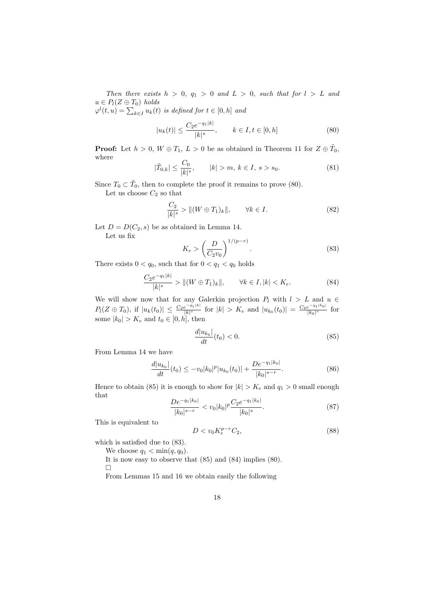*Then there exists*  $h > 0$ ,  $q_1 > 0$  *and*  $L > 0$ , *such that for*  $l > L$  *and*  $u \in P_l(Z \oplus T_0)$  *holds* 

 $\varphi^{l}(t, u) = \sum_{k \in I} u_{k}(t)$  *is defined for*  $t \in [0, h]$  *and* 

$$
|u_k(t)| \le \frac{C_2 e^{-q_1|k|}}{|k|^s}, \qquad k \in I, t \in [0, h]
$$
\n(80)

**Proof:** Let  $h > 0$ ,  $W \oplus T_1$ ,  $L > 0$  be as obtained in Theorem 11 for  $Z \oplus \tilde{T}_0$ , where

$$
|\tilde{T}_{0,k}| \le \frac{C_0}{|k|^s}, \qquad |k| > m, \ k \in I, \ s > s_0.
$$
 (81)

Since  $T_0 \subset \tilde{T}_0$ , then to complete the proof it remains to prove (80).

Let us choose  $C_2$  so that

$$
\frac{C_2}{|k|^s} > ||(W \oplus T_1)_k||, \qquad \forall k \in I.
$$
\n
$$
(82)
$$

Let  $D = D(C_2, s)$  be as obtained in Lemma 14.

Let us fix

$$
K_e > \left(\frac{D}{C_2 v_0}\right)^{1/(p-r)}.\tag{83}
$$

There exists  $0 < q_0$ , such that for  $0 < q_1 < q_0$  holds

$$
\frac{C_2e^{-q_1|k|}}{|k|^s} > \|(W \oplus T_1)_k\|, \qquad \forall k \in I, |k| < K_e. \tag{84}
$$

We will show now that for any Galerkin projection  $P_l$  with  $l > L$  and  $u \in$  $P_l(Z \oplus T_0)$ , if  $|u_k(t_0)| \leq \frac{C_2 e^{-q_1|k|}}{|k|^s}$  $\frac{e^{-q_1|k|}}{|k|^s}$  for  $|k| > K_e$  and  $|u_{k_0}(t_0)| = \frac{C_2e^{-q_1|k_0|}}{|k_0|^s}$  $\frac{e^{-41/n_0}}{|k_0|^s}$  for some  $|k_0| > K_e$  and  $t_0 \in [0, h]$ , then

$$
\frac{d|u_{k_0}|}{dt}(t_0) < 0.\tag{85}
$$

From Lemma 14 we have

$$
\frac{d|u_{k_0}|}{dt}(t_0) \le -v_0|k_0|^p|u_{k_0}(t_0)| + \frac{De^{-q_1|k_0|}}{|k_0|^{s-r}}.\tag{86}
$$

Hence to obtain (85) it is enough to show for  $|k| > K_e$  and  $q_1 > 0$  small enough that

$$
\frac{De^{-q_1|k_0|}}{|k_0|^{s-r}} < v_0|k_0|^p \frac{C_2e^{-q_1|k_0|}}{|k_0|^s}.\tag{87}
$$

This is equivalent to

$$
D < v_0 K_e^{p-r} C_2,\tag{88}
$$

which is satisfied due to (83).

We choose  $q_1 < \min(q, q_0)$ .

It is now easy to observe that (85) and (84) implies (80).  $\Box$ 

From Lemmas 15 and 16 we obtain easily the following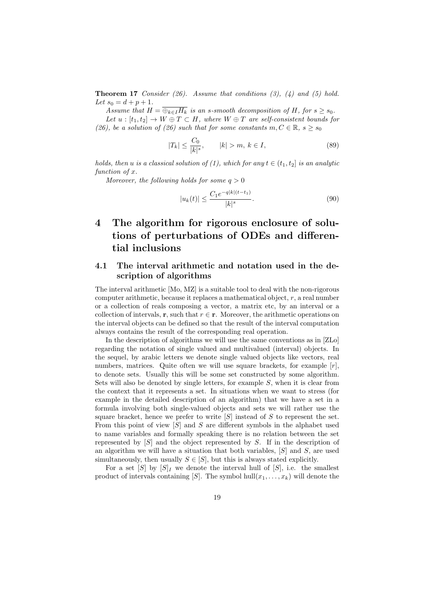**Theorem 17** *Consider (26). Assume that conditions (3), (4) and (5) hold. Let*  $s_0 = d + p + 1$ *.* 

*Assume that*  $H = \overline{\bigoplus_{k \in I} H_k}$  *is an s-smooth decomposition of*  $H$ *, for*  $s \geq s_0$ *. Let*  $u : [t_1, t_2] \to W \oplus T \subset H$ *, where*  $W \oplus T$  *are self-consistent bounds for (26), be a solution of (26) such that for some constants*  $m, C \in \mathbb{R}, s \geq s_0$ 

$$
|T_k| \le \frac{C_0}{|k|^s}, \qquad |k| > m, \ k \in I,
$$
\n(89)

*holds, then u is a classical solution of (1), which for any*  $t \in (t_1, t_2]$  *is an analytic function of x.*

*Moreover, the following holds for some*  $q > 0$ 

$$
|u_k(t)| \le \frac{C_1 e^{-q|k|(t-t_1)}}{|k|^s}.
$$
\n(90)

# **4 The algorithm for rigorous enclosure of solutions of perturbations of ODEs and differential inclusions**

# **4.1 The interval arithmetic and notation used in the description of algorithms**

The interval arithmetic [Mo, MZ] is a suitable tool to deal with the non-rigorous computer arithmetic, because it replaces a mathematical object, *r*, a real number or a collection of reals composing a vector, a matrix etc, by an interval or a collection of intervals, **r**, such that  $r \in \mathbf{r}$ . Moreover, the arithmetic operations on the interval objects can be defined so that the result of the interval computation always contains the result of the corresponding real operation.

In the description of algorithms we will use the same conventions as in [ZLo] regarding the notation of single valued and multivalued (interval) objects. In the sequel, by arabic letters we denote single valued objects like vectors, real numbers, matrices. Quite often we will use square brackets, for example  $[r]$ , to denote sets. Usually this will be some set constructed by some algorithm. Sets will also be denoted by single letters, for example *S*, when it is clear from the context that it represents a set. In situations when we want to stress (for example in the detailed description of an algorithm) that we have a set in a formula involving both single-valued objects and sets we will rather use the square bracket, hence we prefer to write [*S*] instead of *S* to represent the set. From this point of view [*S*] and *S* are different symbols in the alphabet used to name variables and formally speaking there is no relation between the set represented by [*S*] and the object represented by *S*. If in the description of an algorithm we will have a situation that both variables, [*S*] and *S*, are used simultaneously, then usually  $S \in [S]$ , but this is always stated explicitly.

For a set  $[S]$  by  $[S]$ <sub>I</sub> we denote the interval hull of  $[S]$ , i.e. the smallest product of intervals containing [*S*]. The symbol hull $(x_1, \ldots, x_k)$  will denote the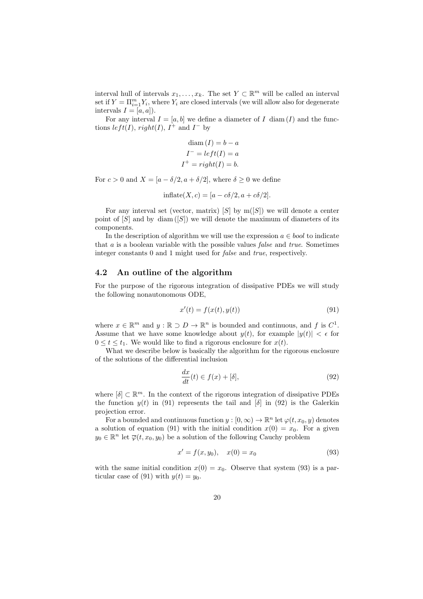interval hull of intervals  $x_1, \ldots, x_k$ . The set  $Y \subset \mathbb{R}^m$  will be called an interval set if  $Y = \prod_{i=1}^{m} Y_i$ , where  $Y_i$  are closed intervals (we will allow also for degenerate intervals  $I = [a, a]$ .

For any interval  $I = [a, b]$  we define a diameter of *I* diam (*I*) and the functions  $left(I), right(I), I^+ \text{ and } I^- \text{ by}$ 

$$
diam (I) = b - a
$$

$$
I^- = left(I) = a
$$

$$
I^+ = right(I) = b.
$$

For  $c > 0$  and  $X = [a - \delta/2, a + \delta/2]$ , where  $\delta \geq 0$  we define

$$
in\text{flat}(X,c) = [a - c\delta/2, a + c\delta/2].
$$

For any interval set (vector, matrix)  $[S]$  by  $m([S])$  we will denote a center point of  $[S]$  and by diam  $([S])$  we will denote the maximum of diameters of its components.

In the description of algorithm we will use the expression  $a \in bool$  to indicate that *a* is a boolean variable with the possible values *false* and *true*. Sometimes integer constants 0 and 1 might used for *false* and *true*, respectively.

#### **4.2 An outline of the algorithm**

For the purpose of the rigorous integration of dissipative PDEs we will study the following nonautonomous ODE,

$$
x'(t) = f(x(t), y(t))
$$
\n
$$
(91)
$$

where  $x \in \mathbb{R}^m$  and  $y : \mathbb{R} \supset D \to \mathbb{R}^n$  is bounded and continuous, and f is  $C^1$ . Assume that we have some knowledge about  $y(t)$ , for example  $|y(t)| < \epsilon$  for  $0 \le t \le t_1$ . We would like to find a rigorous enclosure for  $x(t)$ .

What we describe below is basically the algorithm for the rigorous enclosure of the solutions of the differential inclusion

$$
\frac{dx}{dt}(t) \in f(x) + [\delta],\tag{92}
$$

where [*δ*] *⊂* R *<sup>m</sup>*. In the context of the rigorous integration of dissipative PDEs the function  $y(t)$  in (91) represents the tail and  $\delta$  in (92) is the Galerkin projection error.

For a bounded and continuous function  $y : [0, \infty) \to \mathbb{R}^n$  let  $\varphi(t, x_0, y)$  denotes a solution of equation (91) with the initial condition  $x(0) = x_0$ . For a given  $y_0 \in \mathbb{R}^n$  let  $\overline{\varphi}(t, x_0, y_0)$  be a solution of the following Cauchy problem

$$
x' = f(x, y_0), \quad x(0) = x_0 \tag{93}
$$

with the same initial condition  $x(0) = x_0$ . Observe that system (93) is a particular case of (91) with  $y(t) = y_0$ .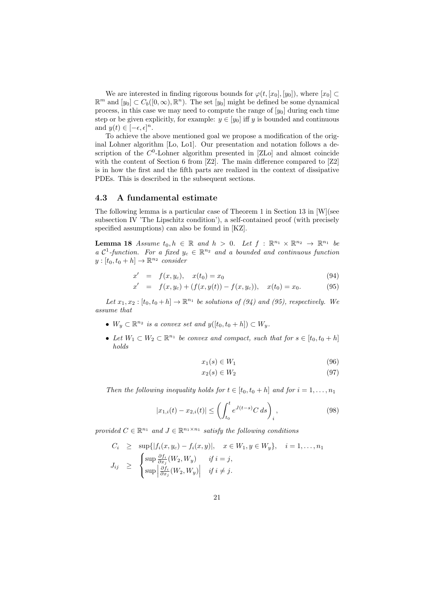We are interested in finding rigorous bounds for  $\varphi(t, [x_0], [y_0])$ , where  $[x_0] \subset$  $\mathbb{R}^m$  and  $[y_0]$  ⊂  $C_b([0,\infty), \mathbb{R}^n)$ . The set  $[y_0]$  might be defined be some dynamical process, in this case we may need to compute the range of [*y*0] during each time step or be given explicitly, for example:  $y \in [y_0]$  iff *y* is bounded and continuous and  $y(t) \in [-\epsilon, \epsilon]^n$ .

To achieve the above mentioned goal we propose a modification of the original Lohner algorithm [Lo, Lo1]. Our presentation and notation follows a description of the  $C^0$ -Lohner algorithm presented in [ZLo] and almost coincide with the content of Section 6 from [Z2]. The main difference compared to [Z2] is in how the first and the fifth parts are realized in the context of dissipative PDEs. This is described in the subsequent sections.

#### **4.3 A fundamental estimate**

The following lemma is a particular case of Theorem 1 in Section 13 in [W](see subsection IV 'The Lipschitz condition'), a self-contained proof (with precisely specified assumptions) can also be found in [KZ].

**Lemma 18** *Assume*  $t_0, h \in \mathbb{R}$  *and*  $h > 0$ *. Let*  $f : \mathbb{R}^{n_1} \times \mathbb{R}^{n_2} \to \mathbb{R}^{n_1}$  be *a*  $\mathcal{C}^1$ -function. For a fixed  $y_c \in \mathbb{R}^{n_2}$  and a bounded and continuous function  $y:[t_0, t_0+h] \to \mathbb{R}^{n_2}$  *consider* 

$$
x' = f(x, y_c), \quad x(t_0) = x_0 \tag{94}
$$

$$
x' = f(x, y_c) + (f(x, y(t)) - f(x, y_c)), \quad x(t_0) = x_0.
$$
 (95)

*Let*  $x_1, x_2 : [t_0, t_0 + h] \to \mathbb{R}^{n_1}$  *be solutions of (94) and (95), respectively. We assume that*

- $\bullet$  *W*<sub>*y*</sub> ⊂  $\mathbb{R}^{n_2}$  *is a convex set and*  $y([t_0, t_0 + h]) \subset W_y$ *.*
- Let  $W_1 \subset W_2 \subset \mathbb{R}^{n_1}$  be convex and compact, such that for  $s \in [t_0, t_0 + h]$ *holds*

$$
x_1(s) \in W_1 \tag{96}
$$

$$
x_2(s) \in W_2 \tag{97}
$$

*Then the following inequality holds for*  $t \in [t_0, t_0 + h]$  *and for*  $i = 1, \ldots, n_1$ 

$$
|x_{1,i}(t) - x_{2,i}(t)| \le \left(\int_{t_0}^t e^{J(t-s)} C \, ds\right)_i, \tag{98}
$$

*provided*  $C \in \mathbb{R}^{n_1}$  *and*  $J \in \mathbb{R}^{n_1 \times n_1}$  *satisfy the following conditions* 

$$
C_i \ge \sup\{|f_i(x, y_c) - f_i(x, y)|, x \in W_1, y \in W_y\}, i = 1,..., n_1
$$
  

$$
J_{ij} \ge \begin{cases} \sup \frac{\partial f_i}{\partial x_j}(W_2, W_y) & \text{if } i = j, \\ \sup \left|\frac{\partial f_i}{\partial x_j}(W_2, W_y)\right| & \text{if } i \neq j. \end{cases}
$$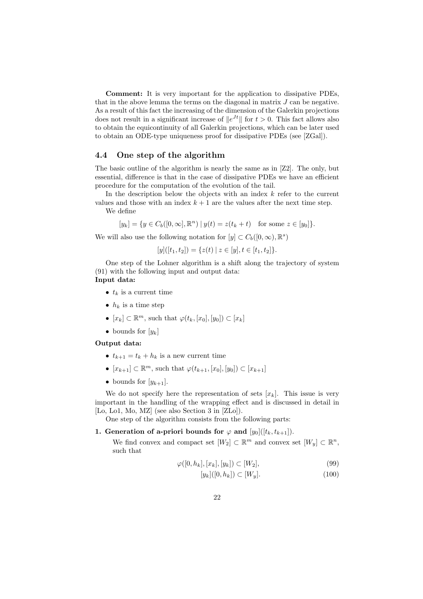**Comment:** It is very important for the application to dissipative PDEs, that in the above lemma the terms on the diagonal in matrix *J* can be negative. As a result of this fact the increasing of the dimension of the Galerkin projections does not result in a significant increase of  $||e^{Jt}||$  for  $t > 0$ . This fact allows also to obtain the equicontinuity of all Galerkin projections, which can be later used to obtain an ODE-type uniqueness proof for dissipative PDEs (see [ZGal]).

#### **4.4 One step of the algorithm**

The basic outline of the algorithm is nearly the same as in [Z2]. The only, but essential, difference is that in the case of dissipative PDEs we have an efficient procedure for the computation of the evolution of the tail.

In the description below the objects with an index *k* refer to the current values and those with an index  $k + 1$  are the values after the next time step.

We define

$$
[y_k] = \{ y \in C_b([0,\infty], \mathbb{R}^n) \mid y(t) = z(t_k + t) \text{ for some } z \in [y_0] \}.
$$

We will also use the following notation for  $[y] \subset C_b([0,\infty), \mathbb{R}^s)$ 

$$
[y]([t_1, t_2]) = \{z(t) \mid z \in [y], t \in [t_1, t_2]\}.
$$

One step of the Lohner algorithm is a shift along the trajectory of system (91) with the following input and output data: **Input data:**

- $t_k$  is a current time
- $h_k$  is a time step
- $\bullet$  [ $x_k$ ] ⊂  $\mathbb{R}^m$ , such that  $\varphi(t_k, [x_0], [y_0]) \subset [x_k]$
- bounds for  $[y_k]$

#### **Output data:**

- $t_{k+1} = t_k + h_k$  is a new current time
- *•*  $[x_{k+1}]$  ⊂  $\mathbb{R}^m$ , such that  $\varphi(t_{k+1}, [x_0], [y_0]) \subset [x_{k+1}]$
- bounds for  $[y_{k+1}]$ .

We do not specify here the representation of sets  $[x_k]$ . This issue is very important in the handling of the wrapping effect and is discussed in detail in [Lo, Lo1, Mo, MZ] (see also Section 3 in [ZLo]).

One step of the algorithm consists from the following parts:

#### **1. Generation of a-priori bounds for**  $\varphi$  **and**  $[y_0]([t_k, t_{k+1}])$ **.**

We find convex and compact set  $[W_2] \subset \mathbb{R}^m$  and convex set  $[W_y] \subset \mathbb{R}^n$ , such that

$$
\varphi([0, h_k], [x_k], [y_k]) \subset [W_2],\tag{99}
$$

$$
[y_k]([0, h_k]) \subset [W_y]. \tag{100}
$$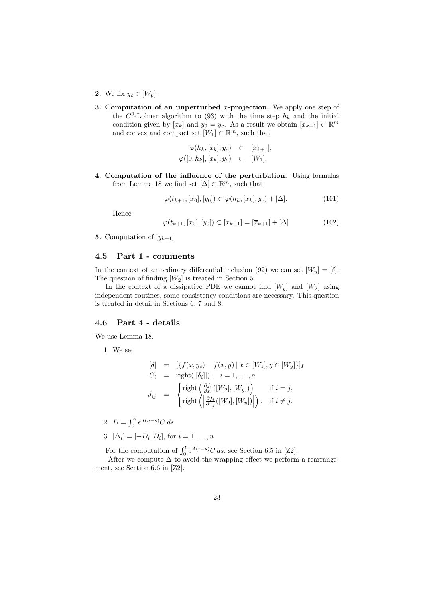- 2. We fix  $y_c \in [W_y]$ .
- **3. Computation of an unperturbed** *x***-projection.** We apply one step of the  $C^0$ -Lohner algorithm to (93) with the time step  $h_k$  and the initial condition given by  $[x_k]$  and  $y_0 = y_c$ . As a result we obtain  $[\overline{x}_{k+1}] \subset \mathbb{R}^m$ and convex and compact set  $[W_1] \subset \mathbb{R}^m$ , such that

$$
\overline{\varphi}(h_k, [x_k], y_c) \subset [\overline{x}_{k+1}], \n\overline{\varphi}([0, h_k], [x_k], y_c) \subset [W_1].
$$

**4. Computation of the influence of the perturbation.** Using formulas from Lemma 18 we find set  $[\Delta] \subset \mathbb{R}^m$ , such that

$$
\varphi(t_{k+1}, [x_0], [y_0]) \subset \overline{\varphi}(h_k, [x_k], y_c) + [\Delta]. \tag{101}
$$

Hence

$$
\varphi(t_{k+1}, [x_0], [y_0]) \subset [x_{k+1}] = [\overline{x}_{k+1}] + [\Delta]
$$
\n(102)

**5.** Computation of  $[y_{k+1}]$ 

# **4.5 Part 1 - comments**

In the context of an ordinary differential inclusion (92) we can set  $|W_y| = |\delta|$ . The question of finding [*W*2] is treated in Section 5.

In the context of a dissipative PDE we cannot find  $[W_u]$  and  $[W_2]$  using independent routines, some consistency conditions are necessary. This question is treated in detail in Sections 6, 7 and 8.

### **4.6 Part 4 - details**

We use Lemma 18.

1. We set

$$
\begin{aligned}\n[\delta] &= \left[ \{ f(x, y_c) - f(x, y) \mid x \in [W_1], y \in [W_y] \} \right] \\
C_i &= \text{right}(\left| [\delta_i] \right|), \quad i = 1, \dots, n \\
J_{ij} &= \begin{cases}\n\text{right} \left( \frac{\partial f_i}{\partial x_i}([W_2], [W_y]) \right) & \text{if } i = j, \\
\text{right} \left( \left| \frac{\partial f_i}{\partial x_j}([W_2], [W_y]) \right| \right). & \text{if } i \neq j.\n\end{cases}\n\end{aligned}
$$

2. 
$$
D = \int_0^h e^{J(h-s)} C ds
$$
  
3.  $[\Delta_i] = [-D_i, D_i]$ , for  $i = 1, ..., n$ 

For the computation of  $\int_0^t e^{A(t-s)} C ds$ , see Section 6.5 in [Z2].

After we compute  $\Delta$  to avoid the wrapping effect we perform a rearrangement, see Section 6.6 in [Z2].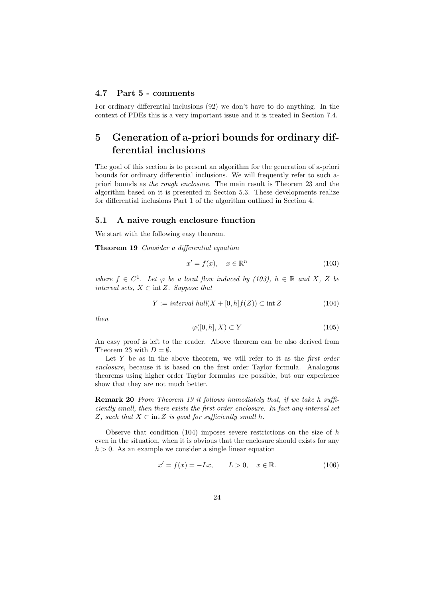## **4.7 Part 5 - comments**

For ordinary differential inclusions (92) we don't have to do anything. In the context of PDEs this is a very important issue and it is treated in Section 7.4.

# **5 Generation of a-priori bounds for ordinary differential inclusions**

The goal of this section is to present an algorithm for the generation of a-priori bounds for ordinary differential inclusions. We will frequently refer to such apriori bounds as *the rough enclosure*. The main result is Theorem 23 and the algorithm based on it is presented in Section 5.3. These developments realize for differential inclusions Part 1 of the algorithm outlined in Section 4.

#### **5.1 A naive rough enclosure function**

We start with the following easy theorem.

**Theorem 19** *Consider a differential equation*

$$
x' = f(x), \quad x \in \mathbb{R}^n \tag{103}
$$

*where*  $f \in C^1$ *. Let*  $\varphi$  *be a local flow induced by (103),*  $h \in \mathbb{R}$  *and*  $X$ *,*  $Z$  *be interval sets, X ⊂* int*Z. Suppose that*

$$
Y := interval \; hull(X + [0, h]f(Z)) \subset int \, Z \tag{104}
$$

*then*

$$
\varphi([0,h],X) \subset Y \tag{105}
$$

An easy proof is left to the reader. Above theorem can be also derived from Theorem 23 with  $D = \emptyset$ .

Let *Y* be as in the above theorem, we will refer to it as the *first order enclosure*, because it is based on the first order Taylor formula. Analogous theorems using higher order Taylor formulas are possible, but our experience show that they are not much better.

**Remark 20** *From Theorem 19 it follows immediately that, if we take h sufficiently small, then there exists the first order enclosure. In fact any interval set Z, such that*  $X \subset \text{int } Z$  *is good for sufficiently small*  $h$ *.* 

Observe that condition (104) imposes severe restrictions on the size of *h* even in the situation, when it is obvious that the enclosure should exists for any  $h > 0$ . As an example we consider a single linear equation

$$
x' = f(x) = -Lx, \qquad L > 0, \quad x \in \mathbb{R}.\tag{106}
$$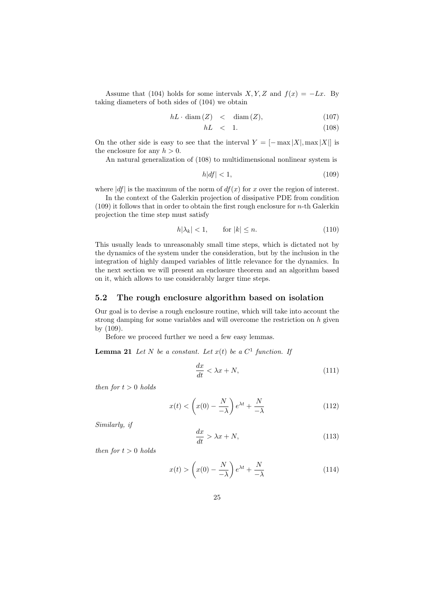Assume that (104) holds for some intervals *X,Y,Z* and  $f(x) = -Lx$ . By taking diameters of both sides of (104) we obtain

$$
hL \cdot \text{diam}(Z) \quad < \quad \text{diam}(Z), \tag{107}
$$

$$
hL \quad < \quad 1. \tag{108}
$$

On the other side is easy to see that the interval  $Y = [-\max |X|, \max |X|]$  is the enclosure for any  $h > 0$ .

An natural generalization of (108) to multidimensional nonlinear system is

$$
h|df| < 1,\tag{109}
$$

where  $|df|$  is the maximum of the norm of  $df(x)$  for *x* over the region of interest.

In the context of the Galerkin projection of dissipative PDE from condition (109) it follows that in order to obtain the first rough enclosure for *n*-th Galerkin projection the time step must satisfy

$$
h|\lambda_k| < 1, \qquad \text{for } |k| \le n. \tag{110}
$$

This usually leads to unreasonably small time steps, which is dictated not by the dynamics of the system under the consideration, but by the inclusion in the integration of highly damped variables of little relevance for the dynamics. In the next section we will present an enclosure theorem and an algorithm based on it, which allows to use considerably larger time steps.

#### **5.2 The rough enclosure algorithm based on isolation**

Our goal is to devise a rough enclosure routine, which will take into account the strong damping for some variables and will overcome the restriction on *h* given by (109).

Before we proceed further we need a few easy lemmas.

**Lemma 21** *Let*  $N$  *be a constant. Let*  $x(t)$  *be a*  $C<sup>1</sup>$  *function. If* 

$$
\frac{dx}{dt} < \lambda x + N,\tag{111}
$$

*then for*  $t > 0$  *holds* 

$$
x(t) < \left(x(0) - \frac{N}{-\lambda}\right)e^{\lambda t} + \frac{N}{-\lambda} \tag{112}
$$

*Similarly, if*

$$
\frac{dx}{dt} > \lambda x + N,\tag{113}
$$

*then for*  $t > 0$  *holds* 

$$
x(t) > \left(x(0) - \frac{N}{-\lambda}\right)e^{\lambda t} + \frac{N}{-\lambda} \tag{114}
$$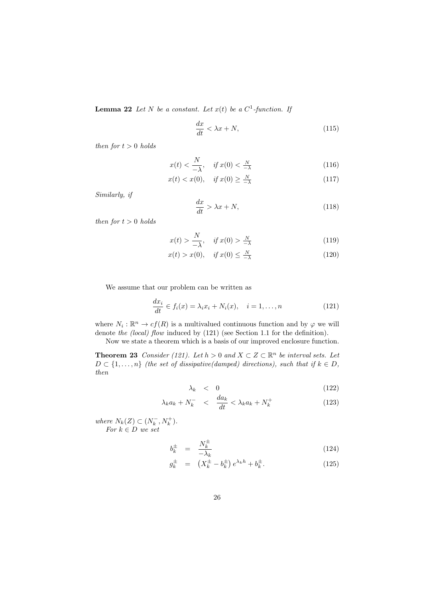**Lemma 22** *Let*  $N$  *be a constant. Let*  $x(t)$  *be a*  $C^1$ -function. If

$$
\frac{dx}{dt} < \lambda x + N,\tag{115}
$$

*then for*  $t > 0$  *holds* 

$$
x(t) < \frac{N}{-\lambda}, \quad \text{if } x(0) < \frac{N}{-\lambda} \tag{116}
$$

$$
x(t) < x(0), \quad \text{if } x(0) \ge \frac{N}{-\lambda} \tag{117}
$$

*Similarly, if*

$$
\frac{dx}{dt} > \lambda x + N,\tag{118}
$$

*then for*  $t > 0$  *holds* 

$$
x(t) > \frac{N}{-\lambda}, \quad \text{if } x(0) > \frac{N}{-\lambda} \tag{119}
$$

$$
x(t) > x(0), \quad \text{if } x(0) \le \frac{N}{-\lambda} \tag{120}
$$

We assume that our problem can be written as

$$
\frac{dx_i}{dt} \in f_i(x) = \lambda_i x_i + N_i(x), \quad i = 1, \dots, n
$$
\n(121)

where  $N_i: \mathbb{R}^n \to cf(R)$  is a multivalued continuous function and by  $\varphi$  we will denote *the (local) flow* induced by (121) (see Section 1.1 for the definition).

Now we state a theorem which is a basis of our improved enclosure function.

**Theorem 23** *Consider (121).* Let  $h > 0$  and  $X \subset Z \subset \mathbb{R}^n$  be interval sets. Let  $D \subset \{1, \ldots, n\}$  *(the set of dissipative(damped) directions), such that if*  $k \in D$ *, then*

$$
\lambda_k \quad < \quad 0 \tag{122}
$$

$$
\lambda_k a_k + N_k^- \quad < \quad \frac{da_k}{dt} < \lambda_k a_k + N_k^+ \tag{123}
$$

 $where N_k(Z) \subset (N_k^-, N_k^+).$ *For*  $k \in D$  *we set* 

$$
b_k^{\pm} = \frac{N_k^{\pm}}{-\lambda_k} \tag{124}
$$

$$
g_k^{\pm} = (X_k^{\pm} - b_k^{\pm}) e^{\lambda_k h} + b_k^{\pm}.
$$
 (125)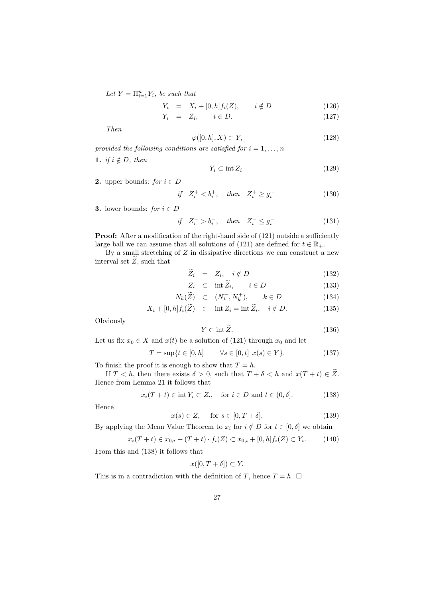$Let Y = \prod_{i=1}^{n} Y_i$ *, be such that* 

$$
Y_i = X_i + [0, h]f_i(Z), \qquad i \notin D \tag{126}
$$

$$
Y_i = Z_i, \qquad i \in D. \tag{127}
$$

*Then*

$$
\varphi([0, h], X) \subset Y,\tag{128}
$$

*provided the following conditions are satisfied for*  $i = 1, \ldots, n$ 1. *if*  $i \notin D$ *, then* 

$$
Y_i \subset \text{int } Z_i \tag{129}
$$

**2.** upper bounds: *for*  $i \in D$ 

$$
if \quad Z_i^+ < b_i^+, \quad then \quad Z_i^+ \ge g_i^+ \tag{130}
$$

**3.** lower bounds: *for*  $i \in D$ 

$$
if \quad Z_i^- > b_i^-, \quad then \quad Z_i^- \le g_i^- \tag{131}
$$

**Proof:** After a modification of the right-hand side of  $(121)$  outside a sufficiently large ball we can assume that all solutions of (121) are defined for  $t \in \mathbb{R}_+$ .

By a small stretching of *Z* in dissipative directions we can construct a new interval set  $\widetilde{Z}$ , such that

$$
\overline{Z}_i = Z_i, \quad i \notin D \tag{132}
$$

$$
Z_i \quad \subset \quad \text{int } \widetilde{Z}_i, \qquad i \in D \tag{133}
$$

$$
N_k(\widetilde{Z}) \quad \subset \quad (N_k^-, N_k^+), \qquad k \in D \tag{134}
$$

$$
X_i + [0, h] f_i(\tilde{Z}) \quad \subset \quad \text{int } Z_i = \text{int } \tilde{Z}_i, \quad i \notin D. \tag{135}
$$

**Obviously** 

$$
Y \subset \text{int}\,\widetilde{Z}.\tag{136}
$$

Let us fix  $x_0 \in X$  and  $x(t)$  be a solution of (121) through  $x_0$  and let

$$
T = \sup\{t \in [0, h] \mid \forall s \in [0, t] \ x(s) \in Y\}.
$$
 (137)

To finish the proof it is enough to show that  $T = h$ .

If  $T < h$ , then there exists  $\delta > 0$ , such that  $T + \delta < h$  and  $x(T + t) \in \tilde{Z}$ . Hence from Lemma 21 it follows that

$$
x_i(T+t) \in \text{int } Y_i \subset Z_i, \quad \text{for } i \in D \text{ and } t \in (0, \delta]. \tag{138}
$$

Hence

$$
x(s) \in Z, \quad \text{for } s \in [0, T + \delta]. \tag{139}
$$

By applying the Mean Value Theorem to  $x_i$  for  $i \notin D$  for  $t \in [0, \delta]$  we obtain

$$
x_i(T + t) \in x_{0,i} + (T + t) \cdot f_i(Z) \subset x_{0,i} + [0, h] f_i(Z) \subset Y_i.
$$
 (140)

From this and (138) it follows that

$$
x([0, T + \delta]) \subset Y.
$$

This is in a contradiction with the definition of *T*, hence  $T = h$ .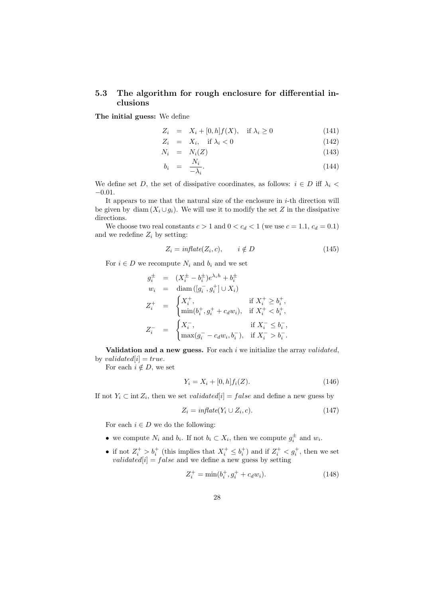# **5.3 The algorithm for rough enclosure for differential inclusions**

**The initial guess:** We define

$$
Z_i = X_i + [0, h]f(X), \quad \text{if } \lambda_i \ge 0 \tag{141}
$$

$$
Z_i = X_i, \quad \text{if } \lambda_i < 0 \tag{142}
$$

$$
N_i = N_i(Z) \tag{143}
$$

$$
b_i = \frac{N_i}{-\lambda_i}.\tag{144}
$$

We define set *D*, the set of dissipative coordinates, as follows:  $i \in D$  iff  $\lambda_i$ *−*0*.*01.

It appears to me that the natural size of the enclosure in *i*-th direction will be given by diam  $(X_i \cup g_i)$ . We will use it to modify the set *Z* in the dissipative directions.

We choose two real constants  $c > 1$  and  $0 < c_d < 1$  (we use  $c = 1.1, c_d = 0.1$ ) and we redefine  $Z_i$  by setting:

$$
Z_i = inflate(Z_i, c), \qquad i \notin D \tag{145}
$$

For  $i \in D$  we recompute  $N_i$  and  $b_i$  and we set

$$
g_i^{\pm} = (X_i^{\pm} - b_i^{\pm})e^{\lambda_i h} + b_i^{\pm}
$$
  
\n
$$
w_i = \text{diam}([g_i^-, g_i^+] \cup X_i)
$$
  
\n
$$
Z_i^+ = \begin{cases} X_i^+, & \text{if } X_i^+ \ge b_i^+, \\ \min(b_i^+, g_i^+ + c_d w_i), & \text{if } X_i^+ < b_i^+, \\ Z_i^- = \begin{cases} X_i^-, & \text{if } X_i^- \le b_i^-, \\ \max(g_i^- - c_d w_i, b_i^-), & \text{if } X_i^- > b_i^-.\end{cases}
$$

**Validation and a new guess.** For each *i* we initialize the array *validated*, by *validated*[ $i$ ] = *true*.

For each  $i \notin D$ , we set

$$
Y_i = X_i + [0, h] f_i(Z). \tag{146}
$$

If not  $Y_i \subset \text{int } Z_i$ , then we set *validated*[*i*] = *false* and define a new guess by

$$
Z_i = inflate(Y_i \cup Z_i, c). \tag{147}
$$

For each  $i \in D$  we do the following:

- we compute  $N_i$  and  $b_i$ . If not  $b_i \subset X_i$ , then we compute  $g_i^{\pm}$  and  $w_i$ .
- if not  $Z_i^+ > b_i^+$  (this implies that  $X_i^+ \leq b_i^+$ ) and if  $Z_i^+ < g_i^+$ , then we set *validated*[ $i$ ] =  $false$  and we define a new guess by setting

$$
Z_i^+ = \min(b_i^+, g_i^+ + c_d w_i). \tag{148}
$$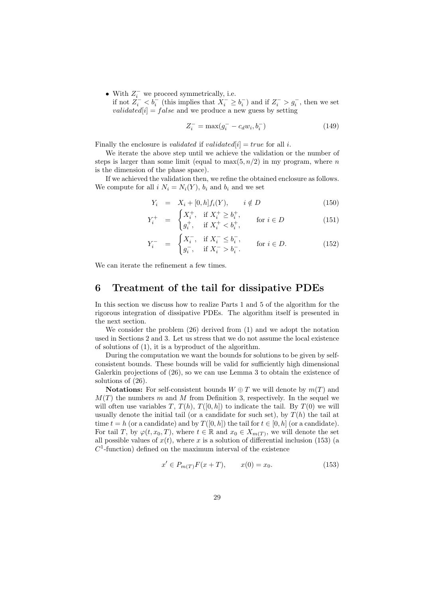*•* With *Z − <sup>i</sup>* we proceed symmetrically, i.e.

if not  $Z_i^- < b_i^-$  (this implies that  $X_i^- \geq b_i^-$ ) and if  $Z_i^- > g_i^-$ , then we set *validated*[ $i$ ] = *false* and we produce a new guess by setting

$$
Z_i^- = \max(g_i^- - c_d w_i, b_i^-) \tag{149}
$$

Finally the enclosure is *validated* if *validated*[ $i$ ] = *true* for all  $i$ .

We iterate the above step until we achieve the validation or the number of steps is larger than some limit (equal to  $\max(5, n/2)$  in my program, where *n* is the dimension of the phase space).

If we achieved the validation then, we refine the obtained enclosure as follows. We compute for all  $i$   $N_i = N_i(Y)$ ,  $b_i$  and  $b_i$  and we set

$$
Y_i = X_i + [0, h]f_i(Y), \qquad i \notin D \tag{150}
$$

$$
Y_i^+ = \begin{cases} X_i^+, & \text{if } X_i^+ \ge b_i^+, \\ g_i^+, & \text{if } X_i^+ < b_i^+, \end{cases} \quad \text{for } i \in D \tag{151}
$$

$$
Y_i^- = \begin{cases} X_i^-, & \text{if } X_i^- \le b_i^-, \\ g_i^-, & \text{if } X_i^- > b_i^-. \end{cases} \quad \text{for } i \in D. \tag{152}
$$

We can iterate the refinement a few times.

# **6 Treatment of the tail for dissipative PDEs**

In this section we discuss how to realize Parts 1 and 5 of the algorithm for the rigorous integration of dissipative PDEs. The algorithm itself is presented in the next section.

We consider the problem (26) derived from (1) and we adopt the notation used in Sections 2 and 3. Let us stress that we do not assume the local existence of solutions of (1), it is a byproduct of the algorithm.

During the computation we want the bounds for solutions to be given by selfconsistent bounds. These bounds will be valid for sufficiently high dimensional Galerkin projections of (26), so we can use Lemma 3 to obtain the existence of solutions of (26).

**Notations:** For self-consistent bounds  $W \oplus T$  we will denote by  $m(T)$  and  $M(T)$  the numbers *m* and *M* from Definition 3, respectively. In the sequel we will often use variables *T*,  $T(h)$ ,  $T([0, h])$  to indicate the tail. By  $T(0)$  we will usually denote the initial tail (or a candidate for such set), by  $T(h)$  the tail at time  $t = h$  (or a candidate) and by  $T([0, h])$  the tail for  $t \in [0, h]$  (or a candidate). For tail *T*, by  $\varphi(t, x_0, T)$ , where  $t \in \mathbb{R}$  and  $x_0 \in X_{m(T)}$ , we will denote the set all possible values of  $x(t)$ , where  $x$  is a solution of differential inclusion (153) (a  $C<sup>1</sup>$ -function) defined on the maximum interval of the existence

$$
x' \in P_{m(T)}F(x+T), \qquad x(0) = x_0. \tag{153}
$$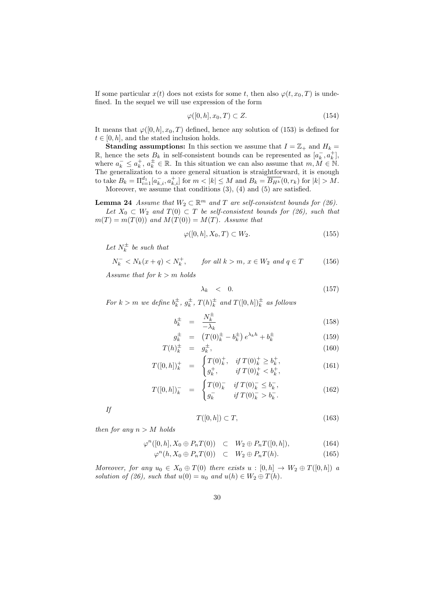If some particular  $x(t)$  does not exists for some *t*, then also  $\varphi(t, x_0, T)$  is undefined. In the sequel we will use expression of the form

$$
\varphi([0, h], x_0, T) \subset Z. \tag{154}
$$

It means that  $\varphi([0, h], x_0, T)$  defined, hence any solution of (153) is defined for  $t \in [0, h]$ , and the stated inclusion holds.

**Standing assumptions:** In this section we assume that  $I = \mathbb{Z}_+$  and  $H_k =$ **R**, hence the sets  $B_k$  in self-consistent bounds can be represented as  $[a_k^-, a_k^+]$ , where  $a_k^- \leq a_k^+$ ,  $a_k^{\pm} \in \mathbb{R}$ . In this situation we can also assume that  $m, M \in \mathbb{N}$ . The generalization to a more general situation is straightforward, it is enough to take  $B_k = \prod_{i=1}^{d_1} [a_{k,i}^-, a_{k,i}^+]$  for  $m < |k| \leq M$  and  $B_k = \overline{B_{H^k}}(0, r_k)$  for  $|k| > M$ . Moreover, we assume that conditions (3), (4) and (5) are satisfied.

**Lemma 24** *Assume that*  $W_2 \subset \mathbb{R}^m$  *and T are self-consistent bounds for* (26). *Let*  $X_0$  ⊂  $W_2$  *and*  $T(0)$  ⊂  $T$  *be self-consistent bounds for (26), such that*  $m(T) = m(T(0))$  *and*  $M(T(0)) = M(T)$ *. Assume that* 

$$
\varphi([0,h], X_0, T) \subset W_2. \tag{155}
$$

Let  $N_k^{\pm}$  be such that

$$
N_k^- < N_k(x+q) < N_k^+, \qquad \text{for all } k > m, \ x \in W_2 \text{ and } q \in T \tag{156}
$$

*Assume that for k > m holds*

$$
\lambda_k \quad < \quad 0. \tag{157}
$$

*For*  $k > m$  *we define*  $b_k^{\pm}$ ,  $g_k^{\pm}$ ,  $T(h)_k^{\pm}$  *and*  $T([0,h])_k^{\pm}$  *as follows* 

$$
b_k^{\pm} = \frac{N_k^{\pm}}{-\lambda_k} \tag{158}
$$

$$
g_k^{\pm} = (T(0)_k^{\pm} - b_k^{\pm}) e^{\lambda_k h} + b_k^{\pm}
$$
 (159)  
\n
$$
b_k^{\pm} = c_k^{\pm}
$$
 (160)

$$
T(h)_k^{\pm} = g_k^{\pm}, \tag{160}
$$
\n
$$
T(h)_k^{\pm} = f_T(h)_k^{\pm}, \quad \text{if } T(0)_k^{\pm} \ge b_k^{\pm}, \tag{161}
$$

$$
T([0,h])_k^+ = \begin{cases} T(0)_k^+, & \text{if } T(0)_k^+ \ge b_k^+, \\ g_k^+, & \text{if } T(0)_k^+ < b_k^+, \end{cases} \tag{161}
$$

$$
T([0,h])_k^- = \begin{cases} T(0)_k^- & \text{if } T(0)_k^- \le b_k^-, \\ g_k^- & \text{if } T(0)_k^- > b_k^- . \end{cases} \tag{162}
$$

*If*

$$
T([0,h]) \subset T,\t\t(163)
$$

*then for any*  $n > M$  *holds* 

$$
\varphi^{n}([0,h], X_0 \oplus P_n T(0)) \quad \subset \quad W_2 \oplus P_n T([0,h]), \tag{164}
$$

$$
\varphi^n(h, X_0 \oplus P_n T(0)) \quad \subset \quad W_2 \oplus P_n T(h). \tag{165}
$$

*Moreover, for any*  $u_0 \in X_0 \oplus T(0)$  *there exists*  $u : [0,h] \rightarrow W_2 \oplus T([0,h])$  *a solution of (26), such that*  $u(0) = u_0$  *and*  $u(h) \in W_2 \oplus T(h)$ .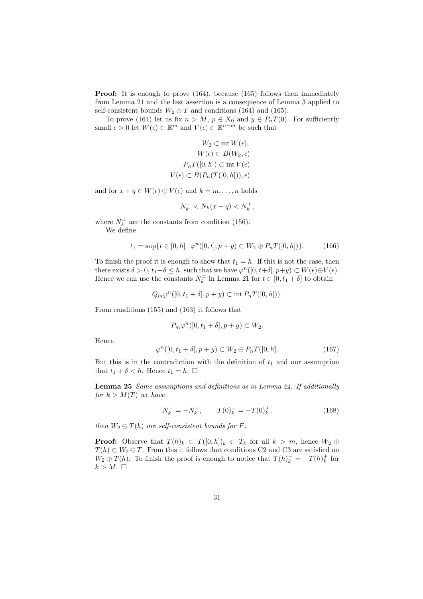**Proof:** It is enough to prove (164), because (165) follows then immediately from Lemma 21 and the last assertion is a consequence of Lemma 3 applied to self-consistent bounds  $W_2 \oplus T$  and conditions (164) and (165).

To prove (164) let us fix  $n > M$ ,  $p \in X_0$  and  $y \in P_nT(0)$ . For sufficiently small  $\epsilon > 0$  let  $W(\epsilon) \subset \mathbb{R}^m$  and  $V(\epsilon) \subset \mathbb{R}^{n-m}$  be such that

$$
W_2 \subset \text{int } W(\epsilon),
$$
  
\n
$$
W(\epsilon) \subset B(W_2, \epsilon)
$$
  
\n
$$
P_n T([0, h]) \subset \text{int } V(\epsilon)
$$
  
\n
$$
V(\epsilon) \subset B(P_n(T([0, h])), \epsilon)
$$

and for  $x + q \in W(\epsilon) \oplus V(\epsilon)$  and  $k = m, \ldots, n$  holds

$$
N_k^- < N_k(x+q) < N_k^+,
$$

where  $N_k^{\pm}$  are the constants from condition (156).

We define

$$
t_1 = \sup\{t \in [0, h] \mid \varphi^n([0, t], p + y) \subset W_2 \oplus P_n T([0, h])\}.
$$
 (166)

To finish the proof it is enough to show that  $t_1 = h$ . If this is not the case, then there exists  $\delta > 0$ ,  $t_1 + \delta \leq h$ , such that we have  $\varphi^n([0, t + \delta], p + y) \subset W(\epsilon) \oplus V(\epsilon)$ . Hence we can use the constants  $N_k^{\pm}$  in Lemma 21 for  $t \in [0, t_1 + \delta]$  to obtain

$$
Q_m \varphi^n([0, t_1 + \delta], p + y) \subset \text{int } P_n T([0, h])).
$$

From conditions (155) and (163) it follows that

$$
P_m \varphi^n([0, t_1 + \delta], p + y) \subset W_2.
$$

Hence

$$
\varphi^n([0, t_1 + \delta], p + y) \subset W_2 \oplus P_n T([0, h]. \tag{167}
$$

But this is in the contradiction with the definition of  $t_1$  and our assumption that  $t_1 + \delta < h$ . Hence  $t_1 = h$ .  $\Box$ 

**Lemma 25** *Same assumptions and definitions as in Lemma 24. If additionally for*  $k > M(T)$  *we have* 

$$
N_k^- = -N_k^+, \qquad T(0)_k^- = -T(0)_k^+, \tag{168}
$$

*then*  $W_2 \oplus T(h)$  *are self-consistent bounds for F.* 

**Proof:** Observe that  $T(h)_k \subset T([0,h])_k \subset T_k$  for all  $k > m$ , hence  $W_2 \oplus$ *T*(*h*)  $\subset$  *W*<sub>2</sub>  $\oplus$  *T*. From this it follows that conditions C2 and C3 are satisfied on *W*<sub>2</sub>  $\oplus$  *T*(*h*). To finish the proof is enough to notice that  $T(h)$ <sup>*k*</sup> = −*T*(*h*)<sup>*k*</sup> for  $k > M$ .  $\square$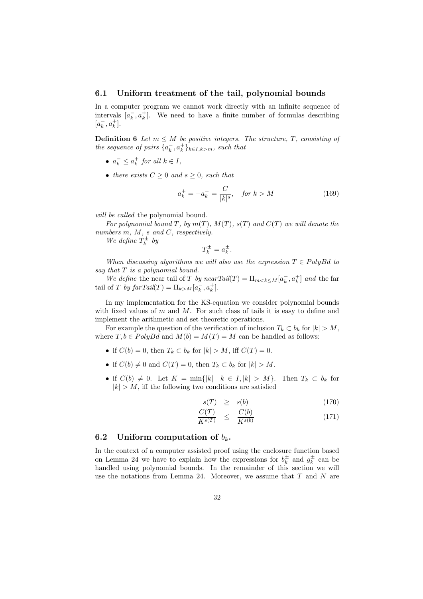#### **6.1 Uniform treatment of the tail, polynomial bounds**

In a computer program we cannot work directly with an infinite sequence of intervals  $[a_k^-, a_k^+]$ . We need to have a finite number of formulas describing  $[a_k^-, a_k^+]$ .

**Definition 6** *Let*  $m \leq M$  *be positive integers. The structure,*  $T$ *, consisting of the sequence of pairs*  $\{a_k, a_k^{\dagger}\}_{k \in I, k > m}$ *, such that* 

- $a_k^- \leq a_k^+$  *for all*  $k \in I$ *,*
- *there exists*  $C \geq 0$  *and*  $s \geq 0$ *, such that*

$$
a_k^+ = -a_k^- = \frac{C}{|k|^s}, \quad \text{for } k > M \tag{169}
$$

*will be called* the polynomial bound*.*

*For polynomial bound*  $T$ *, by*  $m(T)$ *,*  $M(T)$ *,*  $s(T)$  *and*  $C(T)$  *we will denote the numbers m, M, s and C, respectively.*

*We define*  $T_k^{\pm}$  *by* 

$$
T_k^{\pm} = a_k^{\pm}.
$$

*When discussing algorithms we will also use the expression*  $T \in \text{PolyBd}$  *to say that T is a polynomial bound.*

*We define* the near tail of *T by nearTail*(*T*) =  $\Pi_{m \leq k \leq M} [a_k^-, a_k^+]$  *and* the far tail of *T by farTail*(*T*) =  $\Pi_{k>M}[a_k^-, a_k^+]$ .

In my implementation for the KS-equation we consider polynomial bounds with fixed values of *m* and *M*. For such class of tails it is easy to define and implement the arithmetic and set theoretic operations.

For example the question of the verification of inclusion  $T_k \subset b_k$  for  $|k| > M$ , where  $T, b \in PolyBd$  and  $M(b) = M(T) = M$  can be handled as follows:

- *•* if  $C(b) = 0$ , then  $T_k \subset b_k$  for  $|k| > M$ , iff  $C(T) = 0$ .
- if  $C(b) \neq 0$  and  $C(T) = 0$ , then  $T_k \subset b_k$  for  $|k| > M$ .
- if  $C(b) \neq 0$ . Let  $K = \min\{|k| \mid k \in I, |k| > M\}$ . Then  $T_k \subset b_k$  for  $|k| > M$ , iff the following two conditions are satisfied

$$
s(T) \geq s(b) \tag{170}
$$

$$
\frac{C(T)}{K^{s(T)}} \leq \frac{C(b)}{K^{s(b)}} \tag{171}
$$

#### **6.2** Uniform computation of  $b_k$ .

In the context of a computer assisted proof using the enclosure function based on Lemma 24 we have to explain how the expressions for  $b_k^{\pm}$  and  $g_k^{\pm}$  can be handled using polynomial bounds. In the remainder of this section we will use the notations from Lemma 24. Moreover, we assume that *T* and *N* are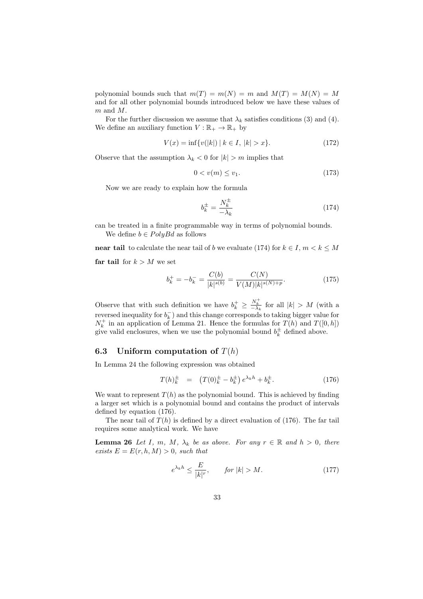polynomial bounds such that  $m(T) = m(N) = m$  and  $M(T) = M(N) = M$ and for all other polynomial bounds introduced below we have these values of *m* and *M*.

For the further discussion we assume that  $\lambda_k$  satisfies conditions (3) and (4). We define an auxiliary function  $V : \mathbb{R}_+ \to \mathbb{R}_+$  by

$$
V(x) = \inf \{ v(|k|) \mid k \in I, \ |k| > x \}. \tag{172}
$$

Observe that the assumption  $\lambda_k < 0$  for  $|k| > m$  implies that

$$
0 < v(m) \le v_1. \tag{173}
$$

Now we are ready to explain how the formula

$$
b_k^{\pm} = \frac{N_k^{\pm}}{-\lambda_k} \tag{174}
$$

can be treated in a finite programmable way in terms of polynomial bounds. We define  $b \in PolyBd$  as follows

**near tail** to calculate the near tail of *b* we evaluate (174) for  $k \in I$ ,  $m < k \leq M$ **far tail** for  $k > M$  we set

$$
b_k^+ = -b_k^- = \frac{C(b)}{|k|^{s(b)}} = \frac{C(N)}{V(M)|k|^{s(N)+p}}.\tag{175}
$$

Observe that with such definition we have  $b_k^+ \geq \frac{N_k^+}{-\lambda_k}$  for all  $|k| > M$  (with a reversed inequality for  $b_k^-$ ) and this change corresponds to taking bigger value for  $N_k^+$  in an application of Lemma 21. Hence the formulas for  $T(h)$  and  $T([0,h])$ give valid enclosures, when we use the polynomial bound  $b_k^{\pm}$  defined above.

#### **6.3** Uniform computation of  $T(h)$

In Lemma 24 the following expression was obtained

$$
T(h)_k^{\pm} = (T(0)_k^{\pm} - b_k^{\pm}) e^{\lambda_k h} + b_k^{\pm}.
$$
 (176)

We want to represent  $T(h)$  as the polynomial bound. This is achieved by finding a larger set which is a polynomial bound and contains the product of intervals defined by equation (176).

The near tail of  $T(h)$  is defined by a direct evaluation of (176). The far tail requires some analytical work. We have

**Lemma 26** *Let I*, *m*, *M*,  $\lambda_k$  *be as above. For any*  $r \in \mathbb{R}$  *and*  $h > 0$ *, there exists*  $E = E(r, h, M) > 0$ *, such that* 

$$
e^{\lambda_k h} \le \frac{E}{|k|^r}, \qquad \text{for } |k| > M. \tag{177}
$$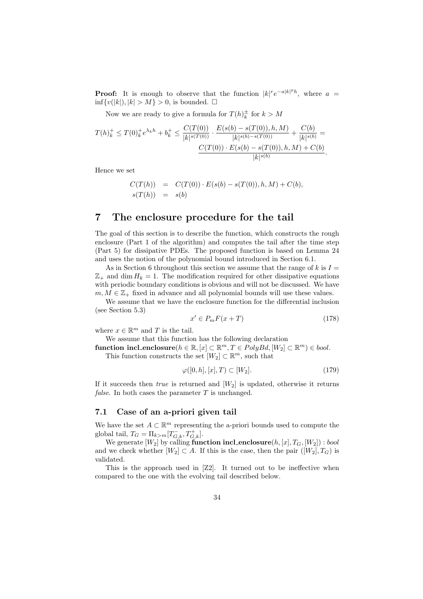**Proof:** It is enough to observe that the function  $|k|^r e^{-a|k|^p h}$ , where  $a =$ inf $\{v(|k|), |k| > M\} > 0$ , is bounded. □

Now we are ready to give a formula for  $T(h)_{k}^{\pm}$  for  $k > M$ 

$$
T(h)^+_k \leq T(0)^+_k e^{\lambda_k h} + b^+_k \leq \frac{C(T(0))}{|k|^{s(T(0))}} \cdot \frac{E(s(b) - s(T(0)), h, M)}{|k|^{s(b) - s(T(0))}} + \frac{C(b)}{|k|^{s(b)}} = \frac{C(T(0)) \cdot E(s(b) - s(T(0)), h, M) + C(b)}{|k|^{s(b)}}.
$$

Hence we set

$$
C(T(h)) = C(T(0)) \cdot E(s(b) - s(T(0)), h, M) + C(b),
$$
  
 
$$
s(T(h)) = s(b)
$$

# **7 The enclosure procedure for the tail**

The goal of this section is to describe the function, which constructs the rough enclosure (Part 1 of the algorithm) and computes the tail after the time step (Part 5) for dissipative PDEs. The proposed function is based on Lemma 24 and uses the notion of the polynomial bound introduced in Section 6.1.

As in Section 6 throughout this section we assume that the range of  $k$  is  $I =$  $\mathbb{Z}_+$  and dim  $H_k = 1$ . The modification required for other dissipative equations with periodic boundary conditions is obvious and will not be discussed. We have  $m, M \in \mathbb{Z}_+$  fixed in advance and all polynomial bounds will use these values.

We assume that we have the enclosure function for the differential inclusion (see Section 5.3)

$$
x' \in P_m F(x+T) \tag{178}
$$

where  $x \in \mathbb{R}^m$  and *T* is the tail.

We assume that this function has the following declaration

 $\textbf{function} \text{ incl\_enclosure}(h \in \mathbb{R}, [x] \subset \mathbb{R}^m, T \in PolyBd, [W_2] \subset \mathbb{R}^m) \in bool.$ This function constructs the set  $[W_2] \subset \mathbb{R}^m$ , such that

$$
\varphi([0,h],[x],T) \subset [W_2].\tag{179}
$$

If it succeeds then *true* is returned and [*W*2] is updated, otherwise it returns *false*. In both cases the parameter *T* is unchanged.

#### **7.1 Case of an a-priori given tail**

We have the set  $A \subset \mathbb{R}^m$  representing the a-priori bounds used to compute the global tail,  $T_G = \Pi_{k>m} [T_{G,k}^-, T_{G,k}^+]$ .

We generate  $[W_2]$  by calling **function incl\_enclosure** $(h, [x], T_G, [W_2])$  : *bool* and we check whether  $[W_2] \subset A$ . If this is the case, then the pair  $([W_2], T_G)$  is validated.

This is the approach used in [Z2]. It turned out to be ineffective when compared to the one with the evolving tail described below.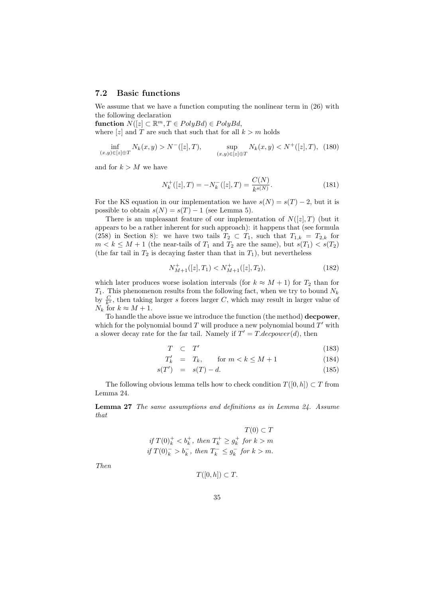#### **7.2 Basic functions**

We assume that we have a function computing the nonlinear term in  $(26)$  with the following declaration

 $\textbf{function } N([z] \subset \mathbb{R}^m, T \in PolyBd) \in PolyBd,$ where  $|z|$  and *T* are such that such that for all  $k > m$  holds

$$
\inf_{(x,y)\in[z]\oplus T} N_k(x,y) > N^{-}([z],T), \qquad \sup_{(x,y)\in[z]\oplus T} N_k(x,y) < N^{+}([z],T), \tag{180}
$$

and for  $k > M$  we have

$$
N_k^+([z],T) = -N_k^-([z],T) = \frac{C(N)}{k^{s(N)}}.\tag{181}
$$

For the KS equation in our implementation we have  $s(N) = s(T) - 2$ , but it is possible to obtain  $s(N) = s(T) - 1$  (see Lemma 5).

There is an unpleasant feature of our implementation of  $N([z],T)$  (but it appears to be a rather inherent for such approach): it happens that (see formula (258) in Section 8): we have two tails  $T_2 \subset T_1$ , such that  $T_{1,k} = T_{2,k}$  for  $m < k \leq M + 1$  (the near-tails of  $T_1$  and  $T_2$  are the same), but  $s(T_1) < s(T_2)$ (the far tail in  $T_2$  is decaying faster than that in  $T_1$ ), but nevertheless

$$
N_{M+1}^{+}([z],T_1) < N_{M+1}^{+}([z],T_2),\tag{182}
$$

which later produces worse isolation intervals (for  $k \approx M + 1$ ) for  $T_2$  than for *T*1. This phenomenon results from the following fact, when we try to bound *N<sup>k</sup>* by  $\frac{C}{k^s}$ , then taking larger *s* forces larger *C*, which may result in larger value of  $N_k$  for  $k \approx M + 1$ .

To handle the above issue we introduce the function (the method) **decpower**, which for the polynomial bound *T* will produce a new polynomial bound *T ′* with a slower decay rate for the far tail. Namely if  $T' = T \cdot decpower(d)$ , then

$$
T \quad \subset \quad T' \tag{183}
$$

$$
T'_k = T_k, \qquad \text{for } m < k \le M + 1 \tag{184}
$$

$$
s(T') = s(T) - d. \tag{185}
$$

The following obvious lemma tells how to check condition  $T([0,h]) \subset T$  from Lemma 24.

**Lemma 27** *The same assumptions and definitions as in Lemma 24. Assume that*

$$
T(0) \subset T
$$
  
if  $T(0)_k^+ < b_k^+$ , then  $T_k^+ \ge g_k^+$  for  $k > m$   
if  $T(0)_k^- > b_k^-$ , then  $T_k^- \le g_k^-$  for  $k > m$ .

*Then*

$$
T([0,h]) \subset T.
$$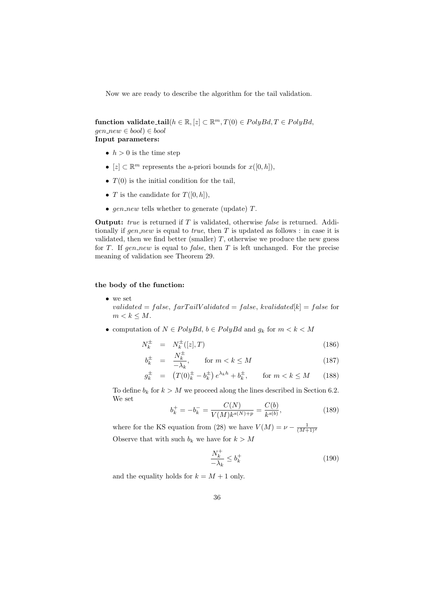Now we are ready to describe the algorithm for the tail validation.

 $\textbf{function } \textbf{validate\_tail}(h \in \mathbb{R}, [z] \subset \mathbb{R}^m, T(0) \in PolyBd, T \in PolyBd,$ *gen new ∈ bool*) *∈ bool* **Input parameters:**

- $h > 0$  is the time step
- *•*  $[z]$  ⊂  $\mathbb{R}^m$  represents the a-priori bounds for  $x([0,h])$ ,
- $T(0)$  is the initial condition for the tail,
- *T* is the candidate for  $T([0,h]),$
- *• gen new* tells whether to generate (update) *T*.

**Output:** *true* is returned if *T* is validated, otherwise *false* is returned. Additionally if *gen new* is equal to *true*, then *T* is updated as follows : in case it is validated, then we find better (smaller)  $T$ , otherwise we produce the new guess for *T*. If *gen\_new* is equal to *false*, then *T* is left unchanged. For the precise meaning of validation see Theorem 29.

#### **the body of the function:**

*•* we set *validated* =  $false, farTailValidated = false, kvalidated[k] = false$  for  $m < k < M$ .

• computation of  $N \in PolyBd$ ,  $b \in PolyBd$  and  $g_k$  for  $m < k < M$ 

$$
N_k^{\pm} = N_k^{\pm}([z],T) \tag{186}
$$

$$
b_k^{\pm} = \frac{N_k^{\pm}}{-\lambda_k}, \qquad \text{for } m < k \le M \tag{187}
$$

$$
g_k^{\pm} = (T(0)_k^{\pm} - b_k^{\pm}) e^{\lambda_k h} + b_k^{\pm}, \quad \text{for } m < k \le M \qquad (188)
$$

To define  $b_k$  for  $k > M$  we proceed along the lines described in Section 6.2. We set  $\alpha$ <sub>( $\alpha$ </sub>)  $\alpha$ <sup>(b)</sup>

$$
b_k^+ = -b_k^- = \frac{C(N)}{V(M)k^{s(N)+p}} = \frac{C(b)}{k^{s(b)}},\tag{189}
$$

where for the KS equation from (28) we have  $V(M) = \nu - \frac{1}{(M+1)^2}$ Observe that with such  $b_k$  we have for  $k > M$ 

$$
\frac{N_k^+}{-\lambda_k} \le b_k^+ \tag{190}
$$

and the equality holds for  $k = M + 1$  only.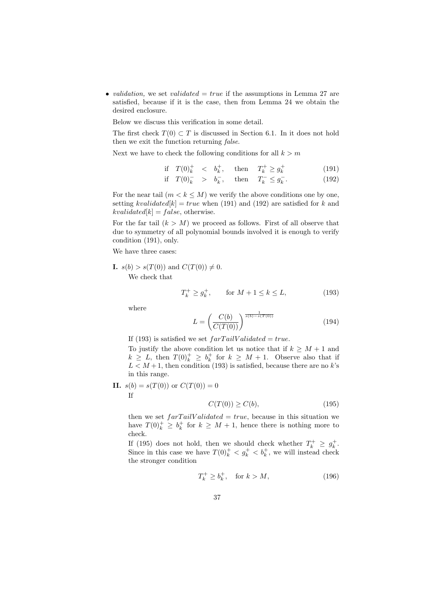• *validation*, we set *validated*  $= true$  if the assumptions in Lemma 27 are satisfied, because if it is the case, then from Lemma 24 we obtain the desired enclosure.

Below we discuss this verification in some detail.

The first check  $T(0) \subset T$  is discussed in Section 6.1. In it does not hold then we exit the function returning *false*.

Next we have to check the following conditions for all  $k > m$ 

if 
$$
T(0)^+_k < b^+_k
$$
, then  $T^+_k \geq g^+_k$  (191)

$$
\text{if } T(0)^{-}_{k} > b^{-}_{k}, \quad \text{then } T_{k}^{-} \leq g_{k}^{-}.
$$
 (192)

For the near tail  $(m < k \leq M)$  we verify the above conditions one by one, setting  $kvaliated[k] = true$  when (191) and (192) are satisfied for  $k$  and  $kvaliated[k] = false, otherwise.$ 

For the far tail  $(k > M)$  we proceed as follows. First of all observe that due to symmetry of all polynomial bounds involved it is enough to verify condition (191), only.

We have three cases:

**I.**  $s(b) > s(T(0))$  and  $C(T(0)) \neq 0$ .

We check that

$$
T_k^+ \ge g_k^+, \qquad \text{for } M + 1 \le k \le L,\tag{193}
$$

where

$$
L = \left(\frac{C(b)}{C(T(0))}\right)^{\frac{1}{s(b)-s(T(0))}}
$$
\n(194)

If (193) is satisfied we set  $farTailValidated = true$ .

To justify the above condition let us notice that if  $k \geq M + 1$  and  $k \geq L$ , then  $T(0)_k^+ \geq b_k^+$  for  $k \geq M+1$ . Observe also that if  $L < M+1$ , then condition (193) is satisfied, because there are no *k*'s in this range.

**II.** 
$$
s(b) = s(T(0))
$$
 or  $C(T(0)) = 0$   
If  
 $C(T(0)) \ge C(b)$ , (195)

then we set  $farTailValidated = true$ , because in this situation we have  $T(0)_k^+ \geq b_k^+$  for  $k \geq M+1$ , hence there is nothing more to check.

If (195) does not hold, then we should check whether  $T_k^+ \geq g_k^+$ . Since in this case we have  $T(0)_k^+ < g_k^+ < b_k^+$ , we will instead check the stronger condition

$$
T_k^+ \ge b_k^+, \quad \text{for } k > M,\tag{196}
$$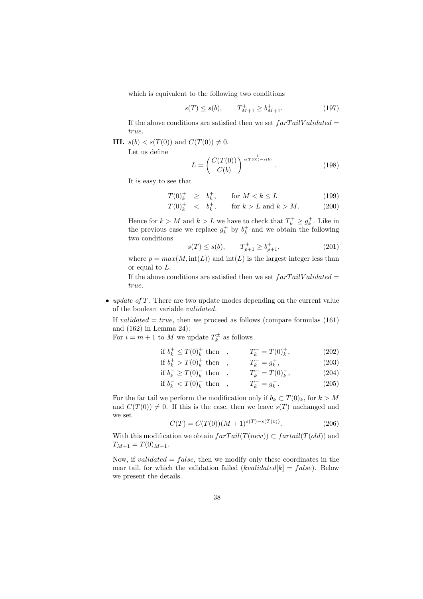which is equivalent to the following two conditions

$$
s(T) \le s(b), \qquad T_{M+1}^+ \ge b_{M+1}^+.
$$
 (197)

If the above conditions are satisfied then we set  $farTailValidated =$ *true*.

**III.**  $s(b) < s(T(0))$  and  $C(T(0)) \neq 0$ .

Let us define

$$
L = \left(\frac{C(T(0))}{C(b)}\right)^{\frac{1}{s(T(0)) - s(b)}}.\tag{198}
$$

It is easy to see that

$$
T(0)_k^+ \geq b_k^+, \qquad \text{for } M < k \leq L \tag{199}
$$

$$
T(0)^+_k < b^+_k, \quad \text{for } k > L \text{ and } k > M. \tag{200}
$$

Hence for  $k > M$  and  $k > L$  we have to check that  $T_k^+ \geq g_k^+$ . Like in the previous case we replace  $g_k^+$  by  $b_k^+$  and we obtain the following two conditions

$$
s(T) \le s(b), \qquad T_{p+1}^+ \ge b_{p+1}^+, \tag{201}
$$

where  $p = max(M, int(L))$  and  $int(L)$  is the largest integer less than or equal to *L*.

If the above conditions are satisfied then we set *f arT ailV alidated* = *true*.

*• update of T.* There are two update modes depending on the current value of the boolean variable *validated*.

If *validated*  $= true$ , then we proceed as follows (compare formulas (161) and (162) in Lemma 24):

For  $i = m + 1$  to M we update  $T_k^{\pm}$  as follows

if 
$$
b_k^+ \le T(0)_k^+
$$
 then ,  $T_k^+ = T(0)_k^+$ , (202)  
if  $b_k^+ > T(0)_k^+$  then ,  $T_k^+ = g_k^+$ , (203)

$$
\text{if } b_k^+ > T(0)_k^+ \text{ then } , \qquad T_k^+ = g_k^+, \tag{203}
$$

$$
\text{if } b_k^- \ge T(0)_k^- \text{ then } , \qquad T_k^- = T(0)_k^-, \tag{204}
$$

$$
\text{if } b_k^- < T(0)_k^- \text{ then } , \qquad T_k^- = g_k^- . \eqno(205)
$$

For the far tail we perform the modification only if  $b_k \subset T(0)_k$ , for  $k > M$ and  $C(T(0)) \neq 0$ . If this is the case, then we leave  $s(T)$  unchanged and we set

$$
C(T) = C(T(0))(M+1)^{s(T)-s(T(0))}.
$$
\n(206)

With this modification we obtain  $farTail(T(new)) \subset \text{fartail}(T(old))$  and  $T_{M+1} = T(0)_{M+1}.$ 

Now, if *validated* = *f alse*, then we modify only these coordinates in the near tail, for which the validation failed  $(kvaliated[k] = false)$ . Below we present the details.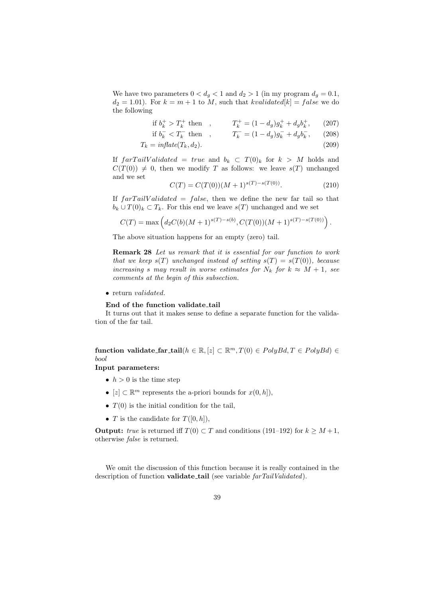We have two parameters  $0 < d_g < 1$  and  $d_2 > 1$  (in my program  $d_g = 0.1$ ,  $d_2 = 1.01$ . For  $k = m + 1$  to *M*, such that *kvalidated*[ $k$ ] = *false* we do the following

$$
\text{if } b_k^+ > T_k^+ \text{ then } , \qquad T_k^+ = (1 - d_g)g_k^+ + d_g b_k^+, \qquad (207)
$$
\n
$$
\text{if } b_k^- < T_k^- \text{ then } , \qquad T_k^- = (1 - d_g)g_k^- + d_g b_k^-, \qquad (208)
$$

if 
$$
b_k^- < T_k^-
$$
 then ,  $T_k^- = (1 - d_g)g_k^- + d_g b_k^-$ , (208)  
in fact  $(T - d)$ 

$$
T_k = inflate(T_k, d_2). \tag{209}
$$

If  $\int \int f \, a r T \, a i l V \, a l i d \, d t e d = \int r u e$  and  $b_k \subset T(0)_k$  for  $k > M$  holds and  $C(T(0)) \neq 0$ , then we modify *T* as follows: we leave  $s(T)$  unchanged and we set

$$
C(T) = C(T(0))(M+1)^{s(T)-s(T(0))}.
$$
\n(210)

If *f arT ailV alidated* = *f alse*, then we define the new far tail so that  $b_k \cup T(0)_k \subset T_k$ . For this end we leave  $s(T)$  unchanged and we set

$$
C(T) = \max\left(d_2C(b)(M+1)^{s(T)-s(b)}, C(T(0))(M+1)^{s(T)-s(T(0))}\right).
$$

The above situation happens for an empty (zero) tail.

**Remark 28** *Let us remark that it is essential for our function to work that we keep*  $s(T)$  *unchanged instead of setting*  $s(T) = s(T(0))$ *, because increasing s may result in worse estimates for*  $N_k$  *for*  $k \approx M + 1$ *, see comments at the begin of this subsection.*

*•* return *validated*.

#### **End of the function validate tail**

It turns out that it makes sense to define a separate function for the validation of the far tail.

 $\mathbf{function}\ \mathbf{valdate\_far\_tail}(h \in \mathbb{R}, [z] \subset \mathbb{R}^m, T(0) \in PolyBd, T \in PolyBd) \in \mathbb{R}$ *bool*

### **Input parameters:**

- $h > 0$  is the time step
- *•*  $[z]$  ⊂  $\mathbb{R}^m$  represents the a-priori bounds for  $x(0,h]$ ),
- *• T*(0) is the initial condition for the tail,
- *T* is the candidate for  $T([0,h]),$

**Output:** *true* is returned iff  $T(0) \subset T$  and conditions (191–192) for  $k \geq M+1$ , otherwise *false* is returned.

We omit the discussion of this function because it is really contained in the description of function **validate tail** (see variable *farTailValidated*).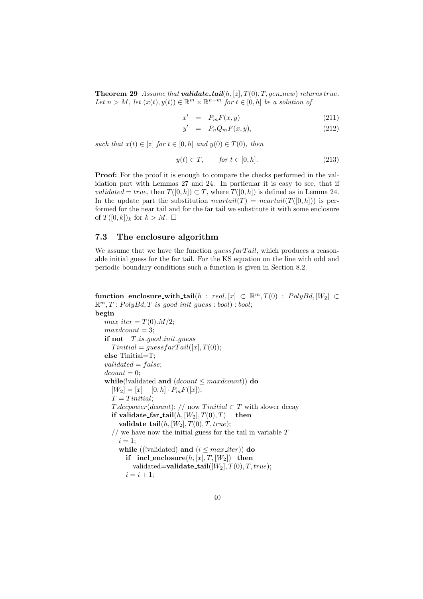**Theorem 29** *Assume that <i>validate\_tail***(** $h$ **, [***z***]***, T***(0)***, T, gen\_new***)** *returns true. Let*  $n > M$ *, let*  $(x(t), y(t)) \in \mathbb{R}^m \times \mathbb{R}^{n-m}$  *for*  $t \in [0, h]$  *be a solution of* 

$$
x' = P_m F(x, y) \tag{211}
$$

$$
y' = P_n Q_m F(x, y), \qquad (212)
$$

*such that*  $x(t) \in [z]$  *for*  $t \in [0, h]$  *and*  $y(0) \in T(0)$ *, then* 

$$
y(t) \in T, \qquad \text{for } t \in [0, h]. \tag{213}
$$

**Proof:** For the proof it is enough to compare the checks performed in the validation part with Lemmas 27 and 24. In particular it is easy to see, that if *validated* = *true*, then  $T([0, h]) \subset T$ , where  $T([0, h])$  is defined as in Lemma 24. In the update part the substitution  $npartial(T) = npartial(T([0,h]))$  is performed for the near tail and for the far tail we substitute it with some enclosure of  $T([0, k])_k$  for  $k > M$ .

### **7.3 The enclosure algorithm**

We assume that we have the function *guessfarTail*, which produces a reasonable initial guess for the far tail. For the KS equation on the line with odd and periodic boundary conditions such a function is given in Section 8.2.

 $f$ **unction enclosure\_with\_tail**( $h : real, [x] \subset \mathbb{R}^m, T(0) : PolyBd, [W_2] \subset$  $\mathbb{R}^m$ ,  $T: PolyBd$ ,  $T$  *is*  $\text{good\_init}\text{ }guess: \text{bool}$  :  $\text{bool};$ **begin**

```
max\_iter = T(0) \cdot M/2;maxdcount = 3;
if not T is good init guess
  Tinitial = guess farTail([x], T(0));
else Tinitial=T;
validated = f alse;
dcount = 0;
while(!validated and (dcount ≤ maxdcount)) do
  [W_2] = [x] + [0, h] \cdot P_m F([x]);T = T initial;T.decpower(dcount); // now T initial \subset T with slower decay
  if validate_far_tail(h, [W_2], T(0), T) then

  // we have now the initial guess for the tail in variable T
    i = 1:
    while ((!validated) and (i \leq max\_iter)) do
      if \text{incl\_enclosure}(h, [x], T, [W_2]) then
         validated=validate_tail([W_2], T(0), T, true);
      i = i + 1;
```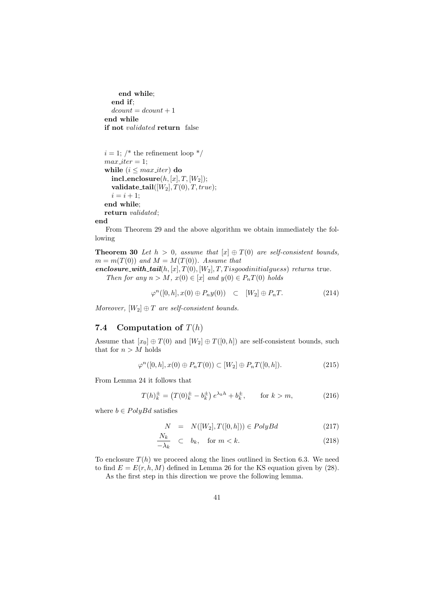```
end while;
  end if;
  dcount = dcount + 1end while
if not validated return false
```

```
i = 1; /* the refinement loop */
max\_iter = 1:
while (i \leq max\_iter) do
  \textbf{incl\_enclosure}(h, [x], T, [W_2]);validate\_tail([W_2], T(0), T, true);i = i + 1;
end while;
return validated;
```
**end**

From Theorem 29 and the above algorithm we obtain immediately the following

**Theorem 30** *Let*  $h > 0$ , assume that  $[x] \oplus T(0)$  are self-consistent bounds,  $m = m(T(0))$  *and*  $M = M(T(0))$ *. Assume that* 

*enclosure\_with\_tail*( $h$ *,*  $[x]$ *, T*(0)*,*  $[W_2]$ *, T, T isgoodinitialguess*) *returns* true*. Then for any*  $n > M$ ,  $x(0) \in [x]$  *and*  $y(0) \in P_nT(0)$  *holds* 

$$
\varphi^n([0,h], x(0) \oplus P_n y(0)) \quad \subset \quad [W_2] \oplus P_n T. \tag{214}
$$

*Moreover,*  $[W_2] \oplus T$  *are self-consistent bounds.* 

### **7.4 Computation of** *T*(*h*)

Assume that  $[x_0] \oplus T(0)$  and  $[W_2] \oplus T([0,h])$  are self-consistent bounds, such that for  $n > M$  holds

$$
\varphi^{n}([0,h], x(0) \oplus P_{n}T(0)) \subset [W_{2}] \oplus P_{n}T([0,h]). \tag{215}
$$

From Lemma 24 it follows that

$$
T(h)_k^{\pm} = (T(0)_k^{\pm} - b_k^{\pm}) e^{\lambda_k h} + b_k^{\pm}, \qquad \text{for } k > m,
$$
 (216)

where  $b \in PolyBd$  satisfies

$$
N = N([W_2], T([0, h])) \in PolyBd \qquad (217)
$$

$$
\frac{N_k}{-\lambda_k} \quad \subset \quad b_k, \quad \text{for } m < k. \tag{218}
$$

To enclosure  $T(h)$  we proceed along the lines outlined in Section 6.3. We need to find  $E = E(r, h, M)$  defined in Lemma 26 for the KS equation given by (28).

As the first step in this direction we prove the following lemma.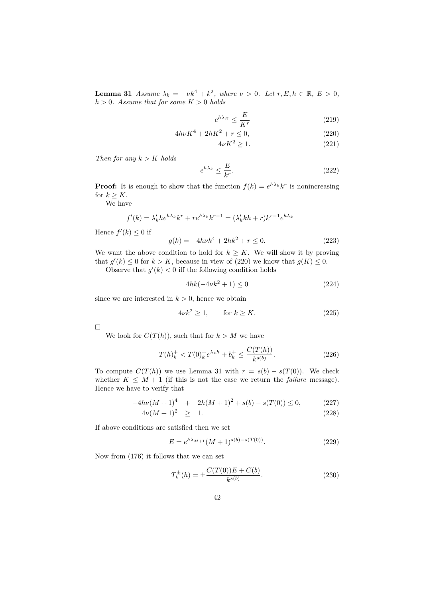**Lemma 31** *Assume*  $\lambda_k = -\nu k^4 + k^2$ , where  $\nu > 0$ . Let  $r, E, h \in \mathbb{R}, E > 0$ ,  $h > 0$ *. Assume that for some*  $K > 0$  *holds* 

$$
e^{h\lambda_K} \le \frac{E}{K^r} \tag{219}
$$

$$
-4h\nu K^4 + 2hK^2 + r \le 0,\t(220)
$$

$$
4\nu K^2 \ge 1. \tag{221}
$$

*Then for any k > K holds*

$$
e^{h\lambda_k} \le \frac{E}{k^r}.\tag{222}
$$

**Proof:** It is enough to show that the function  $f(k) = e^{h\lambda_k}k^r$  is nonincreasing for  $k \geq K$ .

We have

$$
f'(k) = \lambda'_k h e^{h\lambda_k} k^r + r e^{h\lambda_k} k^{r-1} = (\lambda'_k k h + r) k^{r-1} e^{h\lambda_k}
$$

Hence  $f'(k) \leq 0$  if

$$
g(k) = -4h\nu k^4 + 2hk^2 + r \le 0.
$$
 (223)

We want the above condition to hold for  $k \geq K$ . We will show it by proving that  $g'(k) \leq 0$  for  $k > K$ , because in view of (220) we know that  $g(K) \leq 0$ .

Observe that  $g'(k) < 0$  iff the following condition holds

$$
4hk(-4\nu k^2 + 1) \le 0\tag{224}
$$

since we are interested in  $k > 0$ , hence we obtain

$$
4\nu k^2 \ge 1, \qquad \text{for } k \ge K. \tag{225}
$$

 $\Box$ 

We look for  $C(T(h))$ , such that for  $k > M$  we have

$$
T(h)^{+}_{k} < T(0)^{+}_{k} e^{\lambda_{k} h} + b^{+}_{k} \le \frac{C(T(h))}{k^{s(b)}}. \tag{226}
$$

To compute  $C(T(h))$  we use Lemma 31 with  $r = s(b) - s(T(0))$ . We check whether  $K \leq M + 1$  (if this is not the case we return the *failure* message). Hence we have to verify that

$$
-4h\nu(M+1)^4 + 2h(M+1)^2 + s(b) - s(T(0)) \le 0,
$$
 (227)

$$
4\nu(M+1)^2 \geq 1. \tag{228}
$$

If above conditions are satisfied then we set

$$
E = e^{h\lambda_{M+1}} (M+1)^{s(b)-s(T(0))}.
$$
 (229)

Now from (176) it follows that we can set

$$
T_k^{\pm}(h) = \pm \frac{C(T(0))E + C(b)}{k^{s(b)}}.
$$
\n(230)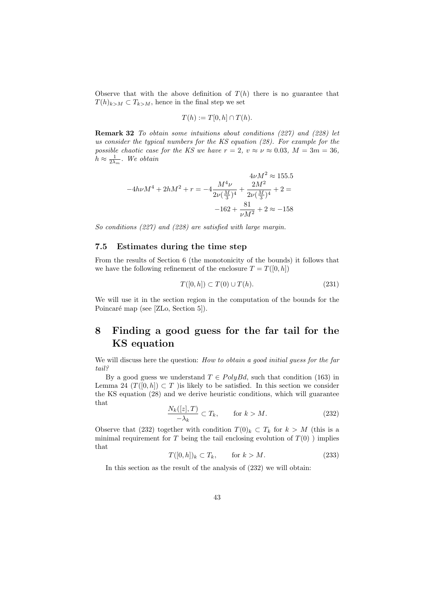Observe that with the above definition of  $T(h)$  there is no guarantee that  $T(h)_{k>M} \subset T_{k>M}$ , hence in the final step we set

$$
T(h) := T[0, h] \cap T(h).
$$

**Remark 32** *To obtain some intuitions about conditions (227) and (228) let us consider the typical numbers for the KS equation (28). For example for the possible chaotic case for the KS we have*  $r = 2$ ,  $v \approx \nu \approx 0.03$ ,  $M = 3m = 36$ ,  $h \approx \frac{1}{2\lambda_m}$ *. We obtain* 

$$
4\nu M^2 \approx 155.5
$$
  

$$
-4h\nu M^4 + 2hM^2 + r = -4\frac{M^4\nu}{2\nu(\frac{M}{3})^4} + \frac{2M^2}{2\nu(\frac{M}{3})^4} + 2 =
$$
  

$$
-162 + \frac{81}{\nu M^2} + 2 \approx -158
$$

*So conditions (227) and (228) are satisfied with large margin.*

#### **7.5 Estimates during the time step**

From the results of Section 6 (the monotonicity of the bounds) it follows that we have the following refinement of the enclosure  $T = T([0, h])$ 

$$
T([0,h]) \subset T(0) \cup T(h). \tag{231}
$$

We will use it in the section region in the computation of the bounds for the Poincaré map (see [ZLo, Section 5]).

# **8 Finding a good guess for the far tail for the KS equation**

We will discuss here the question: *How to obtain a good initial guess for the far tail?*

By a good guess we understand  $T \in PolyBd$ , such that condition (163) in Lemma 24  $(T([0,h]) \subset T$  )is likely to be satisfied. In this section we consider the KS equation (28) and we derive heuristic conditions, which will guarantee that

$$
\frac{N_k([z],T)}{-\lambda_k} \subset T_k, \qquad \text{for } k > M. \tag{232}
$$

Observe that (232) together with condition  $T(0)_k \subset T_k$  for  $k > M$  (this is a minimal requirement for  $T$  being the tail enclosing evolution of  $T(0)$  ) implies that

$$
T([0,h])_k \subset T_k, \qquad \text{for } k > M. \tag{233}
$$

In this section as the result of the analysis of (232) we will obtain: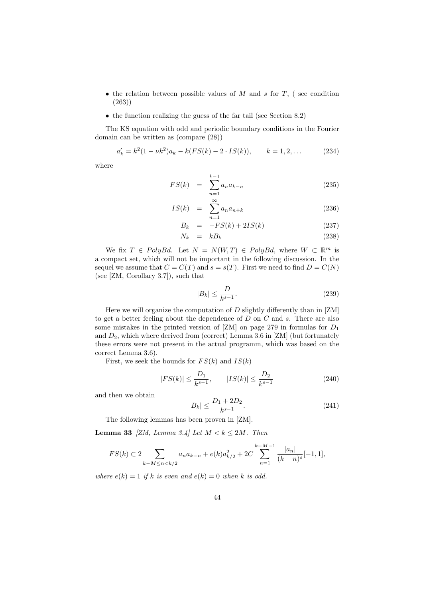- *•* the relation between possible values of *M* and *s* for *T*, ( see condition (263))
- the function realizing the guess of the far tail (see Section 8.2)

The KS equation with odd and periodic boundary conditions in the Fourier domain can be written as (compare (28))

$$
a'_k = k^2 (1 - \nu k^2) a_k - k(FS(k) - 2 \cdot IS(k)), \qquad k = 1, 2, \dots
$$
 (234)

where

$$
FS(k) = \sum_{n=1}^{k-1} a_n a_{k-n}
$$
 (235)

$$
IS(k) = \sum_{n=1}^{\infty} a_n a_{n+k} \tag{236}
$$

$$
B_k = -FS(k) + 2IS(k) \tag{237}
$$

$$
N_k = kB_k \tag{238}
$$

We fix  $T \in PolyBd$ . Let  $N = N(W,T) \in PolyBd$ , where  $W \subset \mathbb{R}^m$  is a compact set, which will not be important in the following discussion. In the sequel we assume that  $C = C(T)$  and  $s = s(T)$ . First we need to find  $D = C(N)$ (see [ZM, Corollary 3.7]), such that

$$
|B_k| \le \frac{D}{k^{s-1}}.\tag{239}
$$

Here we will organize the computation of *D* slightly differently than in [ZM] to get a better feeling about the dependence of *D* on *C* and *s*. There are also some mistakes in the printed version of [ZM] on page 279 in formulas for *D*<sup>1</sup> and  $D_2$ , which where derived from (correct) Lemma 3.6 in [ZM] (but fortunately these errors were not present in the actual programm, which was based on the correct Lemma 3.6).

First, we seek the bounds for  $FS(k)$  and  $IS(k)$ 

$$
|FS(k)| \le \frac{D_1}{k^{s-1}}, \qquad |IS(k)| \le \frac{D_2}{k^{s-1}} \tag{240}
$$

and then we obtain

$$
|B_k| \le \frac{D_1 + 2D_2}{k^{s-1}}.\tag{241}
$$

The following lemmas has been proven in [ZM].

**Lemma 33** *[ZM, Lemma 3.4] Let*  $M < k \le 2M$ *. Then* 

$$
FS(k) \subset 2 \sum_{k-M \le n < k/2} a_n a_{k-n} + e(k) a_{k/2}^2 + 2C \sum_{n=1}^{k-M-1} \frac{|a_n|}{(k-n)^s} [-1,1],
$$

*where*  $e(k) = 1$  *if k is even and*  $e(k) = 0$  *when k is odd.*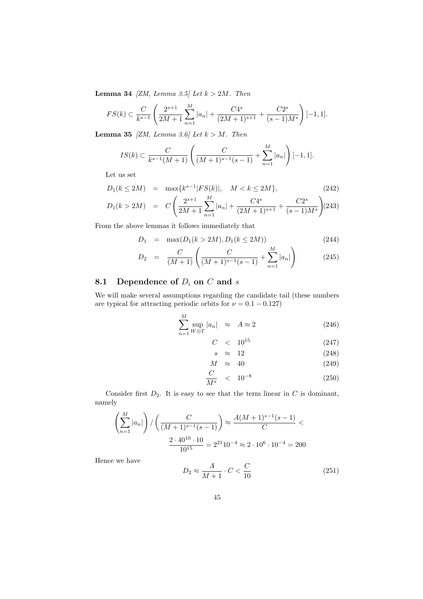**Lemma 34** *[ZM, Lemma 3.5] Let k >* 2*M. Then*

$$
FS(k) \subset \frac{C}{k^{s-1}} \left( \frac{2^{s+1}}{2M+1} \sum_{n=1}^{M} |a_n| + \frac{C4^s}{(2M+1)^{s+1}} + \frac{C2^s}{(s-1)M^s} \right) [-1,1].
$$

**Lemma 35** *[ZM, Lemma 3.6] Let k > M. Then*

$$
IS(k) \subset \frac{C}{k^{s-1}(M+1)} \left( \frac{C}{(M+1)^{s-1}(s-1)} + \sum_{n=1}^{M} |a_n| \right) [-1,1].
$$

Let us set

$$
D_1(k \le 2M) = \max\{k^{s-1}|FS(k)|, \quad M < k \le 2M\},\tag{242}
$$

$$
D_1(k > 2M) = C\left(\frac{2^{s+1}}{2M+1}\sum_{n=1}^{M}|a_n| + \frac{C4^s}{(2M+1)^{s+1}} + \frac{C2^s}{(s-1)M^s}\right) (243)
$$

From the above lemmas it follows immediately that

$$
D_1 = \max(D_1(k > 2M), D_1(k \le 2M))
$$
\n(244)

$$
D_2 = \frac{C}{(M+1)} \left( \frac{C}{(M+1)^{s-1}(s-1)} + \sum_{n=1}^{M} |a_n| \right) \tag{245}
$$

# **8.1 Dependence of** *D<sup>i</sup>* **on** *C* **and** *s*

We will make several assumptions regarding the candidate tail (these numbers are typical for attracting periodic orbits for  $\nu = 0.1 - 0.127$ )

$$
\sum_{n=1}^{M} \sup_{W \oplus T} |a_n| \approx A \approx 2 \tag{246}
$$

$$
C \quad < \quad 10^{15} \tag{247}
$$

$$
s \approx 12 \tag{248}
$$

$$
M \approx 40 \tag{249}
$$

$$
\frac{C}{M^s} \quad < \quad 10^{-8} \tag{250}
$$

Consider first  $D_2$ . It is easy to see that the term linear in  $C$  is dominant, namely

$$
\left(\sum_{n=1}^{M} |a_n|\right) / \left(\frac{C}{(M+1)^{s-1}(s-1)}\right) \approx \frac{A(M+1)^{s-1}(s-1)}{C} \n\frac{2 \cdot 40^{10} \cdot 10}{10^{15}} = 2^{21} 10^{-4} \approx 2 \cdot 10^6 \cdot 10^{-4} = 200
$$

Hence we have

$$
D_2 \approx \frac{A}{M+1} \cdot C < \frac{C}{10} \tag{251}
$$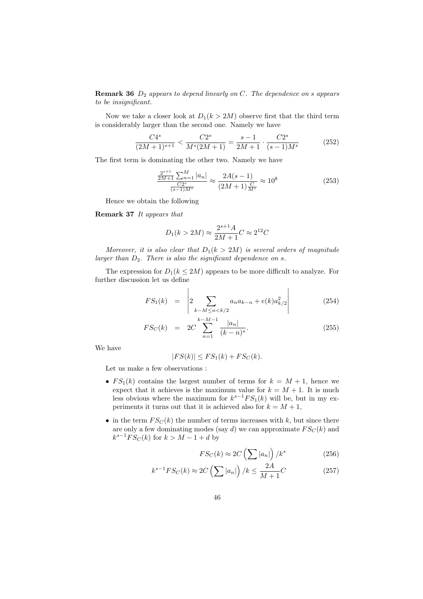**Remark 36** *D*<sup>2</sup> *appears to depend linearly on C. The dependence on s appears to be insignificant.*

Now we take a closer look at  $D_1(k > 2M)$  observe first that the third term is considerably larger than the second one. Namely we have

$$
\frac{C4^s}{(2M+1)^{s+1}} < \frac{C2^s}{M^s(2M+1)} = \frac{s-1}{2M+1} \cdot \frac{C2^s}{(s-1)M^s} \tag{252}
$$

The first term is dominating the other two. Namely we have

*s*+1

$$
\frac{\frac{2^{s+1}}{2M+1} \sum_{n=1}^{M} |a_n|}{\frac{C2^s}{(s-1)M^s}} \approx \frac{2A(s-1)}{(2M+1)\frac{C}{M^s}} \approx 10^8
$$
\n(253)

Hence we obtain the following

**Remark 37** *It appears that*

$$
D_1(k > 2M) \approx \frac{2^{s+1}A}{2M+1}C \approx 2^{12}C
$$

*Moreover, it is also clear that*  $D_1(k > 2M)$  *is several orders of magnitude larger than D*2*. There is also the significant dependence on s.*

The expression for  $D_1(k \leq 2M)$  appears to be more difficult to analyze. For further discussion let us define

$$
FS_1(k) = \left| 2 \sum_{k-M \le n < k/2} a_n a_{k-n} + e(k) a_{k/2}^2 \right| \tag{254}
$$

j.

$$
FS_C(k) = 2C \sum_{n=1}^{k-M-1} \frac{|a_n|}{(k-n)^s}.
$$
 (255)

We have

$$
|FS(k)| \leq FS_1(k) + FS_C(k).
$$

Let us make a few observations :

- $FS_1(k)$  contains the largest number of terms for  $k = M + 1$ , hence we expect that it achieves is the maximum value for  $k = M + 1$ . It is much less obvious where the maximum for  $k^{s-1}FS_1(k)$  will be, but in my experiments it turns out that it is achieved also for  $k = M + 1$ ,
- in the term  $FS_C(k)$  the number of terms increases with  $k$ , but since there are only a few dominating modes (say  $d$ ) we can approximate  $FS_C(k)$  and  $k^{s-1}FS_C(k)$  for  $k > M-1+d$  by

$$
FS_C(k) \approx 2C\left(\sum |a_n|\right)/k^s\tag{256}
$$

$$
k^{s-1}FS_C(k) \approx 2C\left(\sum |a_n|\right)/k \le \frac{2A}{M+1}C\tag{257}
$$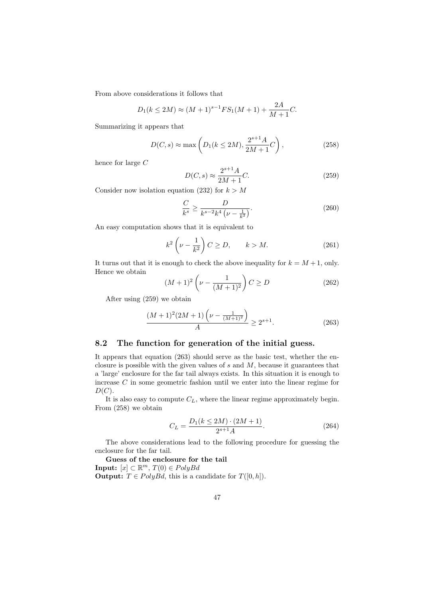From above considerations it follows that

$$
D_1(k \le 2M) \approx (M+1)^{s-1} F S_1(M+1) + \frac{2A}{M+1} C.
$$

Summarizing it appears that

$$
D(C, s) \approx \max\left(D_1(k \le 2M), \frac{2^{s+1}A}{2M+1}C\right),
$$
\n(258)

hence for large *C*

$$
D(C, s) \approx \frac{2^{s+1}A}{2M+1}C.
$$
 (259)

Consider now isolation equation (232) for  $k > M$ 

$$
\frac{C}{k^s} \ge \frac{D}{k^{s-2}k^4\left(\nu - \frac{1}{k^2}\right)}.\tag{260}
$$

An easy computation shows that it is equivalent to

$$
k^2 \left(\nu - \frac{1}{k^2}\right) C \ge D, \qquad k > M. \tag{261}
$$

It turns out that it is enough to check the above inequality for  $k = M + 1$ , only. Hence we obtain

$$
(M+1)^2 \left(\nu - \frac{1}{(M+1)^2}\right) C \ge D \tag{262}
$$

After using (259) we obtain

$$
\frac{(M+1)^2(2M+1)\left(\nu - \frac{1}{(M+1)^2}\right)}{A} \ge 2^{s+1}.\tag{263}
$$

#### **8.2 The function for generation of the initial guess.**

It appears that equation (263) should serve as the basic test, whether the enclosure is possible with the given values of *s* and *M*, because it guarantees that a 'large' enclosure for the far tail always exists. In this situation it is enough to increase *C* in some geometric fashion until we enter into the linear regime for  $D(C)$ .

It is also easy to compute *CL*, where the linear regime approximately begin. From (258) we obtain

$$
C_L = \frac{D_1(k \le 2M) \cdot (2M + 1)}{2^{s+1}A}.
$$
 (264)

The above considerations lead to the following procedure for guessing the enclosure for the far tail.

**Guess of the enclosure for the tail Input:** [*x*] *⊂* R *<sup>m</sup>*, *T*(0) *∈ P olyBd* **Output:**  $T \in PolyBd$ , this is a candidate for  $T([0, h])$ .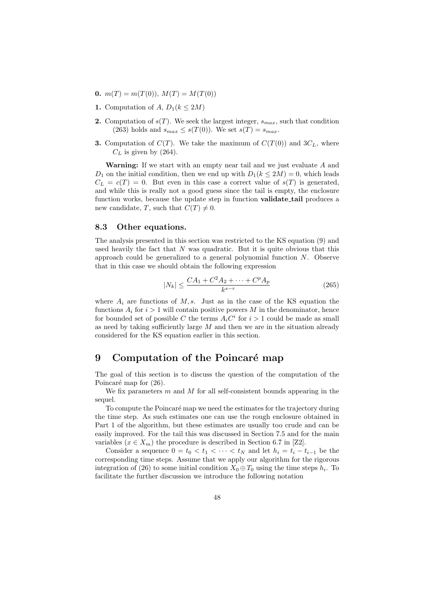- **0.**  $m(T) = m(T(0)), M(T) = M(T(0))$
- **1.** Computation of *A*,  $D_1(k \leq 2M)$
- **2.** Computation of  $s(T)$ . We seek the largest integer,  $s_{max}$ , such that condition (263) holds and  $s_{max} \leq s(T(0))$ . We set  $s(T) = s_{max}$ .
- **3.** Computation of  $C(T)$ . We take the maximum of  $C(T(0))$  and  $3C<sub>L</sub>$ , where  $C_L$  is given by (264).

**Warning:** If we start with an empty near tail and we just evaluate *A* and *D*<sub>1</sub> on the initial condition, then we end up with  $D_1(k \leq 2M) = 0$ , which leads  $C_L = c(T) = 0$ . But even in this case a correct value of  $s(T)$  is generated, and while this is really not a good guess since the tail is empty, the enclosure function works, because the update step in function **validate tail** produces a new candidate, *T*, such that  $C(T) \neq 0$ .

#### **8.3 Other equations.**

The analysis presented in this section was restricted to the KS equation (9) and used heavily the fact that *N* was quadratic. But it is quite obvious that this approach could be generalized to a general polynomial function *N*. Observe that in this case we should obtain the following expression

$$
|N_k| \le \frac{CA_1 + C^2 A_2 + \dots + C^p A_p}{k^{s-r}} \tag{265}
$$

where  $A_i$  are functions of  $M$ ,  $s$ . Just as in the case of the KS equation the functions  $A_i$  for  $i > 1$  will contain positive powers M in the denominator, hence for bounded set of possible *C* the terms  $A_i C^i$  for  $i > 1$  could be made as small as need by taking sufficiently large *M* and then we are in the situation already considered for the KS equation earlier in this section.

# **9** Computation of the Poincaré map

The goal of this section is to discuss the question of the computation of the Poincaré map for  $(26)$ .

We fix parameters *m* and *M* for all self-consistent bounds appearing in the sequel.

To compute the Poincaré map we need the estimates for the trajectory during the time step. As such estimates one can use the rough enclosure obtained in Part 1 of the algorithm, but these estimates are usually too crude and can be easily improved. For the tail this was discussed in Section 7.5 and for the main variables  $(x \in X_m)$  the procedure is described in Section 6.7 in [Z2].

Consider a sequence  $0 = t_0 < t_1 < \cdots < t_N$  and let  $h_i = t_i - t_{i-1}$  be the corresponding time steps. Assume that we apply our algorithm for the rigorous integration of (26) to some initial condition  $X_0 \oplus T_0$  using the time steps  $h_i$ . To facilitate the further discussion we introduce the following notation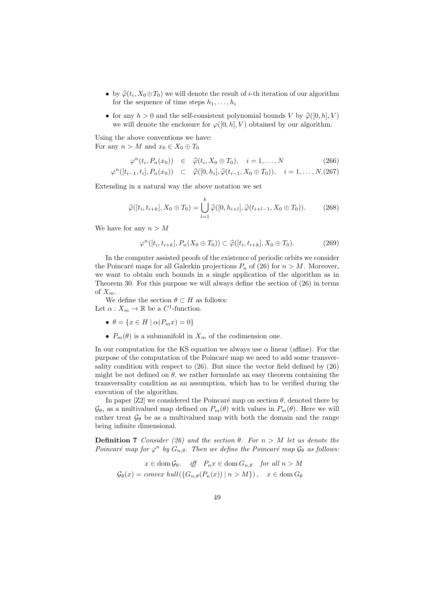- by  $\hat{\varphi}(t_i, X_0 \oplus T_0)$  we will denote the result of *i*-th iteration of our algorithm for the sequence of time staps  $h_i$ for the sequence of time steps  $h_1, \ldots, h_i$
- for any  $h > 0$  and the self-consistent polynomial bounds *V* by  $\hat{\varphi}([0, h], V)$ we will denote the enclosure for  $\varphi([0,h], V)$  obtained by our algorithm.

Using the above conventions we have: For any  $n > M$  and  $x_0 \in X_0 \oplus T_0$ 

$$
\varphi^{n}(t_{i}, P_{n}(x_{0})) \in \hat{\varphi}(t_{i}, X_{0} \oplus T_{0}), \quad i = 1, ..., N
$$
\n
$$
\varphi^{n}([t_{i-1}, t_{i}], P_{n}(x_{0})) \subset \hat{\varphi}([0, h_{i}], \hat{\varphi}(t_{i-1}, X_{0} \oplus T_{0})), \quad i = 1, ..., N.(267)
$$

Extending in a natural way the above notation we set

$$
\widehat{\varphi}([t_i, t_{i+k}], X_0 \oplus T_0) = \bigcup_{l=1}^k \widehat{\varphi}([0, h_{i+l}], \widehat{\varphi}(t_{i+l-1}, X_0 \oplus T_0)).
$$
 (268)

We have for any *n > M*

$$
\varphi^n([t_i, t_{i+k}], P_n(X_0 \oplus T_0)) \subset \widehat{\varphi}([t_i, t_{i+k}], X_0 \oplus T_0). \tag{269}
$$

In the computer assisted proofs of the existence of periodic orbits we consider the Poincaré maps for all Galerkin projections  $P_n$  of (26) for  $n > M$ . Moreover, we want to obtain such bounds in a single application of the algorithm as in Theorem 30. For this purpose we will always define the section of (26) in terms of  $X_m$ .

We define the section  $\theta \subset H$  as follows:

Let  $\alpha: X_m \to \mathbb{R}$  be a  $C^1$ -function.

- $\bullet$   $\theta = \{x \in H \mid \alpha(P_m x) = 0\}$
- $P_m(\theta)$  is a submanifold in  $X_m$  of the codimension one.

In our computation for the KS equation we always use  $\alpha$  linear (affine). For the purpose of the computation of the Poincaré map we need to add some transversality condition with respect to (26). But since the vector field defined by (26) might be not defined on  $\theta$ , we rather formulate an easy theorem containing the transversality condition as an assumption, which has to be verified during the execution of the algorithm.

In paper [Z2] we considered the Poincaré map on section  $\theta$ , denoted there by  $\mathcal{G}_{\theta}$ , as a multivalued map defined on  $P_m(\theta)$  with values in  $P_m(\theta)$ . Here we will rather treat  $\mathcal{G}_{\theta}$  be as a multivalued map with both the domain and the range being infinite dimensional.

**Definition 7** *Consider* (26) and the section  $\theta$ *. For*  $n > M$  *let us denote the Poincaré map for*  $\varphi^n$  *by*  $G_{n,\theta}$ *. Then we define the Poincaré map*  $\mathcal{G}_{\theta}$  *as follows:* 

$$
x \in \text{dom}\, \mathcal{G}_{\theta}, \quad \text{iff} \quad P_n x \in \text{dom}\, G_{n,\theta} \quad \text{for all } n > M
$$
\n
$$
\mathcal{G}_{\theta}(x) = \text{convex hull}(\{G_{n,\theta}(P_n(x)) \mid n > M\}), \quad x \in \text{dom}\, G_{\theta}
$$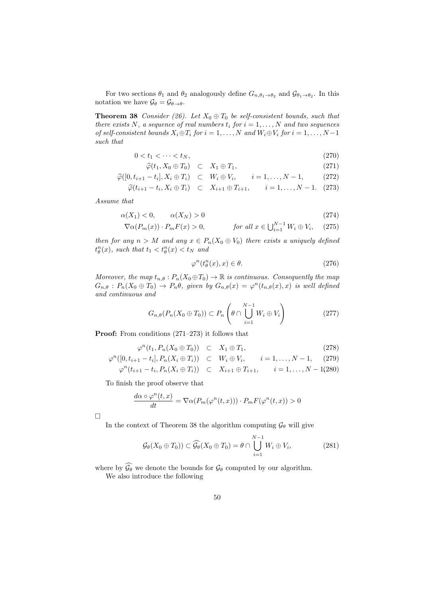For two sections  $\theta_1$  and  $\theta_2$  analogously define  $G_{n,\theta_1\to\theta_2}$  and  $\mathcal{G}_{\theta_1\to\theta_2}$ . In this notation we have  $\mathcal{G}_{\theta} = \mathcal{G}_{\theta \to \theta}$ .

**Theorem 38** *Consider (26).* Let  $X_0 \oplus T_0$  *be self-consistent bounds, such that there exists*  $N$ *, a sequence of real numbers*  $t_i$  *for*  $i = 1, \ldots, N$  *and two sequences of self-consistent bounds*  $X_i \oplus T_i$  *for*  $i = 1, ..., N$  *and*  $W_i \oplus V_i$  *for*  $i = 1, ..., N-1$ *such that*

$$
0 < t_1 < \dots < t_N,\tag{270}
$$

$$
\widehat{\varphi}(t_1, X_0 \oplus T_0) \quad \subset \quad X_1 \oplus T_1,\tag{271}
$$

$$
\widehat{\varphi}([0, t_{i+1} - t_i], X_i \oplus T_i) \quad \subset \quad W_i \oplus V_i, \qquad i = 1, \dots, N - 1, \tag{272}
$$

$$
\widehat{\varphi}(t_{i+1} - t_i, X_i \oplus T_i) \quad \subset \quad X_{i+1} \oplus T_{i+1}, \qquad i = 1, \dots, N-1. \tag{273}
$$

*Assume that*

$$
\alpha(X_1) < 0, \qquad \alpha(X_N) > 0 \tag{274}
$$

$$
\nabla \alpha(P_m(x)) \cdot P_m F(x) > 0, \qquad \text{for all } x \in \bigcup_{i=1}^{N-1} W_i \oplus V_i, \quad (275)
$$

*then for any*  $n > M$  *and any*  $x \in P_n(X_0 \oplus V_0)$  *there exists a uniquely defined*  $t_{\theta}^n(x)$ *, such that*  $t_1 < t_{\theta}^n(x) < t_N$  *and* 

$$
\varphi^n(t_\theta^n(x), x) \in \theta. \tag{276}
$$

*Moreover, the map*  $t_{n,\theta}: P_n(X_0 \oplus T_0) \to \mathbb{R}$  *is continuous. Consequently the map*  $G_{n,\theta}: P_n(X_0 \oplus T_0) \to P_n\theta$ , given by  $G_{n,\theta}(x) = \varphi^n(t_{n,\theta}(x),x)$  is well defined *and continuous and*

$$
G_{n,\theta}(P_n(X_0 \oplus T_0)) \subset P_n\left(\theta \cap \bigcup_{i=1}^{N-1} W_i \oplus V_i\right) \tag{277}
$$

**Proof:** From conditions  $(271-273)$  it follows that

$$
\varphi^{n}(t_{1}, P_{n}(X_{0} \oplus T_{0})) \subset X_{1} \oplus T_{1},
$$
\n
$$
\varphi^{n}([0, t_{i+1} - t_{i}], P_{n}(X_{i} \oplus T_{i})) \subset W_{i} \oplus V_{i}, \quad i = 1, ..., N - 1, \quad (279)
$$
\n
$$
\varphi^{n}(t_{i+1} - t_{i}, P_{n}(X_{i} \oplus T_{i})) \subset X_{i+1} \oplus T_{i+1}, \quad i = 1, ..., N - 1(280)
$$

To finish the proof observe that

$$
\frac{d\alpha \circ \varphi^n(t,x)}{dt} = \nabla \alpha (P_m(\varphi^n(t,x))) \cdot P_m F(\varphi^n(t,x)) > 0
$$

 $\Box$ 

In the context of Theorem 38 the algorithm computing  $\mathcal{G}_{\theta}$  will give

$$
\mathcal{G}_{\theta}(X_0 \oplus T_0)) \subset \widehat{\mathcal{G}_{\theta}}(X_0 \oplus T_0) = \theta \cap \bigcup_{i=1}^{N-1} W_i \oplus V_i, \tag{281}
$$

where by  $\widehat{\mathcal{G}_{\theta}}$  we denote the bounds for  $\mathcal{G}_{\theta}$  computed by our algorithm.

We also introduce the following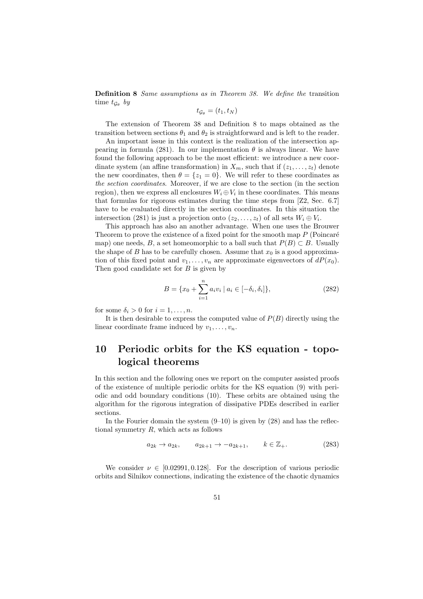**Definition 8** *Same assumptions as in Theorem 38. We define the* transition time  $t_{\mathcal{G}_{\theta}}$  *by* 

$$
t_{\mathcal{G}_{\theta}}=(t_1,t_N)
$$

The extension of Theorem 38 and Definition 8 to maps obtained as the transition between sections  $\theta_1$  and  $\theta_2$  is straightforward and is left to the reader.

An important issue in this context is the realization of the intersection appearing in formula (281). In our implementation  $\theta$  is always linear. We have found the following approach to be the most efficient: we introduce a new coordinate system (an affine transformation) in  $X_m$ , such that if  $(z_1, \ldots, z_t)$  denote the new coordinates, then  $\theta = \{z_1 = 0\}$ . We will refer to these coordinates as *the section coordinates*. Moreover, if we are close to the section (in the section region), then we express all enclosures  $W_i \oplus V_i$  in these coordinates. This means that formulas for rigorous estimates during the time steps from [Z2, Sec. 6.7] have to be evaluated directly in the section coordinates. In this situation the intersection (281) is just a projection onto  $(z_2, \ldots, z_t)$  of all sets  $W_i \oplus V_i$ .

This approach has also an another advantage. When one uses the Brouwer Theorem to prove the existence of a fixed point for the smooth map *P* (Poincaré map) one needs, *B*, a set homeomorphic to a ball such that  $P(B) \subset B$ . Usually the shape of *B* has to be carefully chosen. Assume that  $x_0$  is a good approximation of this fixed point and  $v_1, \ldots, v_n$  are approximate eigenvectors of  $dP(x_0)$ . Then good candidate set for *B* is given by

$$
B = \{x_0 + \sum_{i=1}^{n} a_i v_i \mid a_i \in [-\delta_i, \delta_i] \},\tag{282}
$$

for some  $\delta_i > 0$  for  $i = 1, \ldots, n$ .

It is then desirable to express the computed value of *P*(*B*) directly using the linear coordinate frame induced by  $v_1, \ldots, v_n$ .

# **10 Periodic orbits for the KS equation - topological theorems**

In this section and the following ones we report on the computer assisted proofs of the existence of multiple periodic orbits for the KS equation (9) with periodic and odd boundary conditions (10). These orbits are obtained using the algorithm for the rigorous integration of dissipative PDEs described in earlier sections.

In the Fourier domain the system  $(9-10)$  is given by  $(28)$  and has the reflectional symmetry *R*, which acts as follows

$$
a_{2k} \to a_{2k}, \qquad a_{2k+1} \to -a_{2k+1}, \qquad k \in \mathbb{Z}_+.
$$
 (283)

We consider  $\nu \in [0.02991, 0.128]$ . For the description of various periodic orbits and Silnikov connections, indicating the existence of the chaotic dynamics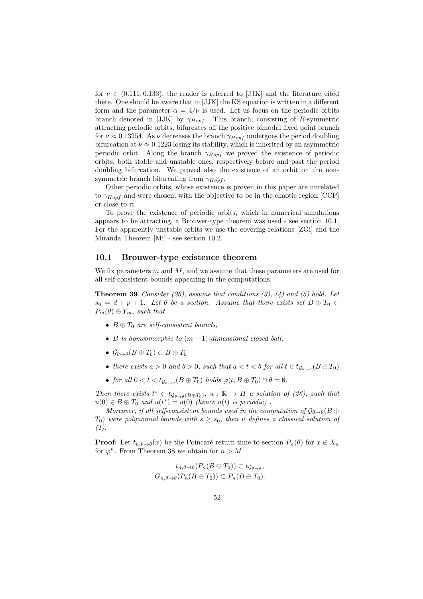for  $\nu \in (0.111, 0.133)$ , the reader is referred to [JJK] and the literature cited there. One should be aware that in [JJK] the KS equation is written in a different form and the parameter  $\alpha = 4/\nu$  is used. Let us focus on the periodic orbits branch denoted in [JJK] by *γHopf* . This branch, consisting of *R*-symmetric attracting periodic orbits, bifurcates off the positive bimodal fixed point branch for  $\nu \approx 0.13254$ . As  $\nu$  decreases the branch  $\gamma_{Hopf}$  undergoes the period doubling bifurcation at  $\nu \approx 0.1223$  losing its stability, which is inherited by an asymmetric periodic orbit. Along the branch *γHopf* we proved the existence of periodic orbits, both stable and unstable ones, respectively before and past the period doubling bifurcation. We proved also the existence of an orbit on the nonsymmetric branch bifurcating from *γHopf* .

Other periodic orbits, whose existence is proven in this paper are unrelated to *γHopf* and were chosen, with the objective to be in the chaotic region [CCP] or close to it.

To prove the existence of periodic orbits, which in numerical simulations appears to be attracting, a Brouwer-type theorem was used - see section 10.1. For the apparently unstable orbits we use the covering relations [ZGi] and the Miranda Theorem [Mi] - see section 10.2.

#### **10.1 Brouwer-type existence theorem**

We fix parameters *m* and *M*, and we assume that these parameters are used for all self-consistent bounds appearing in the computations.

**Theorem 39** *Consider (26), assume that conditions (3), (4) and (5) hold. Let*  $s_0 = d + p + 1$ *. Let*  $\theta$  *be a section. Assume that there exists set*  $B \oplus T_0 \subset$  $P_m(\theta) \oplus Y_m$ *, such that* 

- *• B ⊕ T*<sup>0</sup> *are self-consistent bounds,*
- *• B is homeomorphic to* (*m −* 1)*-dimensional closed ball,*
- $\bullet$   $\mathcal{G}_{\theta \to \theta}(B \oplus T_0) \subset B \oplus T_0$
- *there exists*  $a > 0$  *and*  $b > 0$ *, such that*  $a < t < b$  *for all*  $t \in t_{\mathcal{G}_{\theta \to \theta}}(B \oplus T_0)$
- *for all*  $0 < t < t_{\mathcal{G}_{\theta \to \theta}}(B \oplus T_0)$  *holds*  $\varphi(t, B \oplus T_0) \cap \theta = \emptyset$ *.*

*Then there exists*  $t^* \in t_{\mathcal{G}_{\theta\to\theta}(B\oplus T_0)}, u : \mathbb{R} \to H$  *a solution of (26), such that*  $u(0) \in B \oplus T_0$  *and*  $u(t^*) = u(0)$  *(hence*  $u(t)$  *is periodic)*.

*Moreover, if all self-consistent bounds used in the computation of*  $\mathcal{G}_{\theta\to\theta}(B\oplus$  $T_0$ ) *were polynomial bounds with*  $s \geq s_0$ , then *u defines* a *classical solution of (1).*

**Proof:** Let  $t_{n,\theta\to\theta}(x)$  be the Poincaré return time to section  $P_n(\theta)$  for  $x \in X_n$ for  $\varphi^n$ . From Theorem 38 we obtain for  $n > M$ 

$$
t_{n,\theta \to \theta}(P_n(B \oplus T_0)) \subset t_{\mathcal{G}_{\theta \to \theta}},
$$
  

$$
G_{n,\theta \to \theta}(P_n(B \oplus T_0)) \subset P_n(B \oplus T_0).
$$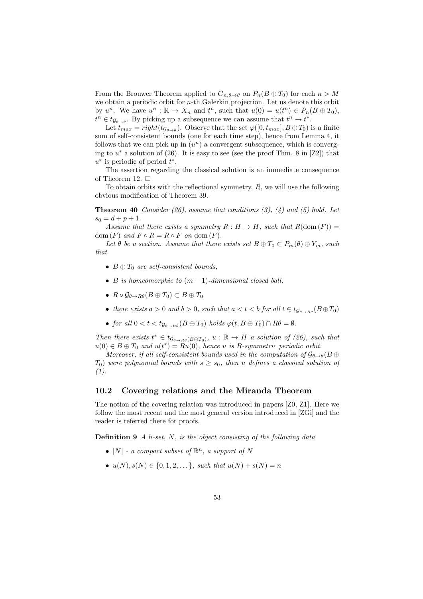From the Brouwer Theorem applied to  $G_{n,\theta \to \theta}$  on  $P_n(B \oplus T_0)$  for each  $n > M$ we obtain a periodic orbit for *n*-th Galerkin projection. Let us denote this orbit by  $u^n$ . We have  $u^n : \mathbb{R} \to X_n$  and  $t^n$ , such that  $u(0) = u(t^n) \in P_n(B \oplus T_0)$ ,  $t^n \in t_{\mathcal{G}_{\theta \to \theta}}$ . By picking up a subsequence we can assume that  $t^n \to t^*$ .

Let  $t_{max} = right(t_{\mathcal{G}_{\theta \to \theta}})$ . Observe that the set  $\varphi([0, t_{max}], B \oplus T_0)$  is a finite sum of self-consistent bounds (one for each time step), hence from Lemma 4, it follows that we can pick up in  $(u^n)$  a convergent subsequence, which is converging to *u <sup>∗</sup>* a solution of (26). It is easy to see (see the proof Thm. 8 in [Z2]) that *u ∗* is periodic of period *t ∗* .

The assertion regarding the classical solution is an immediate consequence of Theorem 12.  $\square$ 

To obtain orbits with the reflectional symmetry, *R*, we will use the following obvious modification of Theorem 39.

**Theorem 40** *Consider (26), assume that conditions (3), (4) and (5) hold. Let*  $s_0 = d + p + 1.$ 

*Assume that there exists a symmetry*  $R: H \to H$ *, such that*  $R(\text{dom}(F)) =$  $dom(F)$  *and*  $F \circ R = R \circ F$  *on*  $dom(F)$ *.* 

Let  $\theta$  be a section. Assume that there exists set  $B \oplus T_0 \subset P_m(\theta) \oplus Y_m$ , such *that*

- *• B ⊕ T*<sup>0</sup> *are self-consistent bounds,*
- *• B is homeomorphic to* (*m −* 1)*-dimensional closed ball,*
- *• R G<sup>θ</sup>→Rθ*(*B ⊕ T*0) *⊂ B ⊕ T*<sup>0</sup>
- *there exists*  $a > 0$  *and*  $b > 0$ *, such that*  $a < t < b$  *for all*  $t \in t_{\mathcal{G}_{a \to \mathcal{P}}}(B \oplus T_0)$
- *• for all*  $0 < t < t_{G_{\theta \to B\theta}}(B \oplus T_0)$  *holds*  $\varphi(t, B \oplus T_0) \cap R\theta = ∅$ .

*Then there exists*  $t^* \in t_{\mathcal{G}_{\theta \to R\theta}(B \oplus T_0)}, u : \mathbb{R} \to H$  *a solution of (26), such that*  $u(0) \in B \oplus T_0$  and  $u(t^*) = Ru(0)$ , hence *u* is *R*-symmetric periodic orbit.

*Moreover, if all self-consistent bounds used in the computation of*  $\mathcal{G}_{\theta\to\theta}(B\oplus$  $T_0$ ) were polynomial bounds with  $s \geq s_0$ , then *u* defines a classical solution of *(1).*

#### **10.2 Covering relations and the Miranda Theorem**

The notion of the covering relation was introduced in papers [Z0, Z1]. Here we follow the most recent and the most general version introduced in [ZGi] and the reader is referred there for proofs.

**Definition 9** *A h-set, N, is the object consisting of the following data*

- $|N|$   *a compact subset of*  $\mathbb{R}^n$ *, a support of*  $N$
- *•*  $u(N)$ *, s*(*N*) ∈ {0*,* 1*,* 2*, . . . }, such that*  $u(N) + s(N) = n$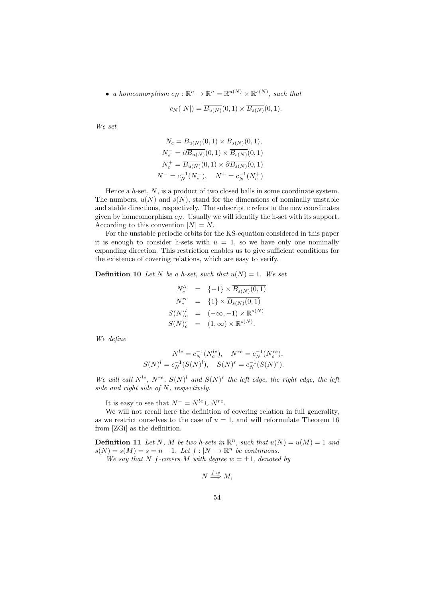• *a homeomorphism*  $c_N : \mathbb{R}^n \to \mathbb{R}^n = \mathbb{R}^{u(N)} \times \mathbb{R}^{s(N)}$ , such that

$$
c_N(|N|) = \overline{B_{u(N)}}(0,1) \times \overline{B_{s(N)}}(0,1).
$$

*We set*

$$
N_c = \overline{B_{u(N)}}(0,1) \times \overline{B_{s(N)}}(0,1),
$$
  
\n
$$
N_c^- = \partial \overline{B_{u(N)}}(0,1) \times \overline{B_{s(N)}}(0,1)
$$
  
\n
$$
N_c^+ = \overline{B_{u(N)}}(0,1) \times \partial \overline{B_{s(N)}}(0,1)
$$
  
\n
$$
N^- = c_N^{-1}(N_c^-), \quad N^+ = c_N^{-1}(N_c^+)
$$

Hence a *h*-set, *N*, is a product of two closed balls in some coordinate system. The numbers,  $u(N)$  and  $s(N)$ , stand for the dimensions of nominally unstable and stable directions, respectively. The subscript *c* refers to the new coordinates given by homeomorphism  $c_N$ . Usually we will identify the h-set with its support. According to this convention  $|N| = N$ .

For the unstable periodic orbits for the KS-equation considered in this paper it is enough to consider h-sets with  $u = 1$ , so we have only one nominally expanding direction. This restriction enables us to give sufficient conditions for the existence of covering relations, which are easy to verify.

**Definition 10** Let *N* be a h-set, such that  $u(N) = 1$ . We set

$$
N_c^{le} = \{-1\} \times \overline{B_{s(N)}(0,1)}
$$
  
\n
$$
N_c^{re} = \{1\} \times \overline{B_{s(N)}(0,1)}
$$
  
\n
$$
S(N)_c^{l} = (-\infty, -1) \times \mathbb{R}^{s(N)}
$$
  
\n
$$
S(N)_c^{r} = (1, \infty) \times \mathbb{R}^{s(N)}
$$
.

*We define*

$$
N^{le} = c_N^{-1}(N_c^{le}), \quad N^{re} = c_N^{-1}(N_c^{re}),
$$
  

$$
S(N)^l = c_N^{-1}(S(N)^l), \quad S(N)^r = c_N^{-1}(S(N)^r).
$$

*We will call*  $N^{le}$ ,  $N^{re}$ ,  $S(N)^{l}$  *and*  $S(N)^{r}$  *the left edge, the right edge, the left side and right side of N, respectively.*

It is easy to see that  $N^- = N^{le} \cup N^{re}$ .

We will not recall here the definition of covering relation in full generality, as we restrict ourselves to the case of  $u = 1$ , and will reformulate Theorem 16 from [ZGi] as the definition.

**Definition 11** Let N, M be two h-sets in  $\mathbb{R}^n$ , such that  $u(N) = u(M) = 1$  and  $s(N) = s(M) = s = n - 1$ . Let  $f : |N| \to \mathbb{R}^n$  be continuous.

*We say that N f*-covers *M with degree*  $w = \pm 1$ *, denoted by* 

$$
N \stackrel{f,w}{\Longrightarrow} M,
$$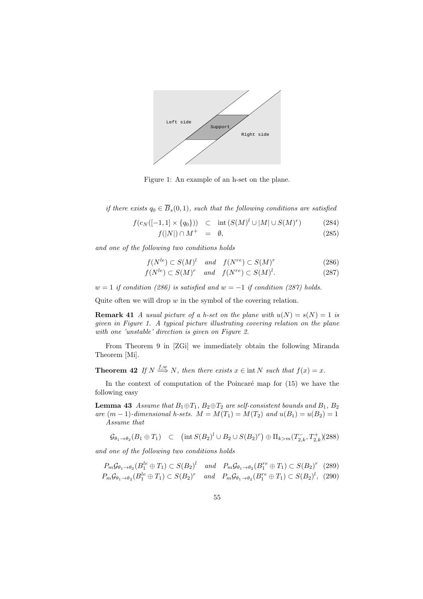

Figure 1: An example of an h-set on the plane.

*if there exists*  $q_0 \in \overline{B}_s(0,1)$ *, such that the following conditions are satisfied* 

$$
f(c_N([-1,1] \times \{q_0\})) \subset \text{int}(S(M)^l \cup |M| \cup S(M)^r) \tag{284}
$$
  

$$
f(|N|) \cap M^+ = \emptyset, \tag{285}
$$

*and one of the following two conditions holds*

$$
f(N^{le}) \subset S(M)^{l} \quad and \quad f(N^{re}) \subset S(M)^{r} \tag{286}
$$

$$
f(N^{le}) \subset S(M)^r \quad and \quad f(N^{re}) \subset S(M)^l. \tag{287}
$$

*w* = 1 *if condition (286) is satisfied and w* = *−*1 *if condition (287) holds.*

Quite often we will drop *w* in the symbol of the covering relation.

**Remark 41** *A usual picture of a h-set on the plane with*  $u(N) = s(N) = 1$  *is given in Figure 1. A typical picture illustrating covering relation on the plane with one 'unstable' direction is given on Figure 2.*

From Theorem 9 in [ZGi] we immediately obtain the following Miranda Theorem [Mi].

**Theorem 42** If  $N \stackrel{f,w}{\Longrightarrow} N$ , then there exists  $x \in \text{int } N$  such that  $f(x) = x$ .

In the context of computation of the Poincaré map for  $(15)$  we have the following easy

**Lemma 43** *Assume that*  $B_1 \oplus T_1$ *,*  $B_2 \oplus T_2$  *are self-consistent bounds and*  $B_1$ *,*  $B_2$  $are (m-1)$ *-dimensional h-sets.*  $M = M(T_1) = M(T_2)$  *and*  $u(B_1) = u(B_2) = 1$ *Assume that*

$$
\mathcal{G}_{\theta_1 \to \theta_2}(B_1 \oplus T_1) \quad \subset \quad \left(\text{int } S(B_2)^l \cup B_2 \cup S(B_2)^r\right) \oplus \Pi_{k>m}(T_{2,k}^-, T_{2,k}^+)(288)
$$

*and one of the following two conditions holds*

$$
P_m \mathcal{G}_{\theta_1 \to \theta_2} (B_1^{le} \oplus T_1) \subset S(B_2)^l \quad \text{and} \quad P_m \mathcal{G}_{\theta_1 \to \theta_2} (B_1^{re} \oplus T_1) \subset S(B_2)^r \quad (289)
$$
  

$$
P_m \mathcal{G}_{\theta_1 \to \theta_2} (B_1^{le} \oplus T_1) \subset S(B_2)^r \quad \text{and} \quad P_m \mathcal{G}_{\theta_1 \to \theta_2} (B_1^{re} \oplus T_1) \subset S(B_2)^l, \quad (290)
$$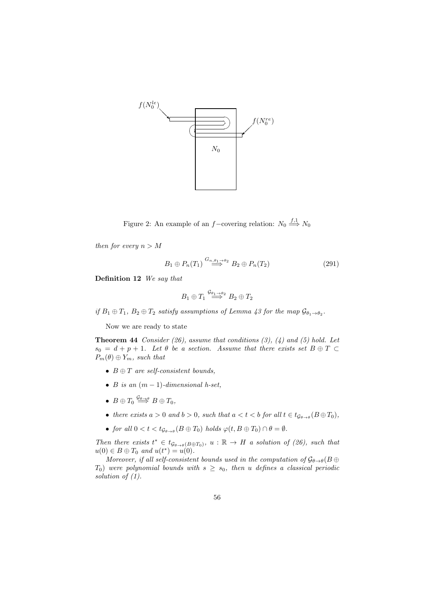

Figure 2: An example of an *f−*covering relation:  $N_0 \stackrel{f,1}{\Longrightarrow} N_0$ 

*then for every*  $n > M$ 

$$
B_1 \oplus P_n(T_1) \stackrel{G_{n,\theta_1} \to \theta_2}{\Longrightarrow} B_2 \oplus P_n(T_2) \tag{291}
$$

**Definition 12** *We say that*

$$
B_1 \oplus T_1 \stackrel{\mathcal{G}_{\theta_1 \to \theta_2}}{\Longrightarrow} B_2 \oplus T_2
$$

 $if B_1 \oplus T_1, B_2 \oplus T_2$  *satisfy assumptions of Lemma 43 for the map*  $\mathcal{G}_{\theta_1 \to \theta_2}$ *.* 

Now we are ready to state

**Theorem 44** *Consider (26), assume that conditions (3), (4) and (5) hold. Let*  $s_0 = d + p + 1$ *. Let*  $\theta$  *be a section. Assume that there exists set*  $B \oplus T \subset$  $P_m(\theta) \oplus Y_m$ *, such that* 

- *• B ⊕ T are self-consistent bounds,*
- *B is an*  $(m-1)$ *-dimensional h-set,*
- $\bullet$   $B \oplus T_0 \stackrel{\mathcal{G}_{\theta \to \theta}}{\Longrightarrow} B \oplus T_0$ *,*
- *there exists*  $a > 0$  *and*  $b > 0$ *, such that*  $a < t < b$  *for all*  $t \in t_{\mathcal{G}_{\theta \to \theta}}(B \oplus T_0)$ *,*
- *for all*  $0 < t < t_{\mathcal{G}_{\theta \to \theta}}(B \oplus T_0)$  *holds*  $\varphi(t, B \oplus T_0) \cap \theta = \emptyset$ *.*

*Then there exists*  $t^* \in t_{\mathcal{G}_{\theta \to \theta}(B \oplus T_0)}$ ,  $u : \mathbb{R} \to H$  *a solution of (26), such that*  $u(0) \in B \oplus T_0$  *and*  $u(t^*) = u(0)$ *.* 

*Moreover, if all self-consistent bounds used in the computation of*  $\mathcal{G}_{\theta\to\theta}(B\oplus B)$ *T*<sub>0</sub>) *were polynomial bounds with*  $s \geq s_0$ *, then u defines a classical periodic solution of (1).*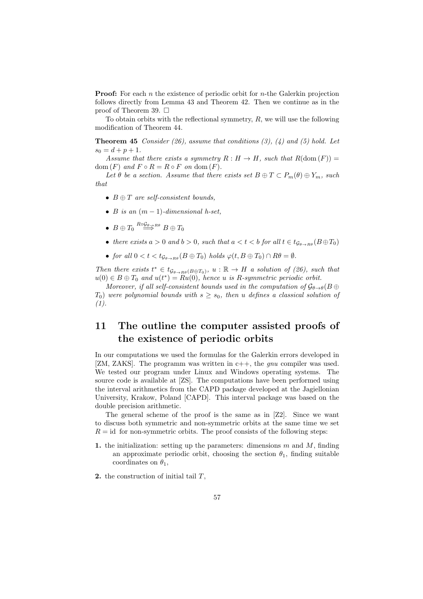**Proof:** For each *n* the existence of periodic orbit for *n*-the Galerkin projection follows directly from Lemma 43 and Theorem 42. Then we continue as in the proof of Theorem 39.  $\Box$ 

To obtain orbits with the reflectional symmetry, *R*, we will use the following modification of Theorem 44.

**Theorem 45** *Consider (26), assume that conditions (3), (4) and (5) hold. Let*  $s_0 = d + p + 1.$ 

*Assume that there exists a symmetry*  $R: H \to H$ *, such that*  $R(\text{dom}(F)) =$ dom  $(F)$  and  $F \circ R = R \circ F$  on dom  $(F)$ .

Let  $\theta$  be a section. Assume that there exists set  $B \oplus T \subset P_m(\theta) \oplus Y_m$ , such *that*

- *• B ⊕ T are self-consistent bounds,*
- *• B is an* (*m −* 1)*-dimensional h-set,*
- $\bullet$   $B \oplus T_0 \overset{R \circ \mathcal{G}_\theta \rightarrow R \theta}{\Longrightarrow} B \oplus T_0$
- *there exists*  $a > 0$  *and*  $b > 0$ *, such that*  $a < t < b$  *for all*  $t \in t_{G_{a \to \text{P}a}}(B \oplus T_0)$
- *• for all*  $0 < t < t_{\mathcal{G}_{\theta \to \mathcal{B}\theta}}(B \oplus T_0)$  *holds*  $\varphi(t, B \oplus T_0) \cap R\theta = \emptyset$ *.*

*Then there exists*  $t^* \in t_{\mathcal{G}_{\theta \to R\theta}(B \oplus T_0)}, u : \mathbb{R} \to H$  *a solution of (26), such that*  $u(0) \in B \oplus T_0$  and  $u(t^*) = Ru(0)$ , hence *u* is *R*-symmetric periodic orbit.

*Moreover, if all self-consistent bounds used in the computation of*  $\mathcal{G}_{\theta\to\theta}(B\oplus$  $T_0$ ) *were polynomial bounds with*  $s > s_0$ , then *u defines a classical solution of (1).*

# **11 The outline the computer assisted proofs of the existence of periodic orbits**

In our computations we used the formulas for the Galerkin errors developed in [ZM, ZAKS]. The programm was written in c++, the *gnu* compiler was used. We tested our program under Linux and Windows operating systems. The source code is available at [ZS]. The computations have been performed using the interval arithmetics from the CAPD package developed at the Jagiellonian University, Krakow, Poland [CAPD]. This interval package was based on the double precision arithmetic.

The general scheme of the proof is the same as in [Z2]. Since we want to discuss both symmetric and non-symmetric orbits at the same time we set  $R = id$  for non-symmetric orbits. The proof consists of the following steps:

- **1.** the initialization: setting up the parameters: dimensions *m* and *M*, finding an approximate periodic orbit, choosing the section  $\theta_1$ , finding suitable coordinates on  $\theta_1$ ,
- **2.** the construction of initial tail *T*,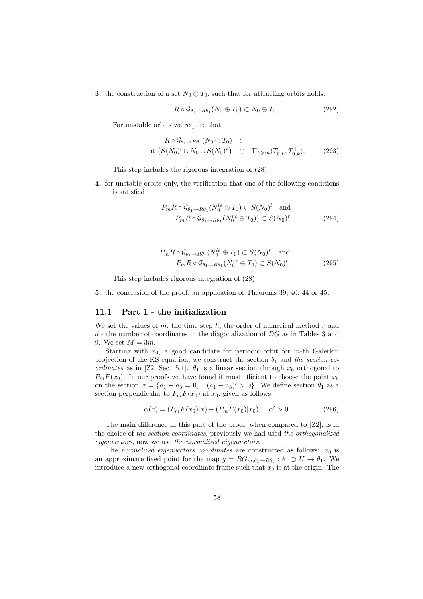**3.** the construction of a set  $N_0 \oplus T_0$ , such that for attracting orbits holds:

$$
R \circ \mathcal{G}_{\theta_1 \to R\theta_1}(N_0 \oplus T_0) \subset N_0 \oplus T_0. \tag{292}
$$

For unstable orbits we require that

$$
R \circ \mathcal{G}_{\theta_1 \to R\theta_1}(N_0 \oplus T_0) \subset
$$
  
int  $(S(N_0)^l \cup N_0 \cup S(N_0)^r) \oplus \Pi_{k>m}(T_{0,k}^-, T_{0,k}^+).$  (293)

This step includes the rigorous integration of (28).

**4.** for unstable orbits only, the verification that one of the following conditions is satisfied

$$
P_m R \circ \mathcal{G}_{\theta_1 \to R\theta_1} (N_0^{le} \oplus T_0) \subset S(N_0)^l \text{ and}
$$
  

$$
P_m R \circ \mathcal{G}_{\theta_1 \to R\theta_1} (N_0^{re} \oplus T_0) ) \subset S(N_0)^r
$$
 (294)

$$
P_m R \circ \mathcal{G}_{\theta_1 \to R\theta_1} (N_0^{le} \oplus T_0) \subset S(N_0)^r \text{ and}
$$
  

$$
P_m R \circ \mathcal{G}_{\theta_1 \to R\theta_1} (N_0^{re} \oplus T_0) \subset S(N_0)^l.
$$
 (295)

This step includes rigorous integration of (28).

**5.** the conclusion of the proof, an application of Theorems 39, 40, 44 or 45.

### **11.1 Part 1 - the initialization**

We set the values of *m*, the time step *h*, the order of numerical method *r* and *d* - the number of coordinates in the diagonalization of *DG* as in Tables 3 and 9. We set  $M = 3m$ .

Starting with *x*0, a good candidate for periodic orbit for *m*-th Galerkin projection of the KS equation, we construct the section  $\theta_1$  and *the section coordinates* as in [Z2, Sec. 5.1].  $\theta_1$  is a linear section through  $x_0$  orthogonal to  $P_m F(x_0)$ . In our proofs we have found it most efficient to choose the point  $x_0$ on the section  $\sigma = \{a_1 - a_3 = 0, \quad (a_1 - a_3)' > 0\}$ . We define section  $\theta_1$  as a section perpendicular to  $P_m F(x_0)$  at  $x_0$ , given as follows

$$
\alpha(x) = (P_m F(x_0)|x) - (P_m F(x_0)|x_0), \quad \alpha' > 0.
$$
\n(296)

The main difference in this part of the proof, when compared to [Z2], is in the choice of *the section coordinates*, previously we had used *the orthogonalized eigenvectors*, now we use *the normalized eigenvectors*.

The *normalized eigenvectors coordinates* are constructed as follows:  $x_0$  is an approximate fixed point for the map  $g = RG_{m,\theta_1 \to R\theta_1} : \theta_1 \supset U \to \theta_1$ . We introduce a new orthogonal coordinate frame such that  $x_0$  is at the origin. The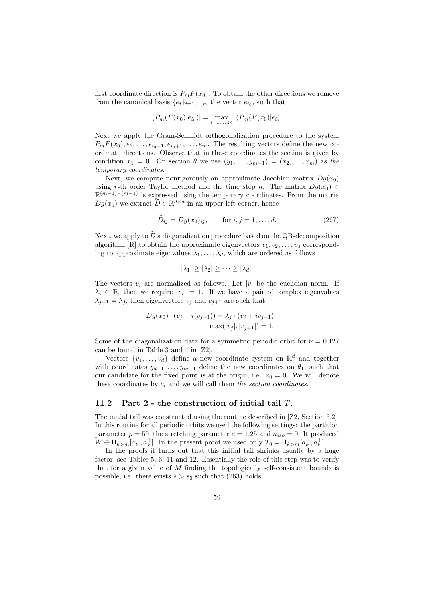first coordinate direction is  $P_m F(x_0)$ . To obtain the other directions we remove from the canonical basis  ${e_i}_{i=1,\dots,m}$  the vector  $e_{i_0}$ , such that

$$
|(P_m(F(x_0)|e_{i_0})| = \max_{i=1,\dots,m} |(P_m(F(x_0)|e_i)|).
$$

Next we apply the Gram-Schmidt orthogonalization procedure to the system  $P_m F(x_0), e_1, \ldots, e_{i_0-1}, e_{i_0+1}, \ldots, e_m$ . The resulting vectors define the new coordinate directions. Observe that in these coordinates the section is given by condition  $x_1 = 0$ . On section  $\theta$  we use  $(y_1, \ldots, y_{m-1}) = (x_2, \ldots, x_m)$  as the *temporary coordinates*.

Next, we compute nonrigorously an approximate Jacobian matrix  $Dg(x_0)$ using *r*-th order Taylor method and the time step *h*. The matrix  $Dq(x_0) \in$ R (*m−*1)*×*(*m−*1) is expressed using the temporary coordinates. From the matrix  $Dg(x_0)$  we extract  $\widetilde{D} \in \mathbb{R}^{d \times d}$  in an upper left corner, hence

$$
\widetilde{D}_{ij} = Dg(x_0)_{ij}, \qquad \text{for } i, j = 1, ..., d. \tag{297}
$$

Next, we apply to  $\tilde{D}$  a diagonalization procedure based on the QR-decomposition algorithm  $[R]$  to obtain the approximate eigenvectors  $v_1, v_2, \ldots, v_d$  corresponding to approximate eigenvalues  $\lambda_1, \ldots, \lambda_d$ , which are ordered as follows

$$
|\lambda_1| \geq |\lambda_2| \geq \cdots \geq |\lambda_d|.
$$

The vectors  $v_i$  are normalized as follows. Let  $|v|$  be the euclidian norm. If  $\lambda_i \in \mathbb{R}$ , then we require  $|v_i| = 1$ . If we have a pair of complex eigenvalues  $\lambda_{j+1} = \lambda_j$ , then eigenvectors  $v_j$  and  $v_{j+1}$  are such that

$$
Dg(x_0) \cdot (v_j + i(v_{j+1})) = \lambda_j \cdot (v_j + iv_{j+1})
$$

$$
\max(|v_j|, |v_{j+1}|) = 1.
$$

Some of the diagonalization data for a symmetric periodic orbit for  $\nu = 0.127$ can be found in Table 3 and 4 in [Z2].

Vectors  $\{v_1, \ldots, v_d\}$  define a new coordinate system on  $\mathbb{R}^d$  and together with coordinates  $y_{d+1}, \ldots, y_{m-1}$  define the new coordinates on  $\theta_1$ , such that our candidate for the fixed point is at the origin, i.e.  $x_0 = 0$ . We will denote these coordinates by *c<sup>i</sup>* and we will call them *the section coordinates*.

#### **11.2 Part 2 - the construction of initial tail** *T***.**

The initial tail was constructed using the routine described in [Z2, Section 5.2]. In this routine for all periodic orbits we used the following settings: the partition parameter  $p = 50$ , the stretching parameter  $e = 1.25$  and  $n_{iso} = 0$ . It produced  $W \oplus \Pi_{k>m}[a_k^-, a_k^+]$ . In the present proof we used only  $T_0 = \Pi_{k>m}[a_k^-, a_k^+]$ .

In the proofs it turns out that this initial tail shrinks usually by a huge factor, see Tables 5, 6, 11 and 12. Essentially the role of this step was to verify that for a given value of *M* finding the topologically self-consistent bounds is possible, i.e. there exists  $s > s_0$  such that (263) holds.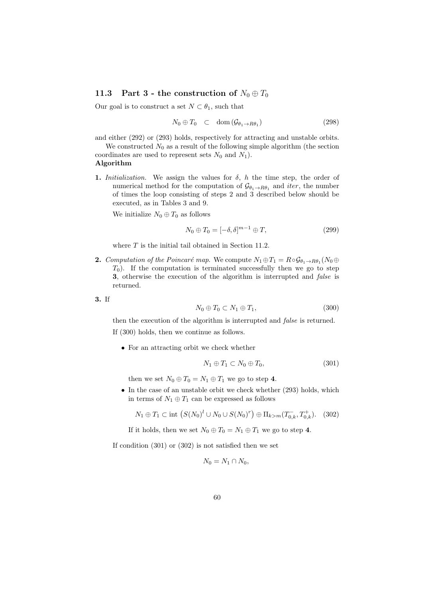### **11.3** Part 3 - the construction of  $N_0 \oplus T_0$

Our goal is to construct a set  $N \subset \theta_1$ , such that

$$
N_0 \oplus T_0 \quad \subset \quad \text{dom}\left(\mathcal{G}_{\theta_1 \to R\theta_1}\right) \tag{298}
$$

and either (292) or (293) holds, respectively for attracting and unstable orbits. We constructed  $N_0$  as a result of the following simple algorithm (the section

coordinates are used to represent sets  $N_0$  and  $N_1$ ). **Algorithm**

**1.** *Initialization*. We assign the values for  $\delta$ ,  $h$  the time step, the order of numerical method for the computation of  $\mathcal{G}_{\theta_1 \to R\theta_1}$  and *iter*, the number of times the loop consisting of steps 2 and 3 described below should be executed, as in Tables 3 and 9.

We initialize  $N_0 \oplus T_0$  as follows

$$
N_0 \oplus T_0 = [-\delta, \delta]^{m-1} \oplus T,
$$
\n(299)

where *T* is the initial tail obtained in Section 11.2.

**2.** *Computation of the Poincaré map.* We compute  $N_1 \oplus T_1 = R \circ \mathcal{G}_{\theta_1 \to R\theta_1}(N_0 \oplus$  $T_0$ ). If the computation is terminated successfully then we go to step **3**, otherwise the execution of the algorithm is interrupted and *false* is returned.

**3.** If

$$
N_0 \oplus T_0 \subset N_1 \oplus T_1,\tag{300}
$$

then the execution of the algorithm is interrupted and *false* is returned. If (300) holds, then we continue as follows.

*•* For an attracting orbit we check whether

$$
N_1 \oplus T_1 \subset N_0 \oplus T_0,\tag{301}
$$

then we set  $N_0 \oplus T_0 = N_1 \oplus T_1$  we go to step 4.

*•* In the case of an unstable orbit we check whether (293) holds, which in terms of  $N_1 \oplus T_1$  can be expressed as follows

$$
N_1 \oplus T_1 \subset \text{int } \left( S(N_0)^l \cup N_0 \cup S(N_0)^r \right) \oplus \Pi_{k>m}(T_{0,k}^-, T_{0,k}^+). \tag{302}
$$

If it holds, then we set  $N_0 \oplus T_0 = N_1 \oplus T_1$  we go to step 4.

If condition (301) or (302) is not satisfied then we set

$$
N_0=N_1\cap N_0,
$$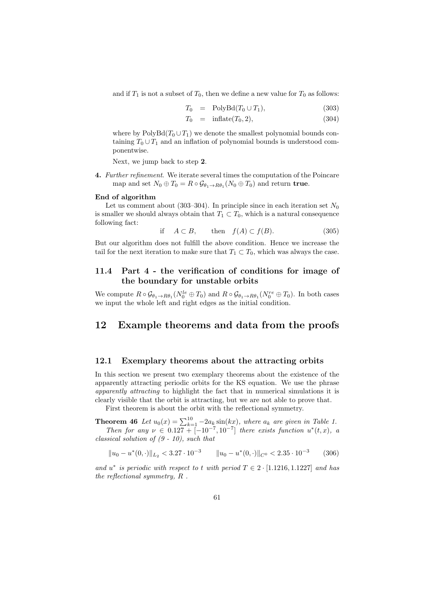and if  $T_1$  is not a subset of  $T_0$ , then we define a new value for  $T_0$  as follows:

$$
T_0 = \text{PolyBd}(T_0 \cup T_1), \tag{303}
$$

$$
T_0 = \text{inflate}(T_0, 2), \tag{304}
$$

where by  $PolyBd(T_0 \cup T_1)$  we denote the smallest polynomial bounds containing  $T_0 \cup T_1$  and an inflation of polynomial bounds is understood componentwise.

Next, we jump back to step **2**.

**4.** *Further refinement*. We iterate several times the computation of the Poincare map and set  $N_0 \oplus T_0 = R \circ \mathcal{G}_{\theta_1 \to R\theta_1}(N_0 \oplus T_0)$  and return **true**.

#### **End of algorithm**

Let us comment about  $(303-304)$ . In principle since in each iteration set  $N_0$ is smaller we should always obtain that  $T_1 \subset T_0$ , which is a natural consequence following fact:

if 
$$
A \subset B
$$
, then  $f(A) \subset f(B)$ . (305)

But our algorithm does not fulfill the above condition. Hence we increase the tail for the next iteration to make sure that  $T_1 \subset T_0$ , which was always the case.

# **11.4 Part 4 - the verification of conditions for image of the boundary for unstable orbits**

We compute  $R \circ \mathcal{G}_{\theta_1 \to R\theta_1} (N_0^{le} \oplus T_0)$  and  $R \circ \mathcal{G}_{\theta_1 \to R\theta_1} (N_0^{re} \oplus T_0)$ . In both cases we input the whole left and right edges as the initial condition.

# **12 Example theorems and data from the proofs**

#### **12.1 Exemplary theorems about the attracting orbits**

In this section we present two exemplary theorems about the existence of the apparently attracting periodic orbits for the KS equation. We use the phrase *apparently attracting* to highlight the fact that in numerical simulations it is clearly visible that the orbit is attracting, but we are not able to prove that.

First theorem is about the orbit with the reflectional symmetry.

**Theorem 46** *Let*  $u_0(x) = \sum_{k=1}^{10} -2a_k \sin(kx)$ , where  $a_k$  are given in Table 1. *Then for any*  $\nu \in 0.127 + [-10^{-7}, 10^{-7}]$  *there exists function*  $u^*(t, x)$ *, a* 

*classical solution of (9 - 10), such that*

$$
||u_0 - u^*(0, \cdot)||_{L_2} < 3.27 \cdot 10^{-3} \qquad ||u_0 - u^*(0, \cdot)||_{C^0} < 2.35 \cdot 10^{-3} \qquad (306)
$$

*and*  $u^*$  *is periodic with respect to t with period*  $T \in 2 \cdot [1.1216, 1.1227]$  *and has the reflectional symmetry, R .*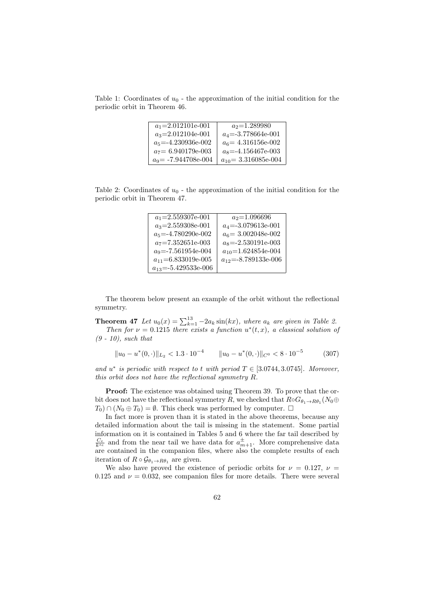Table 1: Coordinates of  $u_0$  - the approximation of the initial condition for the periodic orbit in Theorem 46.

| $a_1 = 2.012101e-001$  | $a_2=1.289980$           |
|------------------------|--------------------------|
| $a_3 = 2.012104e-001$  | $a_4 = -3.778664e-001$   |
| $a_5 = -4.230936e-002$ | $a_6$ = 4.316156e-002    |
| $a_7 = 6.940179e-003$  | $a_8 = -4.156467e-003$   |
| $a_9$ = -7.944708e-004 | $a_{10} = 3.316085e-004$ |

Table 2: Coordinates of  $u_0$  - the approximation of the initial condition for the periodic orbit in Theorem 47.

| $a_1 = 2.559307e-001$     | $a_2$ =1.096696           |
|---------------------------|---------------------------|
| $a_3 = 2.559308e-001$     | $a_4 = -3.079613e-001$    |
| $a_5 = -4.780290e-002$    | $a_6$ = 3.002048e-002     |
| $a_7 = 7.352651e-003$     | $a_8 = -2.530191e-003$    |
| $a_9 = -7.561954e-004$    | $a_{10}$ =1.624854e-004   |
| $a_{11} = 6.833019e-005$  | $a_{12} = -8.789133e-006$ |
| $a_{13} = -5.429533e-006$ |                           |

The theorem below present an example of the orbit without the reflectional symmetry.

**Theorem 47** *Let*  $u_0(x) = \sum_{k=1}^{13} -2a_k \sin(kx)$ , where  $a_k$  are given in Table 2.

*Then for*  $\nu = 0.1215$  *there exists a function*  $u^*(t, x)$ *, a classical solution of (9 - 10), such that*

$$
||u_0 - u^*(0, \cdot)||_{L_2} < 1.3 \cdot 10^{-4} \qquad ||u_0 - u^*(0, \cdot)||_{C^0} < 8 \cdot 10^{-5} \tag{307}
$$

*and*  $u^*$  *is periodic with respect to t with period*  $T \in [3.0744, 3.0745]$ *. Moreover, this orbit does not have the reflectional symmetry R.*

**Proof:** The existence was obtained using Theorem 39. To prove that the orbit does not have the reflectional symmetry *R*, we checked that  $R \circ G_{\theta_1 \to R\theta_1}(N_0 \oplus$  $T_0$ )  $\cap$  ( $N_0 \oplus T_0$ ) =  $\emptyset$ . This check was performed by computer.  $\Box$ 

In fact more is proven than it is stated in the above theorems, because any detailed information about the tail is missing in the statement. Some partial information on it is contained in Tables 5 and 6 where the far tail described by  $\frac{C_e}{k^{s_e}}$  and from the near tail we have data for  $a_{m+1}^{\pm}$ . More comprehensive data are contained in the companion files, where also the complete results of each iteration of  $R \circ \mathcal{G}_{\theta_1 \to R\theta_1}$  are given.

We also have proved the existence of periodic orbits for  $\nu = 0.127$ ,  $\nu =$ 0.125 and  $\nu = 0.032$ , see companion files for more details. There were several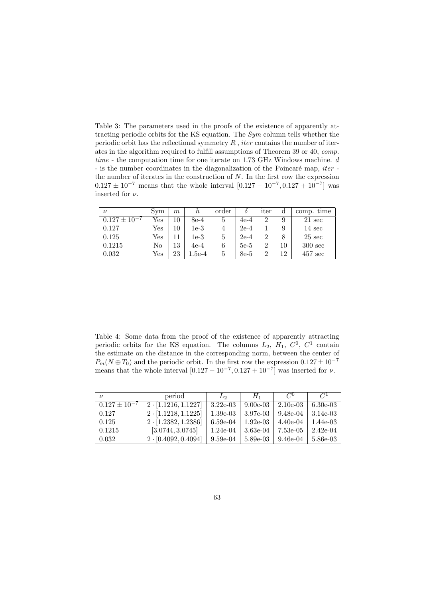Table 3: The parameters used in the proofs of the existence of apparently attracting periodic orbits for the KS equation. The *Sym* column tells whether the periodic orbit has the reflectional symmetry *R* , *iter* contains the number of iterates in the algorithm required to fulfill assumptions of Theorem 39 or 40, *comp. time* - the computation time for one iterate on 1.73 GHz Windows machine. *d* - is the number coordinates in the diagonalization of the Poincaré map, *iter* the number of iterates in the construction of *N*. In the first row the expression  $0.127 \pm 10^{-7}$  means that the whole interval  $[0.127 - 10^{-7}, 0.127 + 10^{-7}]$  was inserted for *ν*.

| $\nu$                   | Sym | m  | h      | order |        | iter           | d  | comp. time        |
|-------------------------|-----|----|--------|-------|--------|----------------|----|-------------------|
| $0.127 +$<br>$-10^{-1}$ | Yes | 10 | 8e-4   | 5     | $4e-4$ | $\overline{2}$ | 9  | $21 \text{ sec}$  |
| 0.127                   | Yes | 10 | 1e-3   |       | $2e-4$ |                | 9  | $14 \text{ sec}$  |
| 0.125                   | Yes |    | 1e-3   |       | $2e-4$ | റ              | 8  | $25 \text{ sec}$  |
| 0.1215                  | No  | 13 | $4e-4$ |       | $5e-5$ | $\overline{2}$ | 10 | $300 \text{ sec}$ |
| 0.032                   | Yes | 23 | l.5e-4 |       | 8e-5   | റ              | 12 | $457 \text{ sec}$ |

Table 4: Some data from the proof of the existence of apparently attracting periodic orbits for the KS equation. The columns  $L_2$ ,  $H_1$ ,  $C^0$ ,  $C^1$  contain the estimate on the distance in the corresponding norm, between the center of  $P_m(N \oplus T_0)$  and the periodic orbit. In the first row the expression  $0.127 \pm 10^{-7}$ means that the whole interval  $[0.127 - 10^{-7}, 0.127 + 10^{-7}]$  was inserted for *ν*.

| $\mathcal{U}$       | period                     | $L_2$      | $H_1$      | $C^0$      | C <sup>1</sup> |
|---------------------|----------------------------|------------|------------|------------|----------------|
| $0.127 \pm 10^{-7}$ | $2 \cdot [1.1216, 1.1227]$ | $3.22e-03$ | $9.00e-03$ | $2.10e-03$ | $6.30e-03$     |
| 0.127               | $2 \cdot [1.1218, 1.1225]$ | $1.39e-03$ | 3.97e-03   | 9.48e-04   | $3.14e-03$     |
| 0.125               | $2 \cdot [1.2382, 1.2386]$ | 6.59e-04   | $1.92e-03$ | 4.40e-04   | $1.44e-03$     |
| 0.1215              | [3.0744, 3.0745]           | $1.24e-04$ | 3.63e-04   | 7.53e-05   | $2.42e-04$     |
| 0.032               | $2 \cdot [0.4092, 0.4094]$ | $9.59e-04$ | $5.89e-03$ | 9.46e-04   | 5.86e-03       |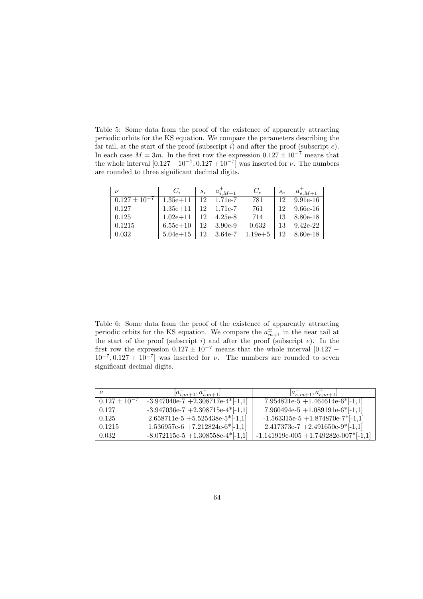Table 5: Some data from the proof of the existence of apparently attracting periodic orbits for the KS equation. We compare the parameters describing the far tail, at the start of the proof (subscript *i*) and after the proof (subscript *e*). In each case  $M = 3m$ . In the first row the expression  $0.127 \pm 10^{-7}$  means that the whole interval  $[0.127 - 10^{-7}, 0.127 + 10^{-7}]$  was inserted for *ν*. The numbers are rounded to three significant decimal digits.

| $\mathcal{U}$       | $C_i$        | $s_i$ | $a_{i,M+1}$ | $C_e$       | $s_{e}$ | $a_{e,M+1}$ |
|---------------------|--------------|-------|-------------|-------------|---------|-------------|
| $0.127 \pm 10^{-7}$ | $1.35e + 11$ | 12    | 1.71e-7     | 781         | 12      | $9.91e-16$  |
| 0.127               | $1.35e + 11$ | 12    | 1.71e-7     | 761         | 12      | $9.66e-16$  |
| 0.125               | $1.02e + 11$ | 12    | $4.25e-8$   | 714         | 13      | 8.80e-18    |
| 0.1215              | $6.55e+10$   | 12    | $3.90e-9$   | 0.632       | 13      | $9.42e-22$  |
| 0.032               | $5.04e + 15$ | 12    | $3.64e-7$   | $1.19e{+}5$ |         | 8.60e-18    |

Table 6: Some data from the proof of the existence of apparently attracting periodic orbits for the KS equation. We compare the  $a_{m+1}^{\pm}$  in the near tail at the start of the proof (subscript *i*) and after the proof (subscript *e*). In the first row the expression  $0.127 \pm 10^{-7}$  means that the whole interval [0.127 *−*  $10^{-7}$ , 0.127 + 10<sup>-7</sup> was inserted for *ν*. The numbers are rounded to seven significant decimal digits.

|                     | $[a_{i,m+1}^-, a_{i,m+1}^+]$        | $[a_{e,m+1}^-, a_{e,m+1}^+]$            |
|---------------------|-------------------------------------|-----------------------------------------|
| $0.127 \pm 10^{-7}$ | $-3.947040e-7 + 2.308717e-4*[-1,1]$ | $7.954821e-5 + 1.464614e-6*[-1,1]$      |
| 0.127               | $-3.947036e-7 + 2.308715e-4*[-1,1]$ | 7.960494e-5 +1.089191e-6*[-1,1]         |
| 0.125               | $2.658711e-5 + 5.525438e-5*[-1,1]$  | $-1.563315e-5 + 1.874870e-7*[-1,1]$     |
| 0.1215              | $1.536957e-6 + 7.212824e-6*[-1,1]$  | $2.417373e-7 + 2.491650e-9*[-1,1]$      |
| 0.032               | $-8.072115e-5 + 1.308558e-4*[-1,1]$ | $-1.141919e-005 + 1.749282e-007*[-1,1]$ |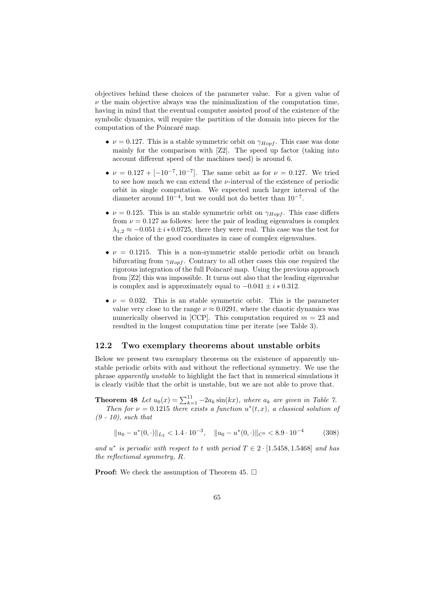objectives behind these choices of the parameter value. For a given value of  $\nu$  the main objective always was the minimalization of the computation time, having in mind that the eventual computer assisted proof of the existence of the symbolic dynamics, will require the partition of the domain into pieces for the computation of the Poincaré map.

- $\nu = 0.127$ . This is a stable symmetric orbit on  $\gamma_{Hopf}$ . This case was done mainly for the comparison with [Z2]. The speed up factor (taking into account different speed of the machines used) is around 6.
- $\nu = 0.127 + [-10^{-7}, 10^{-7}]$ . The same orbit as for  $\nu = 0.127$ . We tried to see how much we can extend the *ν*-interval of the existence of periodic orbit in single computation. We expected much larger interval of the diameter around 10*<sup>−</sup>*<sup>4</sup> , but we could not do better than 10*<sup>−</sup>*<sup>7</sup> .
- $\nu = 0.125$ . This is an stable symmetric orbit on  $\gamma_{Hopf}$ . This case differs from  $\nu = 0.127$  as follows: here the pair of leading eigenvalues is complex  $\lambda_{1,2} \approx -0.051 \pm i * 0.0725$ , there they were real. This case was the test for the choice of the good coordinates in case of complex eigenvalues.
- $\bullet \nu = 0.1215$ . This is a non-symmetric stable periodic orbit on branch bifurcating from *γHopf* . Contrary to all other cases this one required the rigorous integration of the full Poincaré map. Using the previous approach from [Z2] this was impossible. It turns out also that the leading eigenvalue is complex and is approximately equal to *−*0*.*041 *± i ∗* 0*.*312.
- $\nu = 0.032$ . This is an stable symmetric orbit. This is the parameter value very close to the range  $\nu \approx 0.0291$ , where the chaotic dynamics was numerically observed in [CCP]. This computation required  $m = 23$  and resulted in the longest computation time per iterate (see Table 3).

#### **12.2 Two exemplary theorems about unstable orbits**

Below we present two exemplary theorems on the existence of apparently unstable periodic orbits with and without the reflectional symmetry. We use the phrase *apparently unstable* to highlight the fact that in numerical simulations it is clearly visible that the orbit is unstable, but we are not able to prove that.

**Theorem 48** *Let*  $u_0(x) = \sum_{k=1}^{11} -2a_k \sin(kx)$ , where  $a_k$  are given in Table 7. *Then for*  $\nu = 0.1215$  *there exists a function*  $u^*(t, x)$ *, a classical solution of (9 - 10), such that*

 $||u_0 - u^*(0, \cdot)||_{L_2} < 1.4 \cdot 10^{-3}, \quad ||u_0 - u^*(0, \cdot)||_{C^0} < 8.9 \cdot 10^{-4}$ (308)

*and*  $u^*$  *is periodic with respect to t with period*  $T \in 2 \cdot [1.5458, 1.5468]$  *and has the reflectional symmetry, R.*

**Proof:** We check the assumption of Theorem 45. □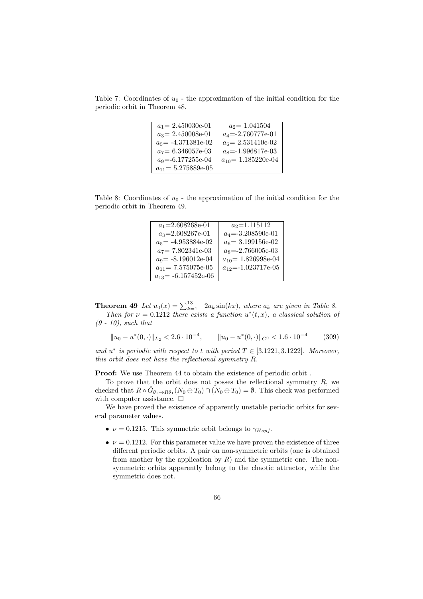Table 7: Coordinates of  $u_0$  - the approximation of the initial condition for the periodic orbit in Theorem 48.

| $a_1 = 2.450030e-01$    | $a_2$ = 1.041504        |
|-------------------------|-------------------------|
| $a_3 = 2.450008$ e-01   | $a_4 = -2.760777e-01$   |
| $a_5 = -4.371381e-02$   | $a_6$ = 2.531410e-02    |
| $a_7 = 6.346057e-03$    | $a_8 = -1.996817e-03$   |
| $a_9 = -6.177255e-04$   | $a_{10} = 1.185220e-04$ |
| $a_{11} = 5.275889e-05$ |                         |

Table 8: Coordinates of  $u_0$  - the approximation of the initial condition for the periodic orbit in Theorem 49.

| $a_1 = 2.608268e-01$     | $a_2$ =1.115112           |
|--------------------------|---------------------------|
| $a_3 = 2.608267e-01$     | $a_4 = -3.208590e-01$     |
| $a_5$ = -4.953884e-02    | $a_6$ = 3.199156e-02      |
| $a_7$ = 7.802341e-03     | $a_8 = -2.766005e-03$     |
| $a_9 = -8.196012e-04$    | $a_{10} = 1.826998e-04$   |
| $a_{11} = 7.575075e-05$  | $a_{12} = -1.023717$ e-05 |
| $a_{13} = -6.157452e-06$ |                           |

**Theorem 49** *Let*  $u_0(x) = \sum_{k=1}^{13} -2a_k \sin(kx)$ , where  $a_k$  are given in Table 8.

*Then for*  $\nu = 0.1212$  *there exists a function*  $u^*(t, x)$ *, a classical solution of (9 - 10), such that*

$$
||u_0 - u^*(0, \cdot)||_{L_2} < 2.6 \cdot 10^{-4}, \qquad ||u_0 - u^*(0, \cdot)||_{C^0} < 1.6 \cdot 10^{-4} \tag{309}
$$

*and*  $u^*$  *is periodic with respect to t with period*  $T \in [3.1221, 3.1222]$ *. Moreover, this orbit does not have the reflectional symmetry R.*

**Proof:** We use Theorem 44 to obtain the existence of periodic orbit.

To prove that the orbit does not posses the reflectional symmetry *R*, we checked that  $R \circ \hat{G}_{\theta_1 \to R\theta_1}(N_0 \oplus T_0) \cap (N_0 \oplus T_0) = \emptyset$ . This check was performed with computer assistance.  $\square$ 

We have proved the existence of apparently unstable periodic orbits for several parameter values.

- $\nu = 0.1215$ . This symmetric orbit belongs to  $\gamma_{Hopf}$ .
- $\nu = 0.1212$ . For this parameter value we have proven the existence of three different periodic orbits. A pair on non-symmetric orbits (one is obtained from another by the application by  $R$ ) and the symmetric one. The nonsymmetric orbits apparently belong to the chaotic attractor, while the symmetric does not.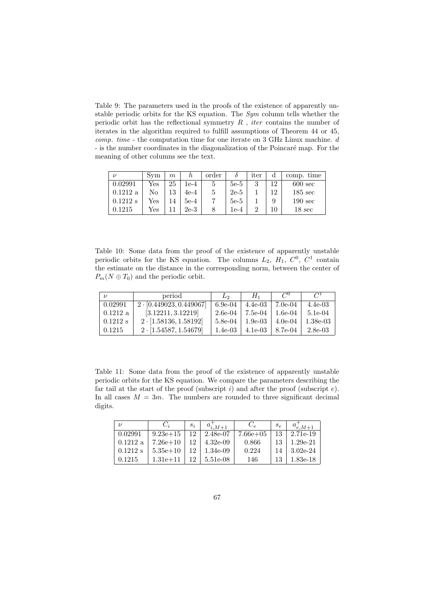Table 9: The parameters used in the proofs of the existence of apparently unstable periodic orbits for the KS equation. The *Sym* column tells whether the periodic orbit has the reflectional symmetry *R* , *iter* contains the number of iterates in the algorithm required to fulfill assumptions of Theorem 44 or 45, *comp. time* - the computation time for one iterate on 3 GHz Linux machine. *d* - is the number coordinates in the diagonalization of the Poincaré map. For the meaning of other columns see the text.

| $\nu$      | Svm | $\,m$ |        | order |        | iter |     | comp. time        |
|------------|-----|-------|--------|-------|--------|------|-----|-------------------|
| 0.02991    | Yes | 25    | 1e-4   | 5     | $5e-5$ | 3    | 12  | $600 \text{ sec}$ |
| 0.1212a    | Nο  | 13    | $4e-4$ | 5     | $2e-5$ |      | 19. | $185 \text{ sec}$ |
| $0.1212$ s | Yes | 14    | $5e-4$ |       | $5e-5$ |      | 9   | $190 \text{ sec}$ |
| 0.1215     | Yes |       | $2e-3$ |       | 1e-4   |      |     | $18 \text{ sec}$  |

Table 10: Some data from the proof of the existence of apparently unstable periodic orbits for the KS equation. The columns  $L_2$ ,  $H_1$ ,  $C^0$ ,  $C^1$  contain the estimate on the distance in the corresponding norm, between the center of  $P_m(N \oplus T_0)$  and the periodic orbit.

| $\mathcal{U}$      | period                         | L۵      | $H_1$                             | $\mathcal{C}^0$     | $C^{1}$    |
|--------------------|--------------------------------|---------|-----------------------------------|---------------------|------------|
| 0.02991            | $2 \cdot [0.449023, 0.449067]$ | 6.9e-04 | $4.4e-03$                         | $\mid 7.0e-04 \mid$ | $4.4e-03$  |
| $0.1212 \text{ a}$ | [3.12211, 3.12219]             |         | $2.6e-04$   $7.5e-04$   $1.6e-04$ |                     | $5.1e-04$  |
| $0.1212$ s         | $2 \cdot [1.58136, 1.58192]$   |         | $5.8e-04$   1.9e-03               | $+4.0e-04$          | $1.38e-03$ |
| 0.1215             | $2 \cdot [1.54587, 1.54679]$   |         | $1.4e-03$   $4.1e-03$   $8.7e-04$ |                     | $2.8e-03$  |

Table 11: Some data from the proof of the existence of apparently unstable periodic orbits for the KS equation. We compare the parameters describing the far tail at the start of the proof (subscript *i*) and after the proof (subscript *e*). In all cases  $M = 3m$ . The numbers are rounded to three significant decimal digits.

| $\boldsymbol{\nu}$ | $C_i$        | $S_i$ | $a_{i,M+1}$ | $C_e$        | $S_{\mathcal{C}}$ | $a_{e,M+1}$ |
|--------------------|--------------|-------|-------------|--------------|-------------------|-------------|
| 0.02991            | $9.23e+15$   |       | 2.48e-07    | $7.66e + 05$ | 13                | 2.71e-19    |
| 0.1212 a           | $7.26e + 10$ |       | $4.32e-0.9$ | 0.866        |                   | $1.29e-21$  |
| $0.1212$ s         | $5.35e+10$   |       | $1.34e-0.9$ | 0.224        | 14                | $3.02e-24$  |
| 0.1215             | $1.31e + 11$ |       | 5.51e-08    | 146          |                   | 1.83e-18    |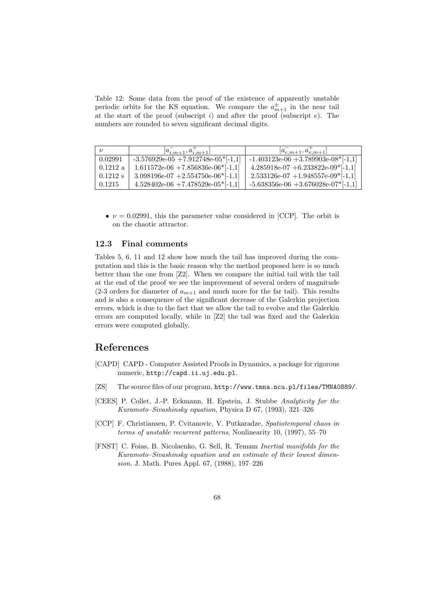Table 12: Some data from the proof of the existence of apparently unstable periodic orbits for the KS equation. We compare the  $a_{m+1}^{\pm}$  in the near tail at the start of the proof (subscript *i*) and after the proof (subscript *e*). The numbers are rounded to seven significant decimal digits.

|                    | $[a_{i,m+1}^-, a_{i,m+1}^+]$                       | $[a_{e,m+1}^-, a_{e,m+1}^+]$                        |
|--------------------|----------------------------------------------------|-----------------------------------------------------|
| 0.02991            | $-3.576929e-05 + 7.912748e-05$ <sup>*</sup> [-1,1] | $-1.403123e-06 + 3.789903e-08$ <sup>*</sup> [-1,1]  |
| $0.1212 \text{ a}$ | $1.611572e-06$ +7.856836e-06 <sup>*</sup> [-1,1]   | $4.285918e-07 + 6.233822e-09*[-1,1]$                |
| $0.1212$ s         | $3.098196e-07 + 2.554750e-06*[-1,1]$               | $2.533126e-07 + 1.948557e-09$ <sup>*</sup> [-1,1]   |
| 0.1215             | $4.528402e-06$ +7.478529e-05*[-1,1]                | $-5.638356e-06$ $+3.676028e-07$ <sup>*</sup> [-1,1] |

•  $\nu = 0.02991$ , this the parameter value considered in [CCP]. The orbit is on the chaotic attractor.

#### **12.3 Final comments**

Tables 5, 6, 11 and 12 show how much the tail has improved during the computation and this is the basic reason why the method proposed here is so much better than the one from [Z2]. When we compare the initial tail with the tail at the end of the proof we see the improvement of several orders of magnitude  $(2-3 \text{ orders for diameter of } a_{m+1} \text{ and much more for the far tail}).$  This results and is also a consequence of the significant decrease of the Galerkin projection errors, which is due to the fact that we allow the tail to evolve and the Galerkin errors are computed locally, while in [Z2] the tail was fixed and the Galerkin errors were computed globally.

# **References**

- [CAPD] CAPD Computer Assisted Proofs in Dynamics, a package for rigorous numeric, http://capd.ii.uj.edu.pl.
- [ZS] The source files of our program, http://www.tmna.ncu.pl/files/TMNA0889/.
- [CEES] P. Collet, J.-P. Eckmann, H. Epstein, J. Stubbe *Analyticity for the Kuramoto–Sivashinsky equation*, Physica D 67, (1993), 321–326
- [CCP] F. Christiansen, P. Cvitanovic, V. Putkaradze, *Spatiotemporal chaos in terms of unstable recurrent patterns*, Nonlinearity 10, (1997), 55–70
- [FNST] C. Foias, B. Nicolaenko, G. Sell, R. Temam *Inertial manifolds for the Kuramoto–Sivashinsky equation and an estimate of their lowest dimension.* J. Math. Pures Appl. 67, (1988), 197–226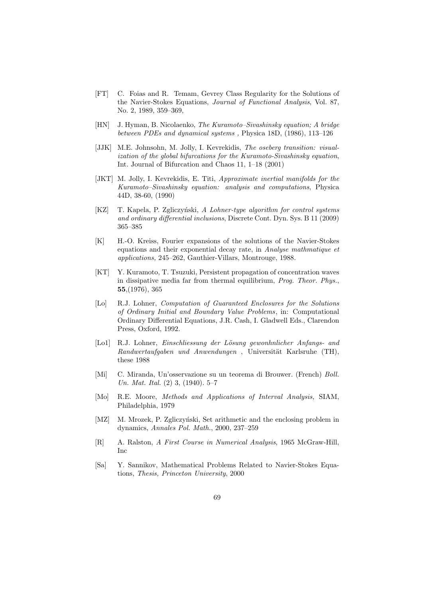- [FT] C. Foias and R. Temam, Gevrey Class Regularity for the Solutions of the Navier-Stokes Equations, *Journal of Functional Analysis*, Vol. 87, No. 2, 1989, 359–369,
- [HN] J. Hyman, B. Nicolaenko, *The Kuramoto–Sivashinsky equation; A bridge between PDEs and dynamical systems ,* Physica 18D, (1986), 113–126
- [JJK] M.E. Johnsohn, M. Jolly, I. Kevrekidis, *The oseberg transition: visualization of the global bifurcations for the Kuramoto-Sivashinsky equation*, Int. Journal of Bifurcation and Chaos 11, 1–18 (2001)
- [JKT] M. Jolly, I. Kevrekidis, E. Titi, *Approximate inertial manifolds for the Kuramoto–Sivashinsky equation: analysis and computations*, Physica 44D, 38-60, (1990)
- [KZ] T. Kapela, P. Zgliczyński, *A Lohner-type algorithm for control systems and ordinary differential inclusions*, Discrete Cont. Dyn. Sys. B 11 (2009) 365–385
- [K] H.-O. Kreiss, Fourier expansions of the solutions of the Navier-Stokes equations and their exponential decay rate, in *Analyse mathmatique et applications,* 245–262, Gauthier-Villars, Montrouge, 1988.
- [KT] Y. Kuramoto, T. Tsuzuki, Persistent propagation of concentration waves in dissipative media far from thermal equilibrium, *Prog. Theor. Phys.*, **55**,(1976), 365
- [Lo] R.J. Lohner, *Computation of Guaranteed Enclosures for the Solutions of Ordinary Initial and Boundary Value Problems*, in: Computational Ordinary Differential Equations, J.R. Cash, I. Gladwell Eds., Clarendon Press, Oxford, 1992.
- [Lo1] R.J. Lohner, *Einschliessung der Lösung gewonhnlicher Anfangs- and Randwertaufgaben und Anwendungen*, Universität Karlsruhe (TH), these 1988
- [Mi] C. Miranda, Un'osservazione su un teorema di Brouwer. (French) *Boll. Un. Mat. Ital.* (2) 3, (1940). 5–7
- [Mo] R.E. Moore, *Methods and Applications of Interval Analysis,* SIAM, Philadelphia, 1979
- [MZ] M. Mrozek, P. Zgliczyński, Set arithmetic and the enclosing problem in dynamics, *Annales Pol. Math.*, 2000, 237–259
- [R] A. Ralston, *A First Course in Numerical Analysis*, 1965 McGraw-Hill, Inc
- [Sa] Y. Sannikov, Mathematical Problems Related to Navier-Stokes Equations, *Thesis, Princeton University*, 2000